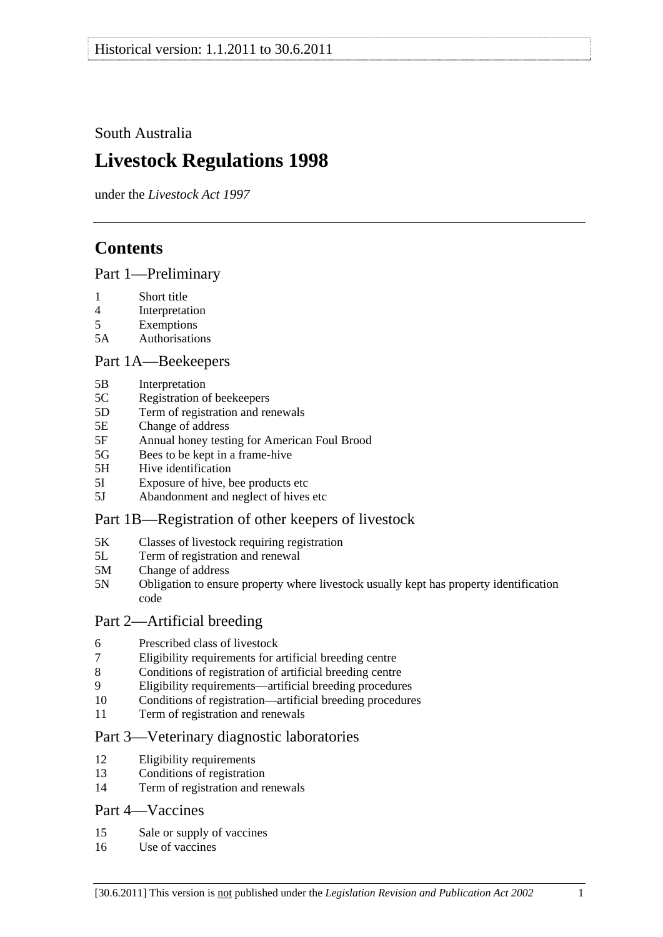<span id="page-0-0"></span>South Australia

# **Livestock Regulations 1998**

under the *Livestock Act 1997*

# **Contents**

[Part 1—Preliminary](#page-3-0)

- [1 Short title](#page-3-0)
- [4 Interpretation](#page-3-0)
- [5 Exemptions](#page-5-0)
- [5A Authorisations](#page-5-0)

## [Part 1A—Beekeepers](#page-6-0)

- [5B Interpretation](#page-6-0)
- [5C Registration of beekeepers](#page-6-0)
- [5D Term of registration and renewals](#page-6-0)
- [5E Change of address](#page-7-0)
- [5F Annual honey testing for American Foul Brood](#page-7-0)
- [5G Bees to be kept in a frame-hive](#page-8-0)
- [5H Hive identification](#page-8-0)
- [5I Exposure of hive, bee products etc](#page-9-0)
- [5J Abandonment and neglect of hives etc](#page-9-0)

## [Part 1B—Registration of other keepers of livestock](#page-10-0)

- [5K Classes of livestock requiring registration](#page-10-0)
- [5L Term of registration and renewal](#page-10-0)
- [5M Change of address](#page-11-0)
- [5N Obligation to ensure property where livestock usually kept has property identification](#page-11-0)  [code](#page-11-0)

## [Part 2—Artificial breeding](#page-11-0)

- [6 Prescribed class of livestock](#page-11-0)
- [7 Eligibility requirements for artificial breeding centre](#page-11-0)
- [8 Conditions of registration of artificial breeding centre](#page-12-0)
- [9 Eligibility requirements—artificial breeding procedures](#page-12-0)
- [10 Conditions of registration—artificial breeding procedures](#page-13-0)
- [11 Term of registration and renewals](#page-13-0)

## [Part 3—Veterinary diagnostic laboratories](#page-13-0)

- [12 Eligibility requirements](#page-13-0)
- [13 Conditions of registration](#page-14-0)
- [14 Term of registration and renewals](#page-14-0)

## [Part 4—Vaccines](#page-15-0)

- [15 Sale or supply of vaccines](#page-15-0)
- [16 Use of vaccines](#page-15-0)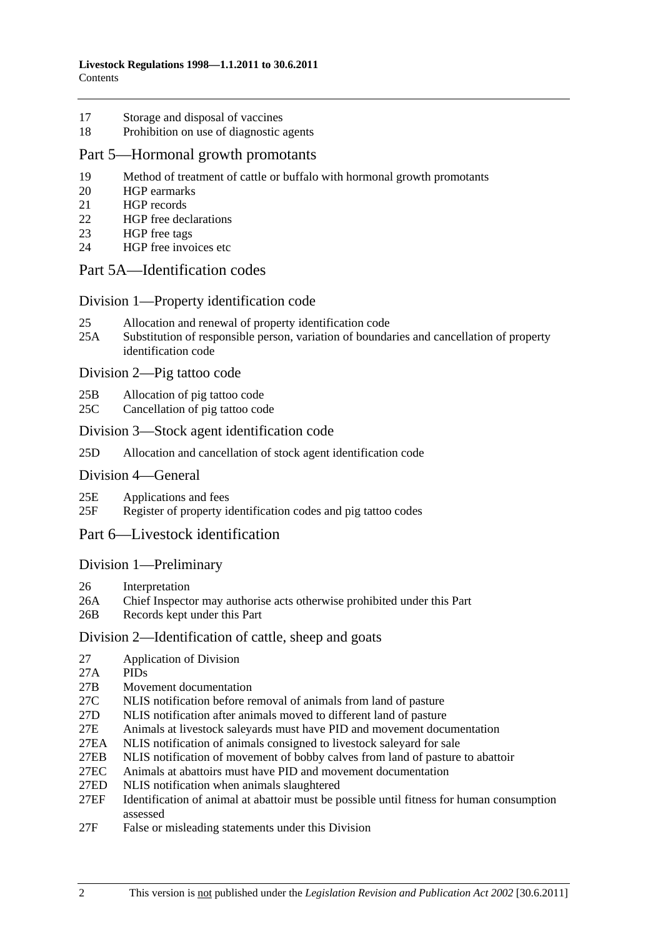- [17 Storage and disposal of vaccines](#page-15-0)
- [18 Prohibition on use of diagnostic agents](#page-15-0)

#### [Part 5—Hormonal growth promotants](#page-16-0)

- [19 Method of treatment of cattle or buffalo with hormonal growth promotants](#page-16-0)
- [20 HGP earmarks](#page-16-0)
- [21 HGP records](#page-16-0)
- [22 HGP free declarations](#page-17-0)
- [23 HGP free tags](#page-18-0)
- [24 HGP free invoices etc](#page-18-0)

#### [Part 5A—Identification codes](#page-19-0)

#### [Division 1—Property identification code](#page-19-0)

- [25 Allocation and renewal of property identification code](#page-19-0)
- [25A Substitution of responsible person, variation of boundaries and cancellation of property](#page-20-0)  [identification code](#page-20-0)

[Division 2—Pig tattoo code](#page-20-0) 

- [25B Allocation of pig tattoo code](#page-20-0)
- [25C Cancellation of pig tattoo code](#page-20-0)

#### [Division 3—Stock agent identification code](#page-21-0)

[25D Allocation and cancellation of stock agent identification code](#page-21-0)

#### [Division 4—General](#page-21-0)

- [25E Applications and fees](#page-21-0)
- [25F Register of property identification codes and pig tattoo codes](#page-21-0)

## [Part 6—Livestock identification](#page-22-0)

#### [Division 1—Preliminary](#page-22-0)

- [26 Interpretation](#page-22-0)
- [26A Chief Inspector may authorise acts otherwise prohibited under this Part](#page-24-0)
- [26B Records kept under this Part](#page-25-0)

#### [Division 2—Identification of cattle, sheep and goats](#page-25-0)

- [27 Application of Division](#page-25-0)
- [27A PIDs](#page-25-0)
- [27B Movement documentation](#page-25-0)
- [27C NLIS notification before removal of animals from land of pasture](#page-28-0)
- [27D NLIS notification after animals moved to different land of pasture](#page-28-0)
- [27E Animals at livestock saleyards must have PID and movement documentation](#page-30-0)
- [27EA NLIS notification of animals consigned to livestock saleyard for sale](#page-31-0)
- [27EB NLIS notification of movement of bobby calves from land of pasture to abattoir](#page-34-0)
- [27EC Animals at abattoirs must have PID and movement documentation](#page-34-0)
- [27ED NLIS notification when animals slaughtered](#page-35-0)
- [27EF Identification of animal at abattoir must be possible until fitness for human consumption](#page-36-0)  [assessed](#page-36-0)
- [27F False or misleading statements under this Division](#page-36-0)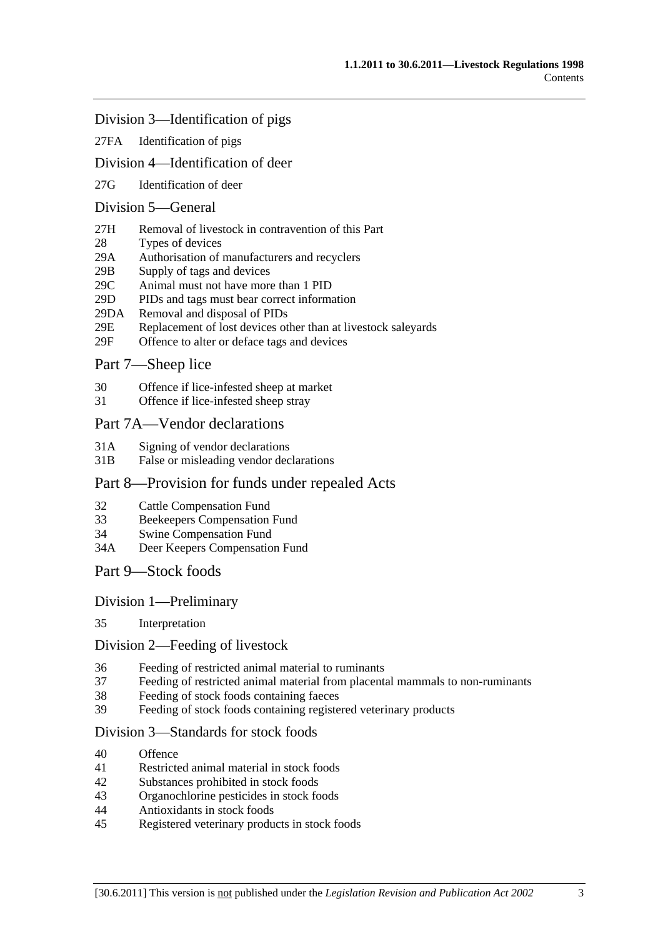#### [Division 3—Identification of pigs](#page-37-0)

[27FA Identification of pigs](#page-37-0)

### [Division 4—Identification of deer](#page-37-0)

[27G Identification of deer](#page-37-0) 

## [Division 5—General](#page-38-0)

- [27H Removal of livestock in contravention of this Part](#page-38-0)
- [28 Types of devices](#page-38-0)
- [29A Authorisation of manufacturers and recyclers](#page-38-0)
- [29B Supply of tags and devices](#page-38-0)
- [29C Animal must not have more than 1 PID](#page-39-0)
- [29D PIDs and tags must bear correct information](#page-39-0)
- [29DA Removal and disposal of PIDs](#page-39-0)
- [29E Replacement of lost devices other than at livestock saleyards](#page-40-0)
- [29F Offence to alter or deface tags and devices](#page-40-0)

## [Part 7—Sheep lice](#page-40-0)

- [30 Offence if lice-infested sheep at market](#page-40-0)
- [31 Offence if lice-infested sheep stray](#page-41-0)

#### [Part 7A—Vendor declarations](#page-41-0)

- [31A Signing of vendor declarations](#page-41-0)
- [31B False or misleading vendor declarations](#page-41-0)

#### [Part 8—Provision for funds under repealed Acts](#page-42-0)

- [32 Cattle Compensation Fund](#page-42-0)
- [33 Beekeepers Compensation Fund](#page-42-0)
- [34 Swine Compensation Fund](#page-42-0)
- [34A Deer Keepers Compensation Fund](#page-42-0)
- [Part 9—Stock foods](#page-42-0)

#### [Division 1—Preliminary](#page-42-0)

[35 Interpretation](#page-42-0) 

#### [Division 2—Feeding of livestock](#page-43-0)

- [36 Feeding of restricted animal material to ruminants](#page-43-0)
- [37 Feeding of restricted animal material from placental mammals to non-ruminants](#page-43-0)
- [38 Feeding of stock foods containing faeces](#page-43-0)
- [39 Feeding of stock foods containing registered veterinary products](#page-44-0)

#### [Division 3—Standards for stock foods](#page-44-0)

- [40 Offence](#page-44-0)
- [41 Restricted animal material in stock foods](#page-44-0)
- [42 Substances prohibited in stock foods](#page-44-0)
- [43 Organochlorine pesticides in stock foods](#page-44-0)
- [44 Antioxidants in stock foods](#page-44-0)
- [45 Registered veterinary products in stock foods](#page-45-0)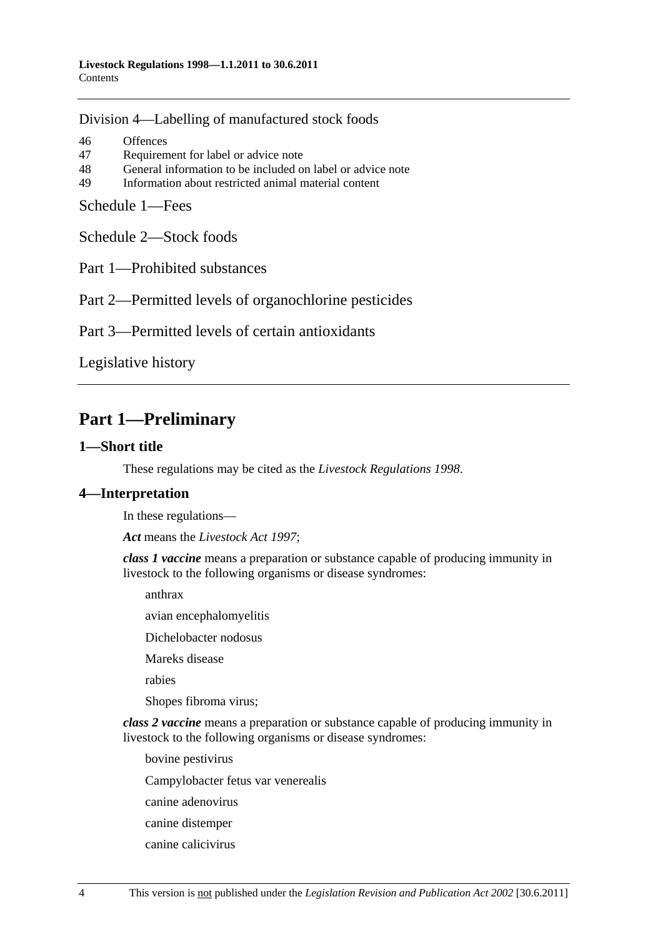<span id="page-3-0"></span>[Division 4—Labelling of manufactured stock foods](#page-45-0)

[46 Offences](#page-45-0) [47 Requirement for label or advice note](#page-45-0) [48 General information to be included on label or advice note](#page-46-0) [49 Information about restricted animal material content](#page-46-0) 

[Schedule 1—Fees](#page-46-0)

[Schedule 2—Stock foods](#page-47-0)

[Part 1—Prohibited substances](#page-0-0) 

[Part 2—Permitted levels of organochlorine pesticides](#page-0-0) 

[Part 3—Permitted levels of certain antioxidants](#page-0-0)

[Legislative history](#page-49-0) 

# **Part 1—Preliminary**

#### **1—Short title**

These regulations may be cited as the *Livestock Regulations 1998*.

## **4—Interpretation**

In these regulations—

*Act* means the *[Livestock Act 1997](http://www.legislation.sa.gov.au/index.aspx?action=legref&type=act&legtitle=Livestock%20Act%201997)*;

*class 1 vaccine* means a preparation or substance capable of producing immunity in livestock to the following organisms or disease syndromes:

anthrax

avian encephalomyelitis

Dichelobacter nodosus

Mareks disease

rabies

Shopes fibroma virus;

*class 2 vaccine* means a preparation or substance capable of producing immunity in livestock to the following organisms or disease syndromes:

bovine pestivirus

Campylobacter fetus var venerealis

canine adenovirus

- canine distemper
- canine calicivirus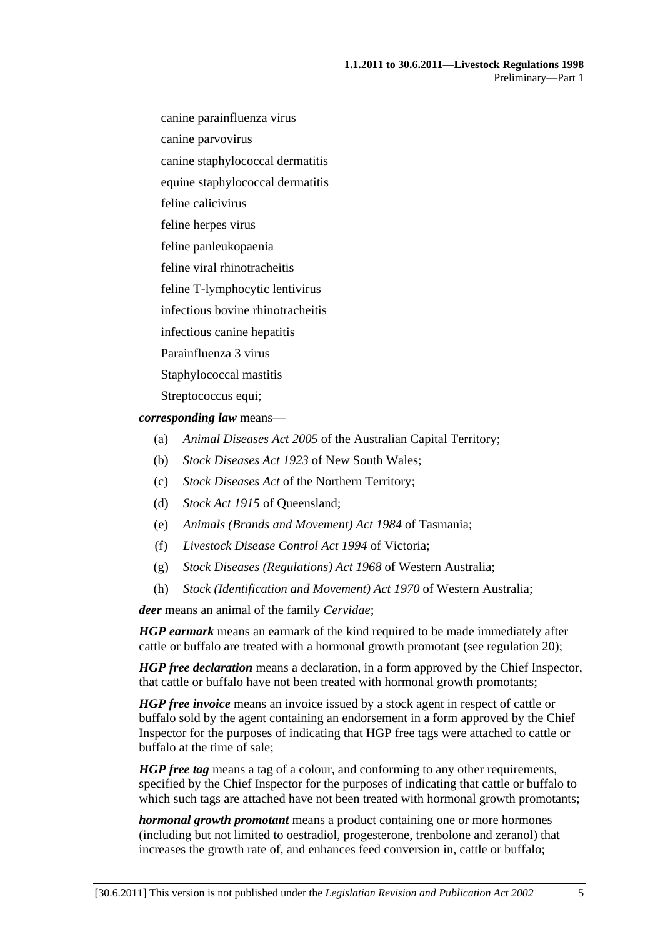canine parainfluenza virus

canine parvovirus

canine staphylococcal dermatitis

equine staphylococcal dermatitis

feline calicivirus

feline herpes virus

feline panleukopaenia

feline viral rhinotracheitis

feline T-lymphocytic lentivirus

infectious bovine rhinotracheitis

infectious canine hepatitis

Parainfluenza 3 virus

Staphylococcal mastitis

Streptococcus equi;

*corresponding law* means—

- (a) *Animal Diseases Act 2005* of the Australian Capital Territory;
- (b) *Stock Diseases Act 1923* of New South Wales;
- (c) *Stock Diseases Act* of the Northern Territory;
- (d) *Stock Act 1915* of Queensland;
- (e) *Animals (Brands and Movement) Act 1984* of Tasmania;
- (f) *Livestock Disease Control Act 1994* of Victoria;
- (g) *Stock Diseases (Regulations) Act 1968* of Western Australia;
- (h) *Stock (Identification and Movement) Act 1970* of Western Australia;

*deer* means an animal of the family *Cervidae*;

*HGP earmark* means an earmark of the kind required to be made immediately after cattle or buffalo are treated with a hormonal growth promotant (see [regulation 20](#page-16-0));

*HGP free declaration* means a declaration, in a form approved by the Chief Inspector, that cattle or buffalo have not been treated with hormonal growth promotants;

*HGP free invoice* means an invoice issued by a stock agent in respect of cattle or buffalo sold by the agent containing an endorsement in a form approved by the Chief Inspector for the purposes of indicating that HGP free tags were attached to cattle or buffalo at the time of sale;

*HGP free tag* means a tag of a colour, and conforming to any other requirements, specified by the Chief Inspector for the purposes of indicating that cattle or buffalo to which such tags are attached have not been treated with hormonal growth promotants;

*hormonal growth promotant* means a product containing one or more hormones (including but not limited to oestradiol, progesterone, trenbolone and zeranol) that increases the growth rate of, and enhances feed conversion in, cattle or buffalo;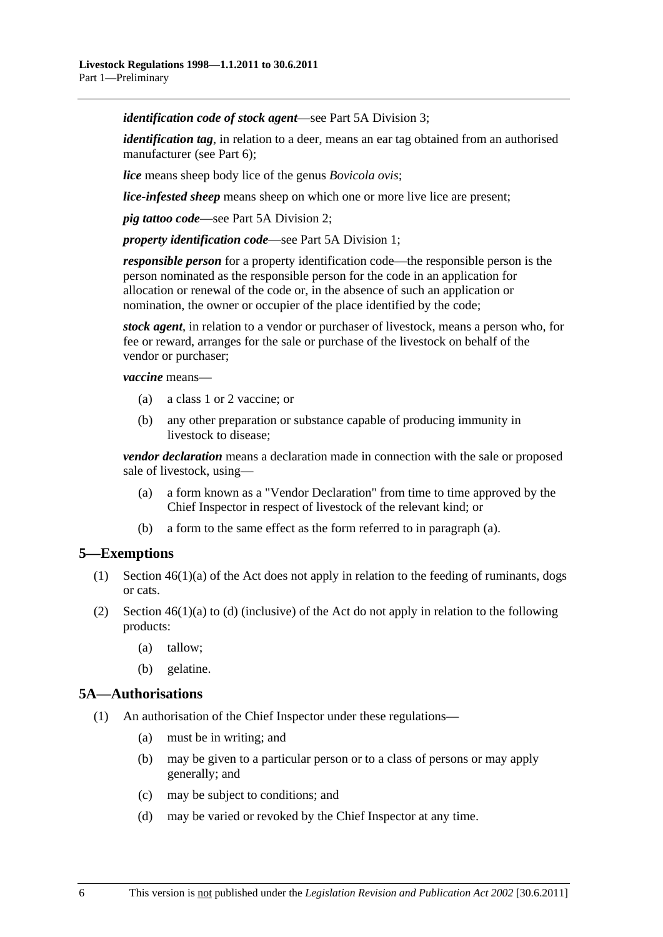<span id="page-5-0"></span>*identification code of stock agent*—see [Part 5A Division 3;](#page-21-0)

*identification tag*, in relation to a deer, means an ear tag obtained from an authorised manufacturer (see [Part 6](#page-22-0));

*lice* means sheep body lice of the genus *Bovicola ovis*;

*lice-infested sheep* means sheep on which one or more live lice are present;

*pig tattoo code*—see [Part 5A Division 2](#page-20-0);

*property identification code*—see [Part 5A Division 1;](#page-19-0)

*responsible person* for a property identification code—the responsible person is the person nominated as the responsible person for the code in an application for allocation or renewal of the code or, in the absence of such an application or nomination, the owner or occupier of the place identified by the code;

*stock agent*, in relation to a vendor or purchaser of livestock, means a person who, for fee or reward, arranges for the sale or purchase of the livestock on behalf of the vendor or purchaser;

*vaccine* means—

- (a) a class 1 or 2 vaccine; or
- (b) any other preparation or substance capable of producing immunity in livestock to disease;

*vendor declaration* means a declaration made in connection with the sale or proposed sale of livestock, using—

- (a) a form known as a "Vendor Declaration" from time to time approved by the Chief Inspector in respect of livestock of the relevant kind; or
- (b) a form to the same effect as the form referred to in [paragraph \(a\).](#page-5-0)

## **5—Exemptions**

- (1) Section 46(1)(a) of the Act does not apply in relation to the feeding of ruminants, dogs or cats.
- (2) Section  $46(1)(a)$  to (d) (inclusive) of the Act do not apply in relation to the following products:
	- (a) tallow;
	- (b) gelatine.

#### **5A—Authorisations**

- (1) An authorisation of the Chief Inspector under these regulations—
	- (a) must be in writing; and
	- (b) may be given to a particular person or to a class of persons or may apply generally; and
	- (c) may be subject to conditions; and
	- (d) may be varied or revoked by the Chief Inspector at any time.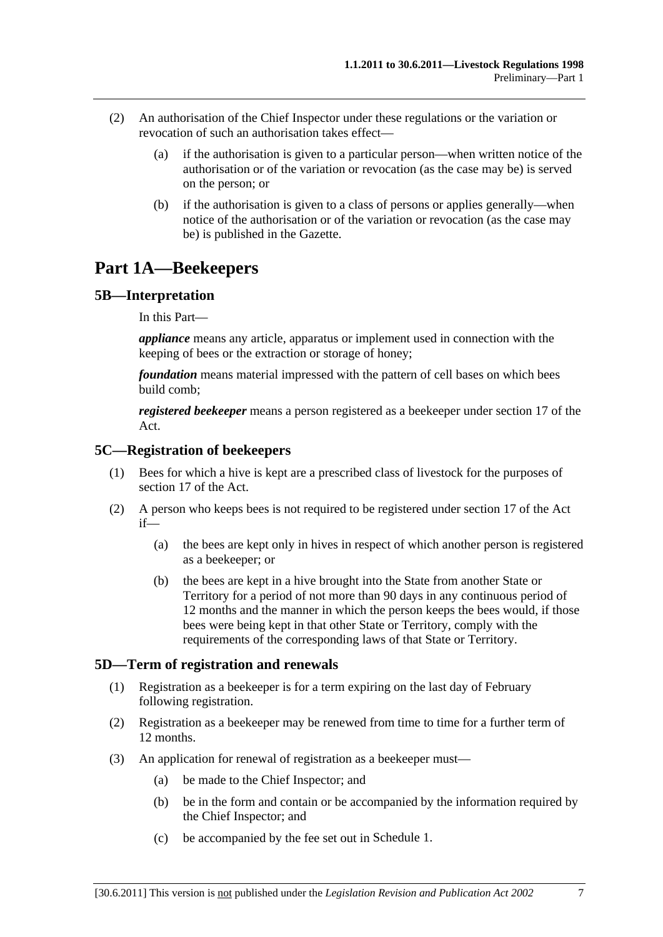- <span id="page-6-0"></span> (2) An authorisation of the Chief Inspector under these regulations or the variation or revocation of such an authorisation takes effect—
	- (a) if the authorisation is given to a particular person—when written notice of the authorisation or of the variation or revocation (as the case may be) is served on the person; or
	- (b) if the authorisation is given to a class of persons or applies generally—when notice of the authorisation or of the variation or revocation (as the case may be) is published in the Gazette.

# **Part 1A—Beekeepers**

## **5B—Interpretation**

In this Part—

*appliance* means any article, apparatus or implement used in connection with the keeping of bees or the extraction or storage of honey;

*foundation* means material impressed with the pattern of cell bases on which bees build comb;

*registered beekeeper* means a person registered as a beekeeper under section 17 of the Act.

#### **5C—Registration of beekeepers**

- (1) Bees for which a hive is kept are a prescribed class of livestock for the purposes of section 17 of the Act.
- (2) A person who keeps bees is not required to be registered under section 17 of the Act if—
	- (a) the bees are kept only in hives in respect of which another person is registered as a beekeeper; or
	- (b) the bees are kept in a hive brought into the State from another State or Territory for a period of not more than 90 days in any continuous period of 12 months and the manner in which the person keeps the bees would, if those bees were being kept in that other State or Territory, comply with the requirements of the corresponding laws of that State or Territory.

## **5D—Term of registration and renewals**

- (1) Registration as a beekeeper is for a term expiring on the last day of February following registration.
- (2) Registration as a beekeeper may be renewed from time to time for a further term of 12 months.
- (3) An application for renewal of registration as a beekeeper must—
	- (a) be made to the Chief Inspector; and
	- (b) be in the form and contain or be accompanied by the information required by the Chief Inspector; and
	- (c) be accompanied by the fee set out in [Schedule 1.](#page-46-0)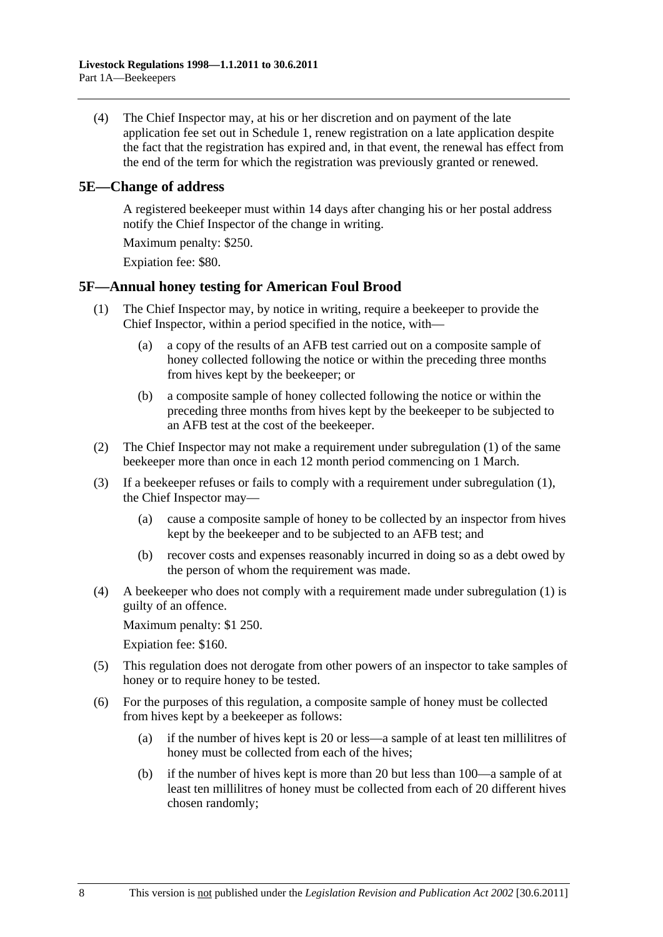<span id="page-7-0"></span> (4) The Chief Inspector may, at his or her discretion and on payment of the late application fee set out in [Schedule 1](#page-46-0), renew registration on a late application despite the fact that the registration has expired and, in that event, the renewal has effect from the end of the term for which the registration was previously granted or renewed.

### **5E—Change of address**

A registered beekeeper must within 14 days after changing his or her postal address notify the Chief Inspector of the change in writing.

Maximum penalty: \$250.

Expiation fee: \$80.

## **5F—Annual honey testing for American Foul Brood**

- (1) The Chief Inspector may, by notice in writing, require a beekeeper to provide the Chief Inspector, within a period specified in the notice, with—
	- (a) a copy of the results of an AFB test carried out on a composite sample of honey collected following the notice or within the preceding three months from hives kept by the beekeeper; or
	- (b) a composite sample of honey collected following the notice or within the preceding three months from hives kept by the beekeeper to be subjected to an AFB test at the cost of the beekeeper.
- (2) The Chief Inspector may not make a requirement under [subregulation \(1\)](#page-7-0) of the same beekeeper more than once in each 12 month period commencing on 1 March.
- (3) If a beekeeper refuses or fails to comply with a requirement under [subregulation \(1\)](#page-7-0), the Chief Inspector may—
	- (a) cause a composite sample of honey to be collected by an inspector from hives kept by the beekeeper and to be subjected to an AFB test; and
	- (b) recover costs and expenses reasonably incurred in doing so as a debt owed by the person of whom the requirement was made.
- (4) A beekeeper who does not comply with a requirement made under [subregulation \(1\)](#page-7-0) is guilty of an offence.

Maximum penalty: \$1 250.

Expiation fee: \$160.

- (5) This regulation does not derogate from other powers of an inspector to take samples of honey or to require honey to be tested.
- (6) For the purposes of this regulation, a composite sample of honey must be collected from hives kept by a beekeeper as follows:
	- (a) if the number of hives kept is 20 or less—a sample of at least ten millilitres of honey must be collected from each of the hives;
	- (b) if the number of hives kept is more than 20 but less than 100—a sample of at least ten millilitres of honey must be collected from each of 20 different hives chosen randomly;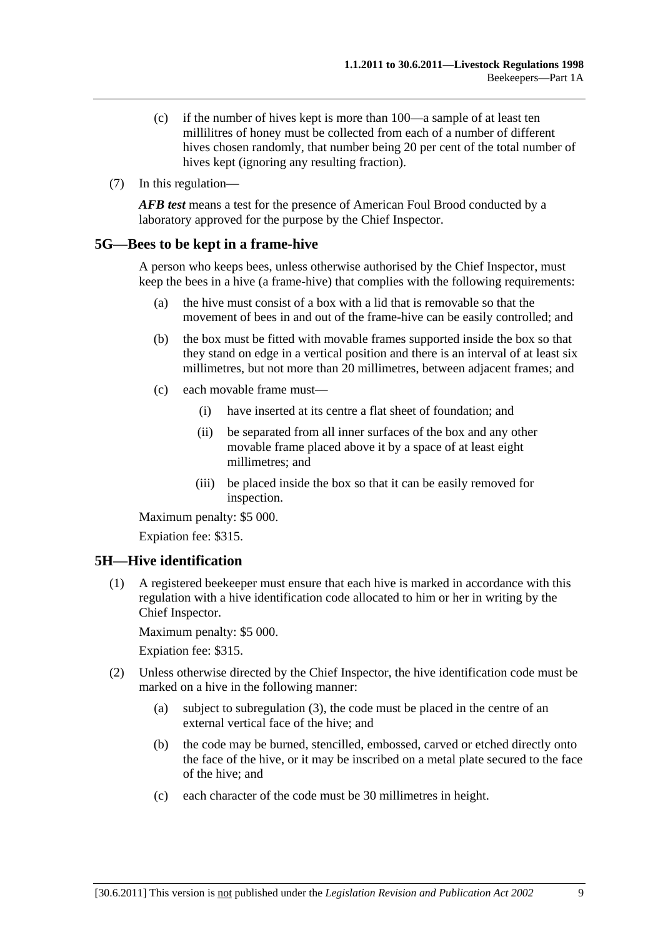- <span id="page-8-0"></span> (c) if the number of hives kept is more than 100—a sample of at least ten millilitres of honey must be collected from each of a number of different hives chosen randomly, that number being 20 per cent of the total number of hives kept (ignoring any resulting fraction).
- (7) In this regulation—

*AFB test* means a test for the presence of American Foul Brood conducted by a laboratory approved for the purpose by the Chief Inspector.

#### **5G—Bees to be kept in a frame-hive**

A person who keeps bees, unless otherwise authorised by the Chief Inspector, must keep the bees in a hive (a frame-hive) that complies with the following requirements:

- (a) the hive must consist of a box with a lid that is removable so that the movement of bees in and out of the frame-hive can be easily controlled; and
- (b) the box must be fitted with movable frames supported inside the box so that they stand on edge in a vertical position and there is an interval of at least six millimetres, but not more than 20 millimetres, between adjacent frames; and
- (c) each movable frame must—
	- (i) have inserted at its centre a flat sheet of foundation; and
	- (ii) be separated from all inner surfaces of the box and any other movable frame placed above it by a space of at least eight millimetres; and
	- (iii) be placed inside the box so that it can be easily removed for inspection.

Maximum penalty: \$5 000.

Expiation fee: \$315.

## **5H—Hive identification**

 (1) A registered beekeeper must ensure that each hive is marked in accordance with this regulation with a hive identification code allocated to him or her in writing by the Chief Inspector.

Maximum penalty: \$5 000.

- (2) Unless otherwise directed by the Chief Inspector, the hive identification code must be marked on a hive in the following manner:
	- (a) subject to [subregulation \(3\),](#page-9-0) the code must be placed in the centre of an external vertical face of the hive; and
	- (b) the code may be burned, stencilled, embossed, carved or etched directly onto the face of the hive, or it may be inscribed on a metal plate secured to the face of the hive; and
	- (c) each character of the code must be 30 millimetres in height.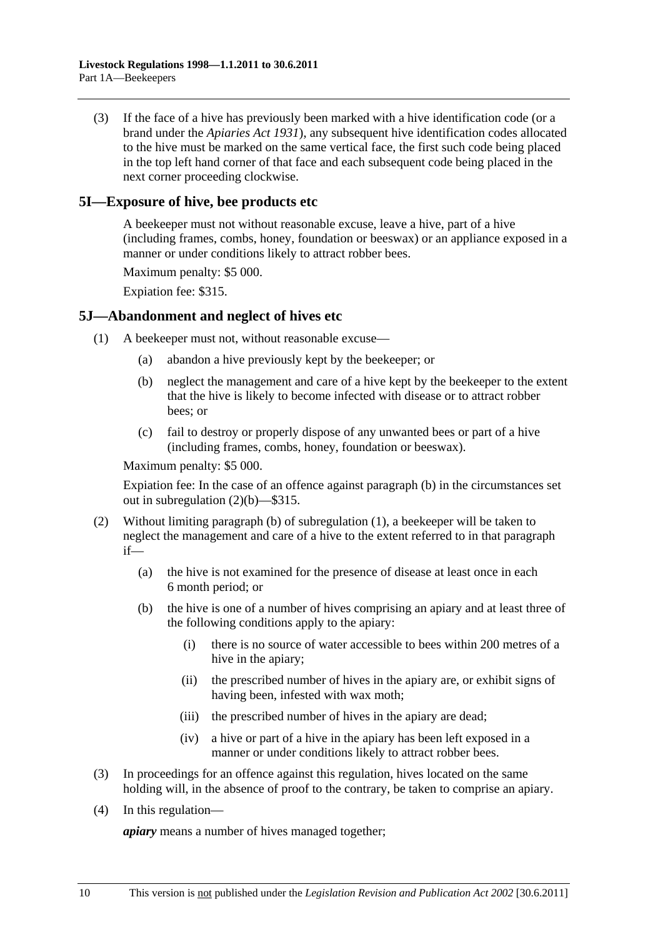<span id="page-9-0"></span> (3) If the face of a hive has previously been marked with a hive identification code (or a brand under the *[Apiaries Act 1931](http://www.legislation.sa.gov.au/index.aspx?action=legref&type=act&legtitle=Apiaries%20Act%201931)*), any subsequent hive identification codes allocated to the hive must be marked on the same vertical face, the first such code being placed in the top left hand corner of that face and each subsequent code being placed in the next corner proceeding clockwise.

### **5I—Exposure of hive, bee products etc**

A beekeeper must not without reasonable excuse, leave a hive, part of a hive (including frames, combs, honey, foundation or beeswax) or an appliance exposed in a manner or under conditions likely to attract robber bees.

Maximum penalty: \$5 000.

Expiation fee: \$315.

#### **5J—Abandonment and neglect of hives etc**

- (1) A beekeeper must not, without reasonable excuse—
	- (a) abandon a hive previously kept by the beekeeper; or
	- (b) neglect the management and care of a hive kept by the beekeeper to the extent that the hive is likely to become infected with disease or to attract robber bees; or
	- (c) fail to destroy or properly dispose of any unwanted bees or part of a hive (including frames, combs, honey, foundation or beeswax).

Maximum penalty: \$5 000.

Expiation fee: In the case of an offence against [paragraph \(b\)](#page-9-0) in the circumstances set out in [subregulation \(2\)\(b\)](#page-9-0)—\$315.

- (2) Without limiting [paragraph \(b\)](#page-9-0) of [subregulation \(1\),](#page-9-0) a beekeeper will be taken to neglect the management and care of a hive to the extent referred to in that paragraph if—
	- (a) the hive is not examined for the presence of disease at least once in each 6 month period; or
	- (b) the hive is one of a number of hives comprising an apiary and at least three of the following conditions apply to the apiary:
		- (i) there is no source of water accessible to bees within 200 metres of a hive in the apiary;
		- (ii) the prescribed number of hives in the apiary are, or exhibit signs of having been, infested with wax moth;
		- (iii) the prescribed number of hives in the apiary are dead;
		- (iv) a hive or part of a hive in the apiary has been left exposed in a manner or under conditions likely to attract robber bees.
- (3) In proceedings for an offence against this regulation, hives located on the same holding will, in the absence of proof to the contrary, be taken to comprise an apiary.
- (4) In this regulation—

*apiary* means a number of hives managed together;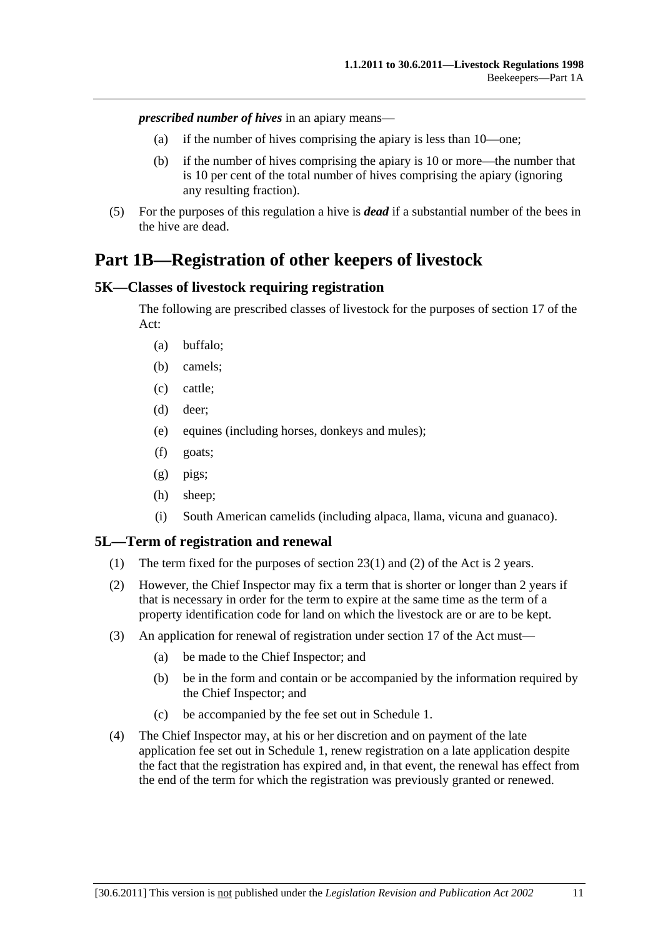<span id="page-10-0"></span>*prescribed number of hives* in an apiary means—

- (a) if the number of hives comprising the apiary is less than 10—one;
- (b) if the number of hives comprising the apiary is 10 or more—the number that is 10 per cent of the total number of hives comprising the apiary (ignoring any resulting fraction).
- (5) For the purposes of this regulation a hive is *dead* if a substantial number of the bees in the hive are dead.

# **Part 1B—Registration of other keepers of livestock**

#### **5K—Classes of livestock requiring registration**

The following are prescribed classes of livestock for the purposes of section 17 of the Act:

- (a) buffalo;
- (b) camels;
- (c) cattle;
- (d) deer;
- (e) equines (including horses, donkeys and mules);
- (f) goats;
- (g) pigs;
- (h) sheep;
- (i) South American camelids (including alpaca, llama, vicuna and guanaco).

#### **5L—Term of registration and renewal**

- (1) The term fixed for the purposes of section 23(1) and (2) of the Act is 2 years.
- (2) However, the Chief Inspector may fix a term that is shorter or longer than 2 years if that is necessary in order for the term to expire at the same time as the term of a property identification code for land on which the livestock are or are to be kept.
- (3) An application for renewal of registration under section 17 of the Act must—
	- (a) be made to the Chief Inspector; and
	- (b) be in the form and contain or be accompanied by the information required by the Chief Inspector; and
	- (c) be accompanied by the fee set out in [Schedule 1.](#page-46-0)
- (4) The Chief Inspector may, at his or her discretion and on payment of the late application fee set out in [Schedule 1,](#page-46-0) renew registration on a late application despite the fact that the registration has expired and, in that event, the renewal has effect from the end of the term for which the registration was previously granted or renewed.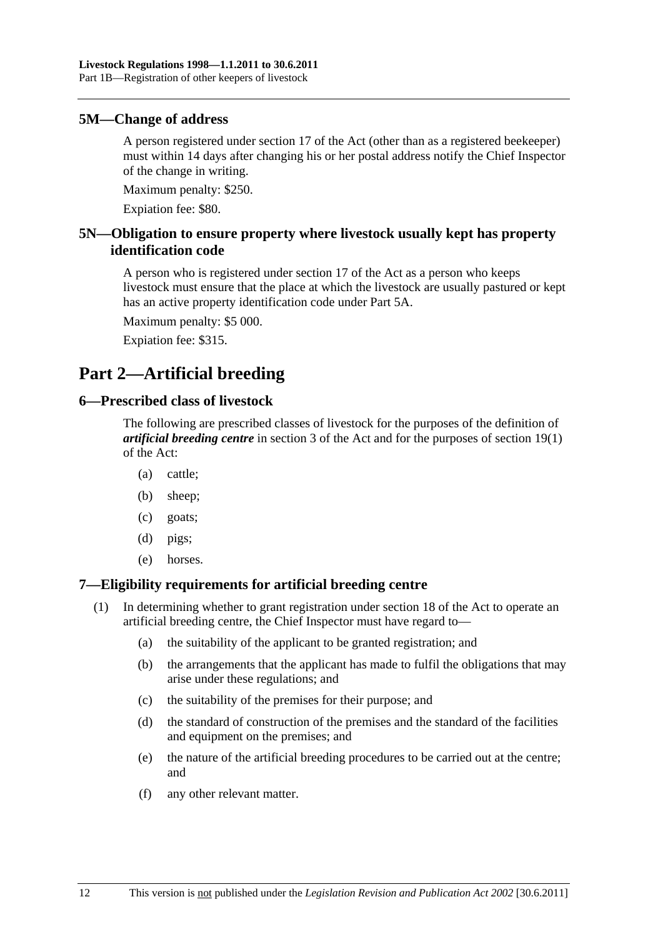#### <span id="page-11-0"></span>**5M—Change of address**

A person registered under section 17 of the Act (other than as a registered beekeeper) must within 14 days after changing his or her postal address notify the Chief Inspector of the change in writing.

Maximum penalty: \$250.

Expiation fee: \$80.

## **5N—Obligation to ensure property where livestock usually kept has property identification code**

A person who is registered under section 17 of the Act as a person who keeps livestock must ensure that the place at which the livestock are usually pastured or kept has an active property identification code under [Part 5A](#page-19-0).

Maximum penalty: \$5 000.

Expiation fee: \$315.

# **Part 2—Artificial breeding**

#### **6—Prescribed class of livestock**

The following are prescribed classes of livestock for the purposes of the definition of *artificial breeding centre* in section 3 of the Act and for the purposes of section 19(1) of the Act:

- (a) cattle;
- (b) sheep;
- (c) goats;
- (d) pigs;
- (e) horses.

## **7—Eligibility requirements for artificial breeding centre**

- (1) In determining whether to grant registration under section 18 of the Act to operate an artificial breeding centre, the Chief Inspector must have regard to—
	- (a) the suitability of the applicant to be granted registration; and
	- (b) the arrangements that the applicant has made to fulfil the obligations that may arise under these regulations; and
	- (c) the suitability of the premises for their purpose; and
	- (d) the standard of construction of the premises and the standard of the facilities and equipment on the premises; and
	- (e) the nature of the artificial breeding procedures to be carried out at the centre; and
	- (f) any other relevant matter.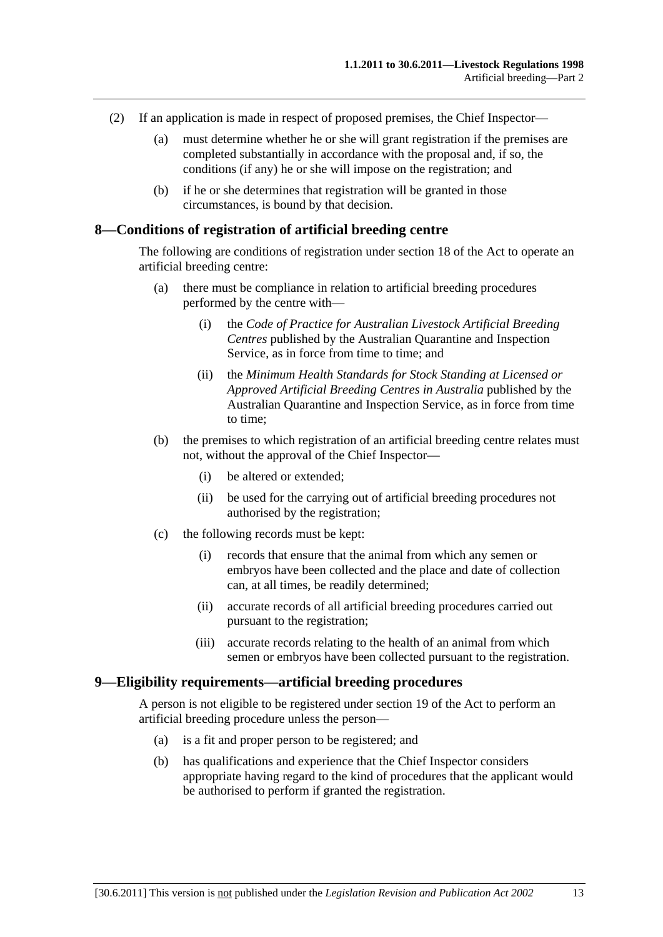- <span id="page-12-0"></span> (2) If an application is made in respect of proposed premises, the Chief Inspector—
	- (a) must determine whether he or she will grant registration if the premises are completed substantially in accordance with the proposal and, if so, the conditions (if any) he or she will impose on the registration; and
	- (b) if he or she determines that registration will be granted in those circumstances, is bound by that decision.

#### **8—Conditions of registration of artificial breeding centre**

The following are conditions of registration under section 18 of the Act to operate an artificial breeding centre:

- (a) there must be compliance in relation to artificial breeding procedures performed by the centre with—
	- (i) the *Code of Practice for Australian Livestock Artificial Breeding Centres* published by the Australian Quarantine and Inspection Service, as in force from time to time; and
	- (ii) the *Minimum Health Standards for Stock Standing at Licensed or Approved Artificial Breeding Centres in Australia* published by the Australian Quarantine and Inspection Service, as in force from time to time;
- (b) the premises to which registration of an artificial breeding centre relates must not, without the approval of the Chief Inspector—
	- (i) be altered or extended;
	- (ii) be used for the carrying out of artificial breeding procedures not authorised by the registration;
- (c) the following records must be kept:
	- (i) records that ensure that the animal from which any semen or embryos have been collected and the place and date of collection can, at all times, be readily determined;
	- (ii) accurate records of all artificial breeding procedures carried out pursuant to the registration;
	- (iii) accurate records relating to the health of an animal from which semen or embryos have been collected pursuant to the registration.

#### **9—Eligibility requirements—artificial breeding procedures**

A person is not eligible to be registered under section 19 of the Act to perform an artificial breeding procedure unless the person—

- (a) is a fit and proper person to be registered; and
- (b) has qualifications and experience that the Chief Inspector considers appropriate having regard to the kind of procedures that the applicant would be authorised to perform if granted the registration.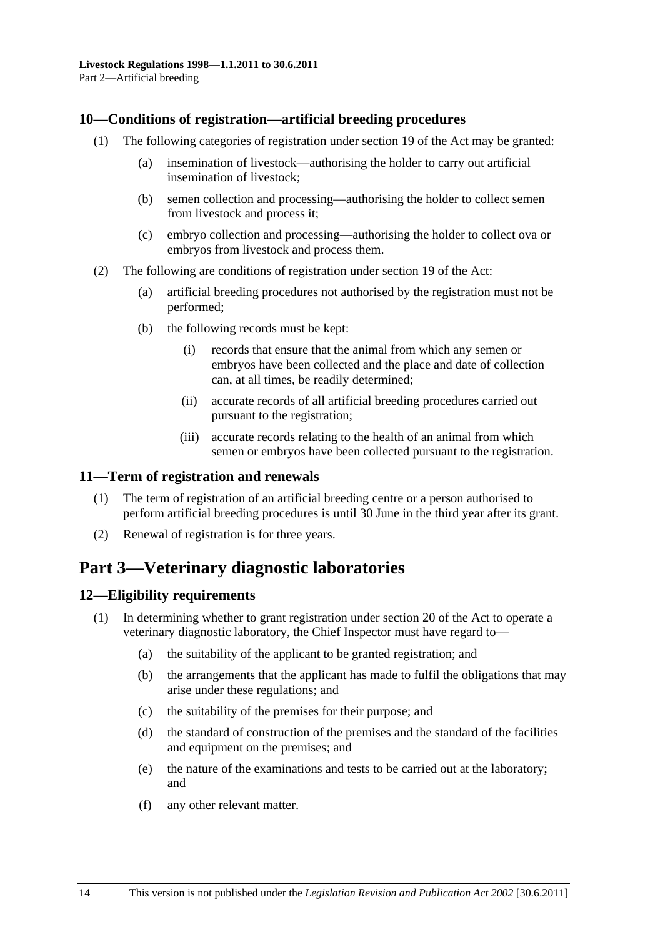#### <span id="page-13-0"></span>**10—Conditions of registration—artificial breeding procedures**

- (1) The following categories of registration under section 19 of the Act may be granted:
	- (a) insemination of livestock—authorising the holder to carry out artificial insemination of livestock;
	- (b) semen collection and processing—authorising the holder to collect semen from livestock and process it;
	- (c) embryo collection and processing—authorising the holder to collect ova or embryos from livestock and process them.
- (2) The following are conditions of registration under section 19 of the Act:
	- (a) artificial breeding procedures not authorised by the registration must not be performed;
	- (b) the following records must be kept:
		- (i) records that ensure that the animal from which any semen or embryos have been collected and the place and date of collection can, at all times, be readily determined;
		- (ii) accurate records of all artificial breeding procedures carried out pursuant to the registration;
		- (iii) accurate records relating to the health of an animal from which semen or embryos have been collected pursuant to the registration.

## **11—Term of registration and renewals**

- (1) The term of registration of an artificial breeding centre or a person authorised to perform artificial breeding procedures is until 30 June in the third year after its grant.
- (2) Renewal of registration is for three years.

# **Part 3—Veterinary diagnostic laboratories**

## **12—Eligibility requirements**

- (1) In determining whether to grant registration under section 20 of the Act to operate a veterinary diagnostic laboratory, the Chief Inspector must have regard to—
	- (a) the suitability of the applicant to be granted registration; and
	- (b) the arrangements that the applicant has made to fulfil the obligations that may arise under these regulations; and
	- (c) the suitability of the premises for their purpose; and
	- (d) the standard of construction of the premises and the standard of the facilities and equipment on the premises; and
	- (e) the nature of the examinations and tests to be carried out at the laboratory; and
	- (f) any other relevant matter.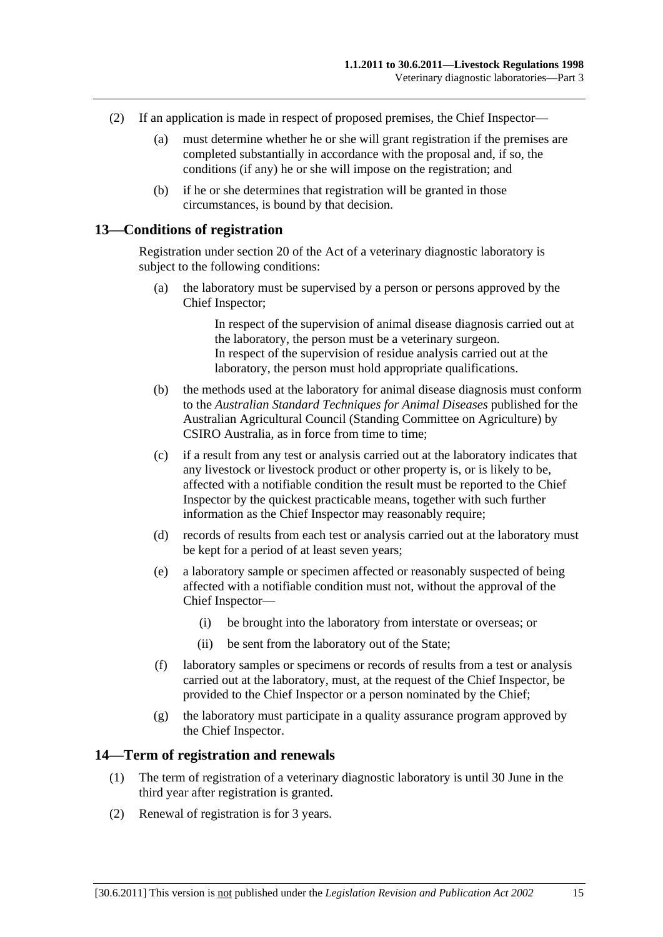- <span id="page-14-0"></span> (2) If an application is made in respect of proposed premises, the Chief Inspector—
	- (a) must determine whether he or she will grant registration if the premises are completed substantially in accordance with the proposal and, if so, the conditions (if any) he or she will impose on the registration; and
	- (b) if he or she determines that registration will be granted in those circumstances, is bound by that decision.

#### **13—Conditions of registration**

Registration under section 20 of the Act of a veterinary diagnostic laboratory is subject to the following conditions:

 (a) the laboratory must be supervised by a person or persons approved by the Chief Inspector;

> In respect of the supervision of animal disease diagnosis carried out at the laboratory, the person must be a veterinary surgeon. In respect of the supervision of residue analysis carried out at the laboratory, the person must hold appropriate qualifications.

- (b) the methods used at the laboratory for animal disease diagnosis must conform to the *Australian Standard Techniques for Animal Diseases* published for the Australian Agricultural Council (Standing Committee on Agriculture) by CSIRO Australia, as in force from time to time;
- (c) if a result from any test or analysis carried out at the laboratory indicates that any livestock or livestock product or other property is, or is likely to be, affected with a notifiable condition the result must be reported to the Chief Inspector by the quickest practicable means, together with such further information as the Chief Inspector may reasonably require;
- (d) records of results from each test or analysis carried out at the laboratory must be kept for a period of at least seven years;
- (e) a laboratory sample or specimen affected or reasonably suspected of being affected with a notifiable condition must not, without the approval of the Chief Inspector—
	- (i) be brought into the laboratory from interstate or overseas; or
	- (ii) be sent from the laboratory out of the State;
- (f) laboratory samples or specimens or records of results from a test or analysis carried out at the laboratory, must, at the request of the Chief Inspector, be provided to the Chief Inspector or a person nominated by the Chief;
- (g) the laboratory must participate in a quality assurance program approved by the Chief Inspector.

#### **14—Term of registration and renewals**

- (1) The term of registration of a veterinary diagnostic laboratory is until 30 June in the third year after registration is granted.
- (2) Renewal of registration is for 3 years.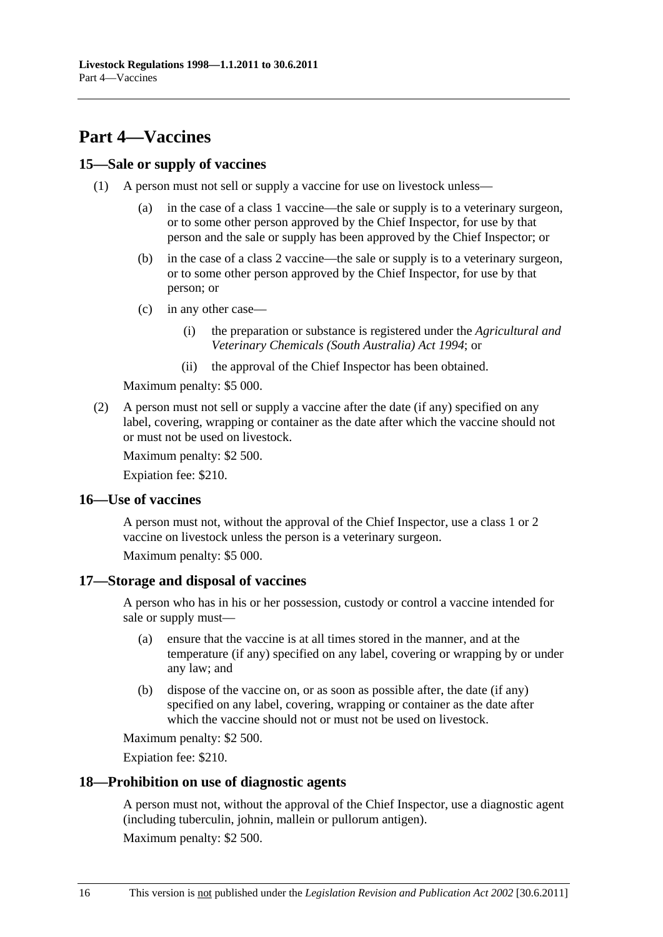# <span id="page-15-0"></span>**Part 4—Vaccines**

### **15—Sale or supply of vaccines**

- (1) A person must not sell or supply a vaccine for use on livestock unless—
	- (a) in the case of a class 1 vaccine—the sale or supply is to a veterinary surgeon, or to some other person approved by the Chief Inspector, for use by that person and the sale or supply has been approved by the Chief Inspector; or
	- (b) in the case of a class 2 vaccine—the sale or supply is to a veterinary surgeon, or to some other person approved by the Chief Inspector, for use by that person; or
	- (c) in any other case—
		- (i) the preparation or substance is registered under the *[Agricultural and](http://www.legislation.sa.gov.au/index.aspx?action=legref&type=act&legtitle=Agricultural%20and%20Veterinary%20Chemicals%20(South%20Australia)%20Act%201994)  [Veterinary Chemicals \(South Australia\) Act 1994](http://www.legislation.sa.gov.au/index.aspx?action=legref&type=act&legtitle=Agricultural%20and%20Veterinary%20Chemicals%20(South%20Australia)%20Act%201994)*; or
		- (ii) the approval of the Chief Inspector has been obtained.

Maximum penalty: \$5 000.

 (2) A person must not sell or supply a vaccine after the date (if any) specified on any label, covering, wrapping or container as the date after which the vaccine should not or must not be used on livestock.

Maximum penalty: \$2 500.

Expiation fee: \$210.

#### **16—Use of vaccines**

A person must not, without the approval of the Chief Inspector, use a class 1 or 2 vaccine on livestock unless the person is a veterinary surgeon.

Maximum penalty: \$5 000.

#### **17—Storage and disposal of vaccines**

A person who has in his or her possession, custody or control a vaccine intended for sale or supply must—

- (a) ensure that the vaccine is at all times stored in the manner, and at the temperature (if any) specified on any label, covering or wrapping by or under any law; and
- (b) dispose of the vaccine on, or as soon as possible after, the date (if any) specified on any label, covering, wrapping or container as the date after which the vaccine should not or must not be used on livestock.

Maximum penalty: \$2 500.

Expiation fee: \$210.

#### **18—Prohibition on use of diagnostic agents**

A person must not, without the approval of the Chief Inspector, use a diagnostic agent (including tuberculin, johnin, mallein or pullorum antigen).

Maximum penalty: \$2 500.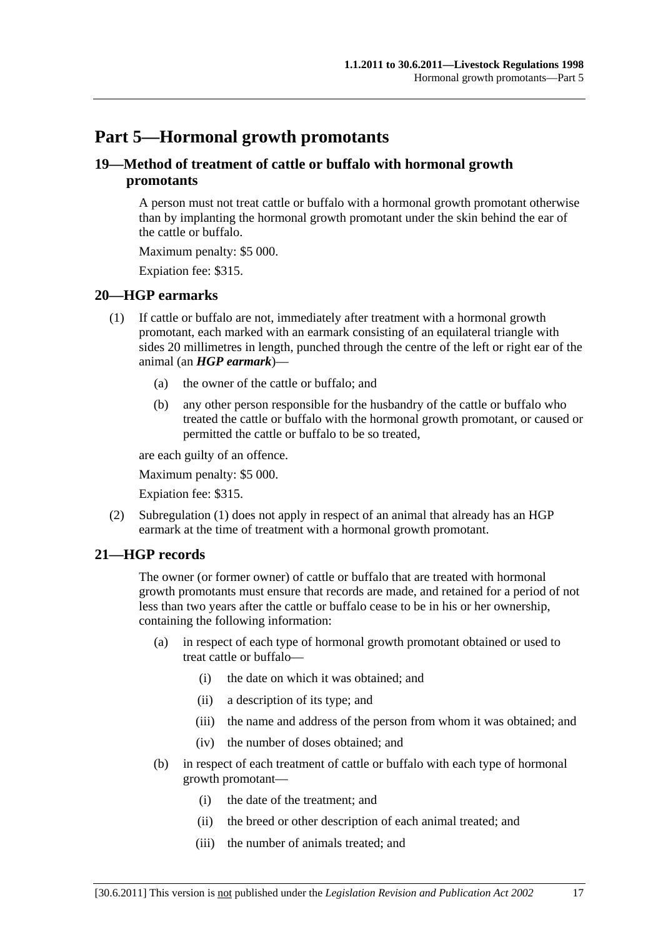# <span id="page-16-0"></span>**Part 5—Hormonal growth promotants**

## **19—Method of treatment of cattle or buffalo with hormonal growth promotants**

A person must not treat cattle or buffalo with a hormonal growth promotant otherwise than by implanting the hormonal growth promotant under the skin behind the ear of the cattle or buffalo.

Maximum penalty: \$5 000.

Expiation fee: \$315.

#### **20—HGP earmarks**

- (1) If cattle or buffalo are not, immediately after treatment with a hormonal growth promotant, each marked with an earmark consisting of an equilateral triangle with sides 20 millimetres in length, punched through the centre of the left or right ear of the animal (an *HGP earmark*)—
	- (a) the owner of the cattle or buffalo; and
	- (b) any other person responsible for the husbandry of the cattle or buffalo who treated the cattle or buffalo with the hormonal growth promotant, or caused or permitted the cattle or buffalo to be so treated,

are each guilty of an offence.

Maximum penalty: \$5 000.

Expiation fee: \$315.

 (2) [Subregulation \(1\)](#page-16-0) does not apply in respect of an animal that already has an HGP earmark at the time of treatment with a hormonal growth promotant.

## **21—HGP records**

The owner (or former owner) of cattle or buffalo that are treated with hormonal growth promotants must ensure that records are made, and retained for a period of not less than two years after the cattle or buffalo cease to be in his or her ownership, containing the following information:

- (a) in respect of each type of hormonal growth promotant obtained or used to treat cattle or buffalo—
	- (i) the date on which it was obtained; and
	- (ii) a description of its type; and
	- (iii) the name and address of the person from whom it was obtained; and
	- (iv) the number of doses obtained; and
- (b) in respect of each treatment of cattle or buffalo with each type of hormonal growth promotant—
	- (i) the date of the treatment; and
	- (ii) the breed or other description of each animal treated; and
	- (iii) the number of animals treated; and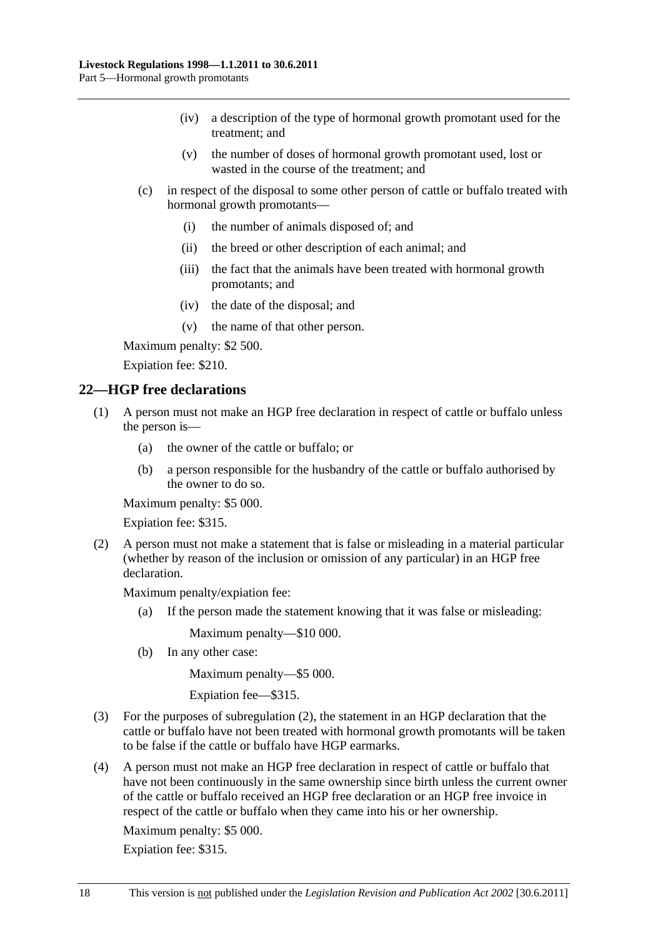- <span id="page-17-0"></span> (iv) a description of the type of hormonal growth promotant used for the treatment; and
- (v) the number of doses of hormonal growth promotant used, lost or wasted in the course of the treatment; and
- (c) in respect of the disposal to some other person of cattle or buffalo treated with hormonal growth promotants—
	- (i) the number of animals disposed of; and
	- (ii) the breed or other description of each animal; and
	- (iii) the fact that the animals have been treated with hormonal growth promotants; and
	- (iv) the date of the disposal; and
	- (v) the name of that other person.

Maximum penalty: \$2 500.

Expiation fee: \$210.

#### **22—HGP free declarations**

- (1) A person must not make an HGP free declaration in respect of cattle or buffalo unless the person is—
	- (a) the owner of the cattle or buffalo; or
	- (b) a person responsible for the husbandry of the cattle or buffalo authorised by the owner to do so.

Maximum penalty: \$5 000.

Expiation fee: \$315.

 (2) A person must not make a statement that is false or misleading in a material particular (whether by reason of the inclusion or omission of any particular) in an HGP free declaration.

Maximum penalty/expiation fee:

(a) If the person made the statement knowing that it was false or misleading:

Maximum penalty—\$10 000.

(b) In any other case:

Maximum penalty—\$5 000.

Expiation fee—\$315.

- (3) For the purposes of [subregulation \(2\),](#page-17-0) the statement in an HGP declaration that the cattle or buffalo have not been treated with hormonal growth promotants will be taken to be false if the cattle or buffalo have HGP earmarks.
- (4) A person must not make an HGP free declaration in respect of cattle or buffalo that have not been continuously in the same ownership since birth unless the current owner of the cattle or buffalo received an HGP free declaration or an HGP free invoice in respect of the cattle or buffalo when they came into his or her ownership.

Maximum penalty: \$5 000.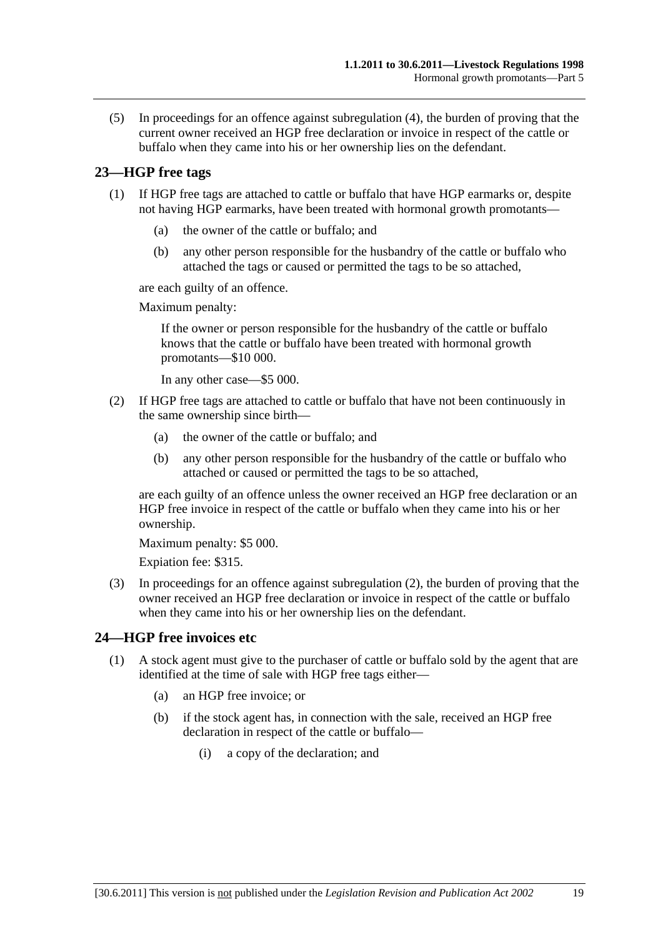<span id="page-18-0"></span> (5) In proceedings for an offence against [subregulation \(4\)](#page-17-0), the burden of proving that the current owner received an HGP free declaration or invoice in respect of the cattle or buffalo when they came into his or her ownership lies on the defendant.

## **23—HGP free tags**

- (1) If HGP free tags are attached to cattle or buffalo that have HGP earmarks or, despite not having HGP earmarks, have been treated with hormonal growth promotants—
	- (a) the owner of the cattle or buffalo; and
	- (b) any other person responsible for the husbandry of the cattle or buffalo who attached the tags or caused or permitted the tags to be so attached,

are each guilty of an offence.

Maximum penalty:

If the owner or person responsible for the husbandry of the cattle or buffalo knows that the cattle or buffalo have been treated with hormonal growth promotants—\$10 000.

In any other case—\$5 000.

- (2) If HGP free tags are attached to cattle or buffalo that have not been continuously in the same ownership since birth—
	- (a) the owner of the cattle or buffalo; and
	- (b) any other person responsible for the husbandry of the cattle or buffalo who attached or caused or permitted the tags to be so attached,

are each guilty of an offence unless the owner received an HGP free declaration or an HGP free invoice in respect of the cattle or buffalo when they came into his or her ownership.

Maximum penalty: \$5 000.

Expiation fee: \$315.

 (3) In proceedings for an offence against [subregulation \(2\)](#page-18-0), the burden of proving that the owner received an HGP free declaration or invoice in respect of the cattle or buffalo when they came into his or her ownership lies on the defendant.

## **24—HGP free invoices etc**

- (1) A stock agent must give to the purchaser of cattle or buffalo sold by the agent that are identified at the time of sale with HGP free tags either—
	- (a) an HGP free invoice; or
	- (b) if the stock agent has, in connection with the sale, received an HGP free declaration in respect of the cattle or buffalo—
		- (i) a copy of the declaration; and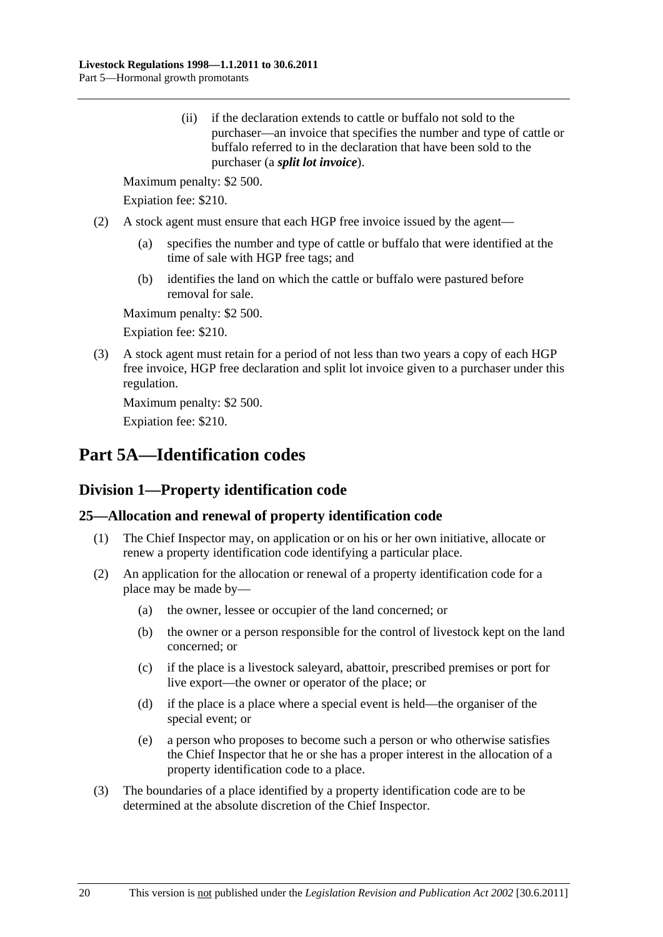<span id="page-19-0"></span> (ii) if the declaration extends to cattle or buffalo not sold to the purchaser—an invoice that specifies the number and type of cattle or buffalo referred to in the declaration that have been sold to the purchaser (a *split lot invoice*).

Maximum penalty: \$2 500.

Expiation fee: \$210.

- (2) A stock agent must ensure that each HGP free invoice issued by the agent—
	- (a) specifies the number and type of cattle or buffalo that were identified at the time of sale with HGP free tags; and
	- (b) identifies the land on which the cattle or buffalo were pastured before removal for sale.

Maximum penalty: \$2 500.

Expiation fee: \$210.

 (3) A stock agent must retain for a period of not less than two years a copy of each HGP free invoice, HGP free declaration and split lot invoice given to a purchaser under this regulation.

Maximum penalty: \$2 500.

Expiation fee: \$210.

# **Part 5A—Identification codes**

## **Division 1—Property identification code**

## **25—Allocation and renewal of property identification code**

- (1) The Chief Inspector may, on application or on his or her own initiative, allocate or renew a property identification code identifying a particular place.
- (2) An application for the allocation or renewal of a property identification code for a place may be made by—
	- (a) the owner, lessee or occupier of the land concerned; or
	- (b) the owner or a person responsible for the control of livestock kept on the land concerned; or
	- (c) if the place is a livestock saleyard, abattoir, prescribed premises or port for live export—the owner or operator of the place; or
	- (d) if the place is a place where a special event is held—the organiser of the special event; or
	- (e) a person who proposes to become such a person or who otherwise satisfies the Chief Inspector that he or she has a proper interest in the allocation of a property identification code to a place.
- (3) The boundaries of a place identified by a property identification code are to be determined at the absolute discretion of the Chief Inspector.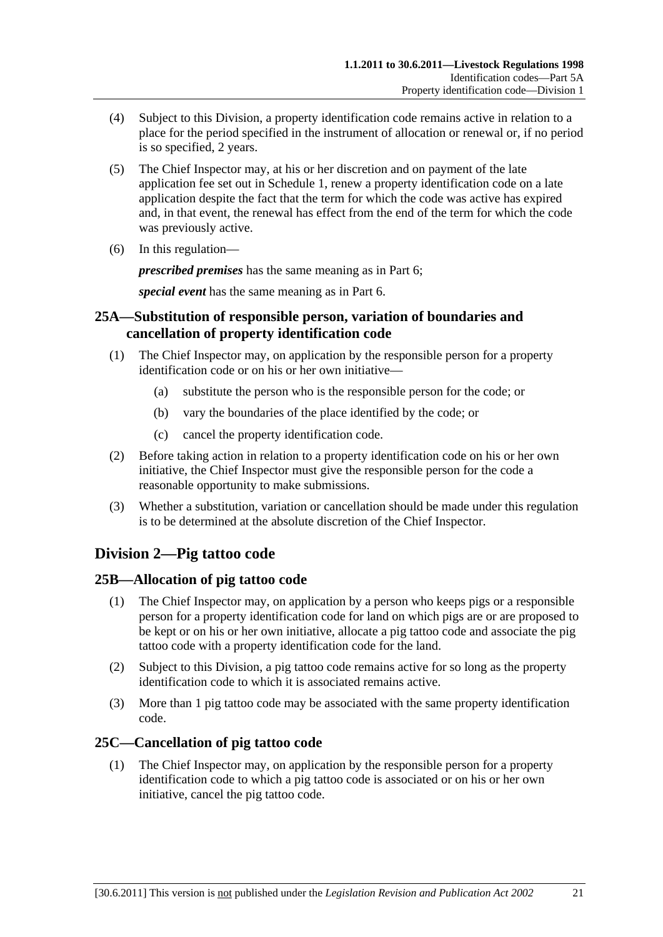- <span id="page-20-0"></span> (4) Subject to this Division, a property identification code remains active in relation to a place for the period specified in the instrument of allocation or renewal or, if no period is so specified, 2 years.
- (5) The Chief Inspector may, at his or her discretion and on payment of the late application fee set out in [Schedule 1,](#page-46-0) renew a property identification code on a late application despite the fact that the term for which the code was active has expired and, in that event, the renewal has effect from the end of the term for which the code was previously active.
- (6) In this regulation—

*prescribed premises* has the same meaning as in [Part 6;](#page-22-0)

*special event* has the same meaning as in [Part 6.](#page-22-0)

## **25A—Substitution of responsible person, variation of boundaries and cancellation of property identification code**

- (1) The Chief Inspector may, on application by the responsible person for a property identification code or on his or her own initiative—
	- (a) substitute the person who is the responsible person for the code; or
	- (b) vary the boundaries of the place identified by the code; or
	- (c) cancel the property identification code.
- (2) Before taking action in relation to a property identification code on his or her own initiative, the Chief Inspector must give the responsible person for the code a reasonable opportunity to make submissions.
- (3) Whether a substitution, variation or cancellation should be made under this regulation is to be determined at the absolute discretion of the Chief Inspector.

## **Division 2—Pig tattoo code**

## **25B—Allocation of pig tattoo code**

- (1) The Chief Inspector may, on application by a person who keeps pigs or a responsible person for a property identification code for land on which pigs are or are proposed to be kept or on his or her own initiative, allocate a pig tattoo code and associate the pig tattoo code with a property identification code for the land.
- (2) Subject to this Division, a pig tattoo code remains active for so long as the property identification code to which it is associated remains active.
- (3) More than 1 pig tattoo code may be associated with the same property identification code.

## **25C—Cancellation of pig tattoo code**

 (1) The Chief Inspector may, on application by the responsible person for a property identification code to which a pig tattoo code is associated or on his or her own initiative, cancel the pig tattoo code.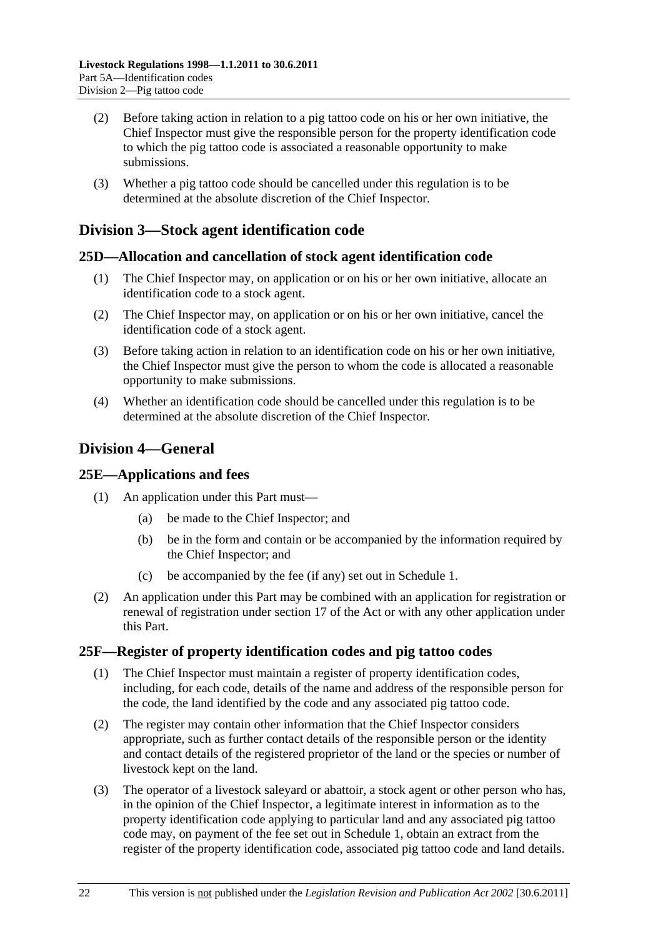- <span id="page-21-0"></span> (2) Before taking action in relation to a pig tattoo code on his or her own initiative, the Chief Inspector must give the responsible person for the property identification code to which the pig tattoo code is associated a reasonable opportunity to make submissions.
- (3) Whether a pig tattoo code should be cancelled under this regulation is to be determined at the absolute discretion of the Chief Inspector.

## **Division 3—Stock agent identification code**

#### **25D—Allocation and cancellation of stock agent identification code**

- (1) The Chief Inspector may, on application or on his or her own initiative, allocate an identification code to a stock agent.
- (2) The Chief Inspector may, on application or on his or her own initiative, cancel the identification code of a stock agent.
- (3) Before taking action in relation to an identification code on his or her own initiative, the Chief Inspector must give the person to whom the code is allocated a reasonable opportunity to make submissions.
- (4) Whether an identification code should be cancelled under this regulation is to be determined at the absolute discretion of the Chief Inspector.

## **Division 4—General**

#### **25E—Applications and fees**

- (1) An application under this Part must—
	- (a) be made to the Chief Inspector; and
	- (b) be in the form and contain or be accompanied by the information required by the Chief Inspector; and
	- (c) be accompanied by the fee (if any) set out in [Schedule 1.](#page-46-0)
- (2) An application under this Part may be combined with an application for registration or renewal of registration under section 17 of the Act or with any other application under this Part.

## **25F—Register of property identification codes and pig tattoo codes**

- (1) The Chief Inspector must maintain a register of property identification codes, including, for each code, details of the name and address of the responsible person for the code, the land identified by the code and any associated pig tattoo code.
- (2) The register may contain other information that the Chief Inspector considers appropriate, such as further contact details of the responsible person or the identity and contact details of the registered proprietor of the land or the species or number of livestock kept on the land.
- (3) The operator of a livestock saleyard or abattoir, a stock agent or other person who has, in the opinion of the Chief Inspector, a legitimate interest in information as to the property identification code applying to particular land and any associated pig tattoo code may, on payment of the fee set out in [Schedule 1,](#page-46-0) obtain an extract from the register of the property identification code, associated pig tattoo code and land details.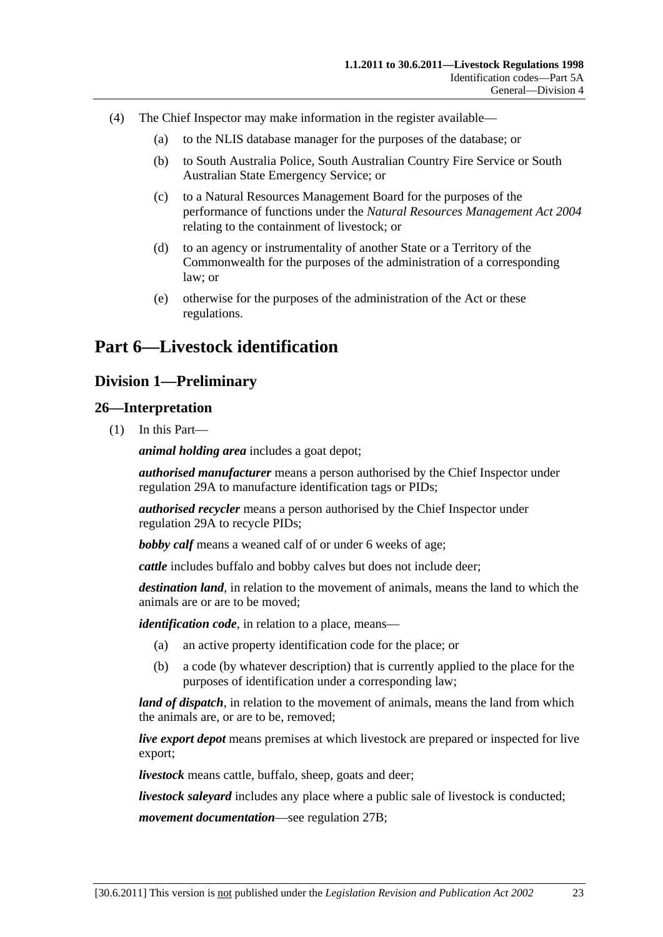- <span id="page-22-0"></span> (4) The Chief Inspector may make information in the register available—
	- (a) to the NLIS database manager for the purposes of the database; or
	- (b) to South Australia Police, South Australian Country Fire Service or South Australian State Emergency Service; or
	- (c) to a Natural Resources Management Board for the purposes of the performance of functions under the *[Natural Resources Management Act 2004](http://www.legislation.sa.gov.au/index.aspx?action=legref&type=act&legtitle=Natural%20Resources%20Management%20Act%202004)* relating to the containment of livestock; or
	- (d) to an agency or instrumentality of another State or a Territory of the Commonwealth for the purposes of the administration of a corresponding law; or
	- (e) otherwise for the purposes of the administration of the Act or these regulations.

# **Part 6—Livestock identification**

## **Division 1—Preliminary**

#### **26—Interpretation**

(1) In this Part—

*animal holding area* includes a goat depot;

*authorised manufacturer* means a person authorised by the Chief Inspector under [regulation 29A](#page-38-0) to manufacture identification tags or PIDs;

*authorised recycler* means a person authorised by the Chief Inspector under [regulation 29A](#page-38-0) to recycle PIDs;

*bobby calf* means a weaned calf of or under 6 weeks of age;

*cattle* includes buffalo and bobby calves but does not include deer;

*destination land*, in relation to the movement of animals, means the land to which the animals are or are to be moved;

*identification code*, in relation to a place, means—

- (a) an active property identification code for the place; or
- (b) a code (by whatever description) that is currently applied to the place for the purposes of identification under a corresponding law;

*land of dispatch*, in relation to the movement of animals, means the land from which the animals are, or are to be, removed;

*live export depot* means premises at which livestock are prepared or inspected for live export;

*livestock* means cattle, buffalo, sheep, goats and deer;

*livestock saleyard* includes any place where a public sale of livestock is conducted;

*movement documentation*—see [regulation 27B;](#page-25-0)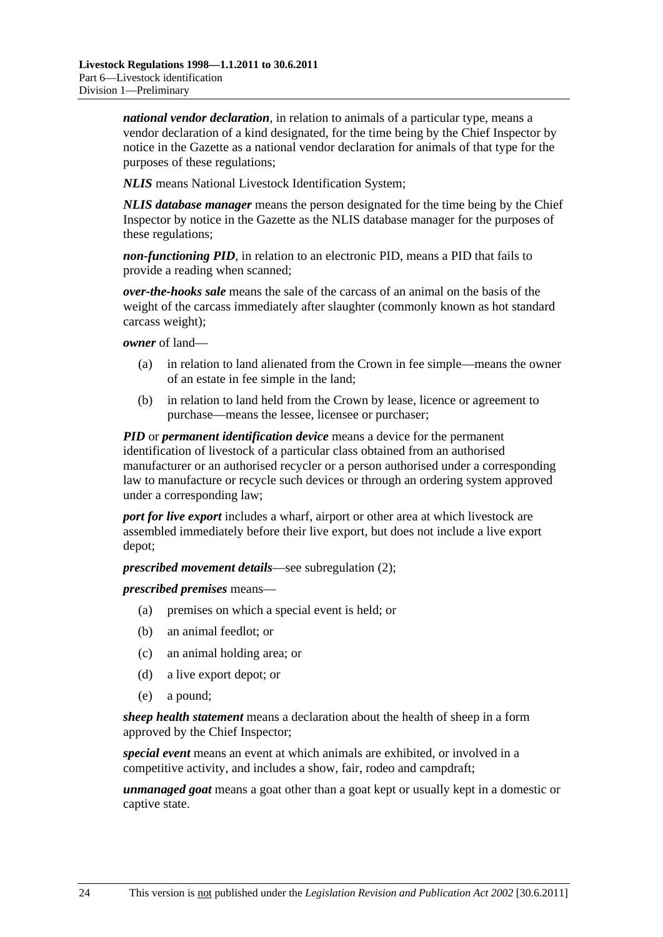*national vendor declaration*, in relation to animals of a particular type, means a vendor declaration of a kind designated, for the time being by the Chief Inspector by notice in the Gazette as a national vendor declaration for animals of that type for the purposes of these regulations;

*NLIS* means National Livestock Identification System;

*NLIS database manager* means the person designated for the time being by the Chief Inspector by notice in the Gazette as the NLIS database manager for the purposes of these regulations;

*non-functioning PID*, in relation to an electronic PID, means a PID that fails to provide a reading when scanned;

*over-the-hooks sale* means the sale of the carcass of an animal on the basis of the weight of the carcass immediately after slaughter (commonly known as hot standard carcass weight);

*owner* of land—

- (a) in relation to land alienated from the Crown in fee simple—means the owner of an estate in fee simple in the land;
- (b) in relation to land held from the Crown by lease, licence or agreement to purchase—means the lessee, licensee or purchaser;

*PID* or *permanent identification device* means a device for the permanent identification of livestock of a particular class obtained from an authorised manufacturer or an authorised recycler or a person authorised under a corresponding law to manufacture or recycle such devices or through an ordering system approved under a corresponding law;

*port for live export* includes a wharf, airport or other area at which livestock are assembled immediately before their live export, but does not include a live export depot;

*prescribed movement details*—see [subregulation \(2\);](#page-24-0)

*prescribed premises* means—

- (a) premises on which a special event is held; or
- (b) an animal feedlot; or
- (c) an animal holding area; or
- (d) a live export depot; or
- (e) a pound;

*sheep health statement* means a declaration about the health of sheep in a form approved by the Chief Inspector;

*special event* means an event at which animals are exhibited, or involved in a competitive activity, and includes a show, fair, rodeo and campdraft;

*unmanaged goat* means a goat other than a goat kept or usually kept in a domestic or captive state.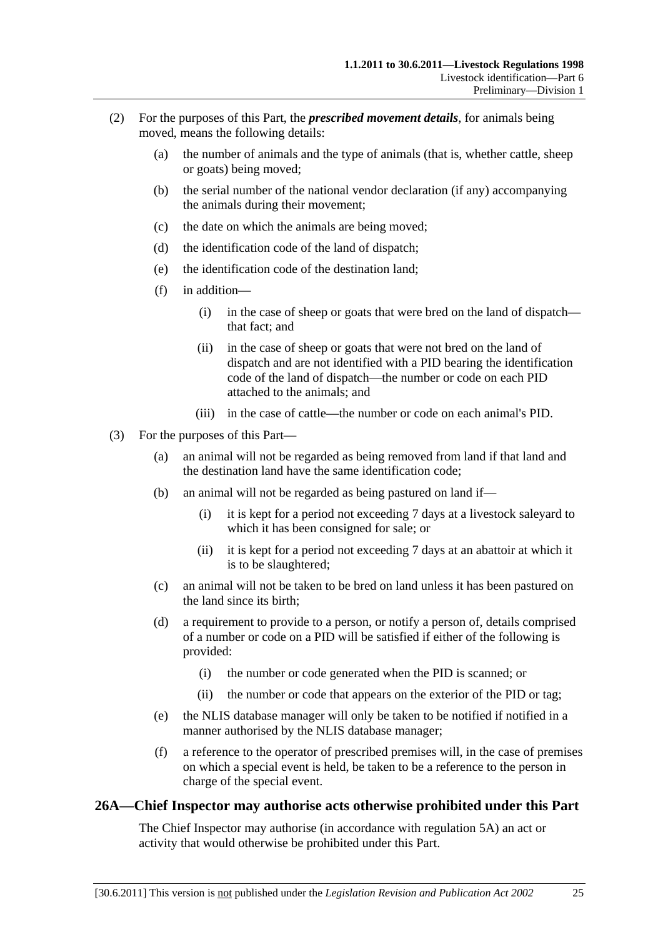- <span id="page-24-0"></span> (2) For the purposes of this Part, the *prescribed movement details*, for animals being moved, means the following details:
	- (a) the number of animals and the type of animals (that is, whether cattle, sheep or goats) being moved;
	- (b) the serial number of the national vendor declaration (if any) accompanying the animals during their movement;
	- (c) the date on which the animals are being moved;
	- (d) the identification code of the land of dispatch;
	- (e) the identification code of the destination land;
	- (f) in addition—
		- (i) in the case of sheep or goats that were bred on the land of dispatch that fact; and
		- (ii) in the case of sheep or goats that were not bred on the land of dispatch and are not identified with a PID bearing the identification code of the land of dispatch—the number or code on each PID attached to the animals; and
		- (iii) in the case of cattle—the number or code on each animal's PID.
- (3) For the purposes of this Part—
	- (a) an animal will not be regarded as being removed from land if that land and the destination land have the same identification code;
	- (b) an animal will not be regarded as being pastured on land if—
		- (i) it is kept for a period not exceeding 7 days at a livestock saleyard to which it has been consigned for sale; or
		- (ii) it is kept for a period not exceeding 7 days at an abattoir at which it is to be slaughtered;
	- (c) an animal will not be taken to be bred on land unless it has been pastured on the land since its birth;
	- (d) a requirement to provide to a person, or notify a person of, details comprised of a number or code on a PID will be satisfied if either of the following is provided:
		- (i) the number or code generated when the PID is scanned; or
		- (ii) the number or code that appears on the exterior of the PID or tag;
	- (e) the NLIS database manager will only be taken to be notified if notified in a manner authorised by the NLIS database manager;
	- (f) a reference to the operator of prescribed premises will, in the case of premises on which a special event is held, be taken to be a reference to the person in charge of the special event.

#### **26A—Chief Inspector may authorise acts otherwise prohibited under this Part**

The Chief Inspector may authorise (in accordance with [regulation 5A](#page-5-0)) an act or activity that would otherwise be prohibited under this Part.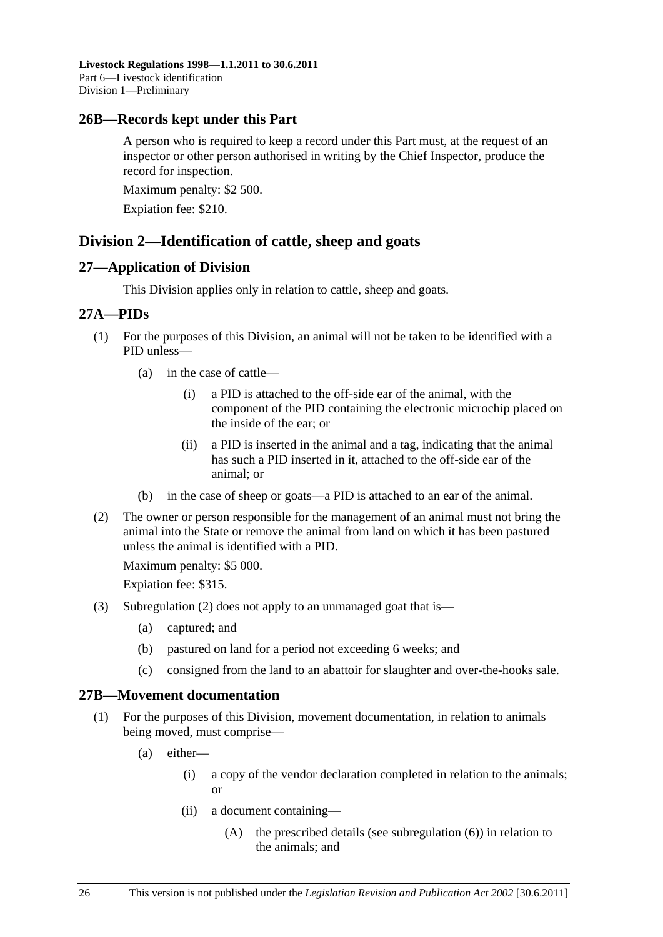### <span id="page-25-0"></span>**26B—Records kept under this Part**

A person who is required to keep a record under this Part must, at the request of an inspector or other person authorised in writing by the Chief Inspector, produce the record for inspection.

Maximum penalty: \$2 500.

Expiation fee: \$210.

## **Division 2—Identification of cattle, sheep and goats**

#### **27—Application of Division**

This Division applies only in relation to cattle, sheep and goats.

#### **27A—PIDs**

- (1) For the purposes of this Division, an animal will not be taken to be identified with a PID unless—
	- (a) in the case of cattle—
		- (i) a PID is attached to the off-side ear of the animal, with the component of the PID containing the electronic microchip placed on the inside of the ear; or
		- (ii) a PID is inserted in the animal and a tag, indicating that the animal has such a PID inserted in it, attached to the off-side ear of the animal; or
	- (b) in the case of sheep or goats—a PID is attached to an ear of the animal.
- (2) The owner or person responsible for the management of an animal must not bring the animal into the State or remove the animal from land on which it has been pastured unless the animal is identified with a PID.

Maximum penalty: \$5 000.

Expiation fee: \$315.

- (3) [Subregulation \(2\)](#page-25-0) does not apply to an unmanaged goat that is—
	- (a) captured; and
	- (b) pastured on land for a period not exceeding 6 weeks; and
	- (c) consigned from the land to an abattoir for slaughter and over-the-hooks sale.

## **27B—Movement documentation**

- (1) For the purposes of this Division, movement documentation, in relation to animals being moved, must comprise—
	- (a) either—
		- (i) a copy of the vendor declaration completed in relation to the animals; or
		- (ii) a document containing—
			- (A) the prescribed details (see [subregulation \(6\)\)](#page-27-0) in relation to the animals; and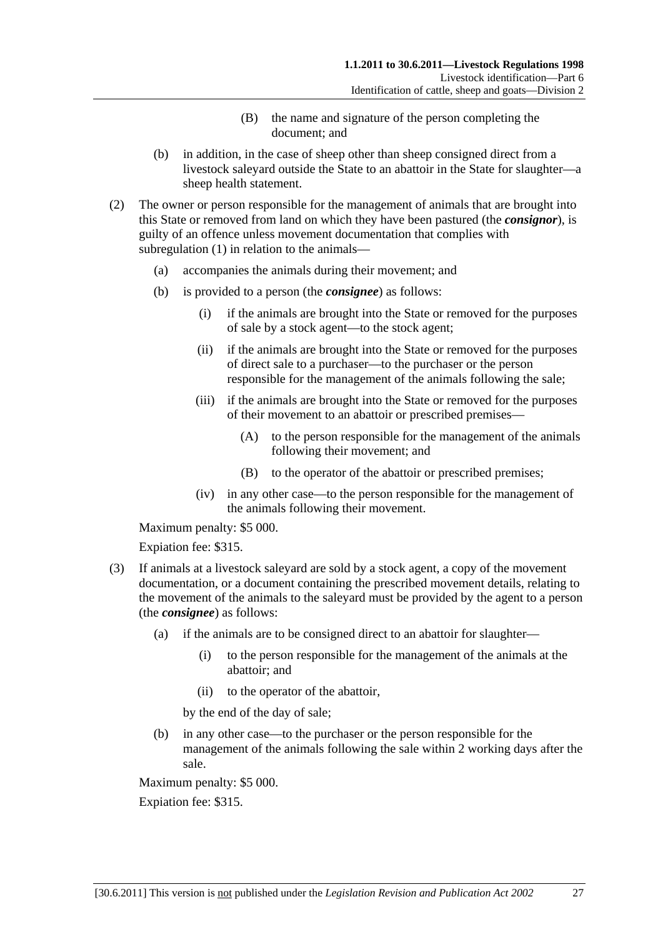- (B) the name and signature of the person completing the document; and
- <span id="page-26-0"></span> (b) in addition, in the case of sheep other than sheep consigned direct from a livestock saleyard outside the State to an abattoir in the State for slaughter—a sheep health statement.
- (2) The owner or person responsible for the management of animals that are brought into this State or removed from land on which they have been pastured (the *consignor*), is guilty of an offence unless movement documentation that complies with [subregulation \(1\)](#page-25-0) in relation to the animals—
	- (a) accompanies the animals during their movement; and
	- (b) is provided to a person (the *consignee*) as follows:
		- (i) if the animals are brought into the State or removed for the purposes of sale by a stock agent—to the stock agent;
		- (ii) if the animals are brought into the State or removed for the purposes of direct sale to a purchaser—to the purchaser or the person responsible for the management of the animals following the sale;
		- (iii) if the animals are brought into the State or removed for the purposes of their movement to an abattoir or prescribed premises—
			- (A) to the person responsible for the management of the animals following their movement; and
			- (B) to the operator of the abattoir or prescribed premises;
		- (iv) in any other case—to the person responsible for the management of the animals following their movement.

Maximum penalty: \$5 000.

Expiation fee: \$315.

- (3) If animals at a livestock saleyard are sold by a stock agent, a copy of the movement documentation, or a document containing the prescribed movement details, relating to the movement of the animals to the saleyard must be provided by the agent to a person (the *consignee*) as follows:
	- (a) if the animals are to be consigned direct to an abattoir for slaughter—
		- (i) to the person responsible for the management of the animals at the abattoir; and
		- (ii) to the operator of the abattoir,

by the end of the day of sale;

 (b) in any other case—to the purchaser or the person responsible for the management of the animals following the sale within 2 working days after the sale.

Maximum penalty: \$5 000.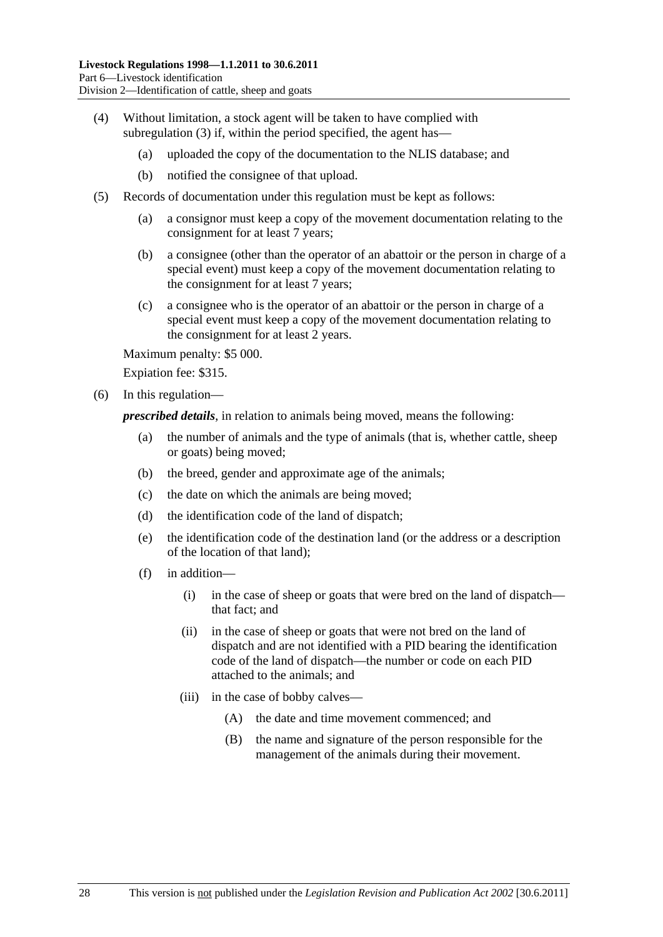- <span id="page-27-0"></span> (4) Without limitation, a stock agent will be taken to have complied with [subregulation \(3\)](#page-26-0) if, within the period specified, the agent has—
	- (a) uploaded the copy of the documentation to the NLIS database; and
	- (b) notified the consignee of that upload.
- (5) Records of documentation under this regulation must be kept as follows:
	- (a) a consignor must keep a copy of the movement documentation relating to the consignment for at least 7 years;
	- (b) a consignee (other than the operator of an abattoir or the person in charge of a special event) must keep a copy of the movement documentation relating to the consignment for at least 7 years;
	- (c) a consignee who is the operator of an abattoir or the person in charge of a special event must keep a copy of the movement documentation relating to the consignment for at least 2 years.

Maximum penalty: \$5 000.

Expiation fee: \$315.

(6) In this regulation—

*prescribed details*, in relation to animals being moved, means the following:

- (a) the number of animals and the type of animals (that is, whether cattle, sheep or goats) being moved;
- (b) the breed, gender and approximate age of the animals;
- (c) the date on which the animals are being moved;
- (d) the identification code of the land of dispatch;
- (e) the identification code of the destination land (or the address or a description of the location of that land);
- (f) in addition—
	- (i) in the case of sheep or goats that were bred on the land of dispatch that fact; and
	- (ii) in the case of sheep or goats that were not bred on the land of dispatch and are not identified with a PID bearing the identification code of the land of dispatch—the number or code on each PID attached to the animals; and
	- (iii) in the case of bobby calves—
		- (A) the date and time movement commenced; and
		- (B) the name and signature of the person responsible for the management of the animals during their movement.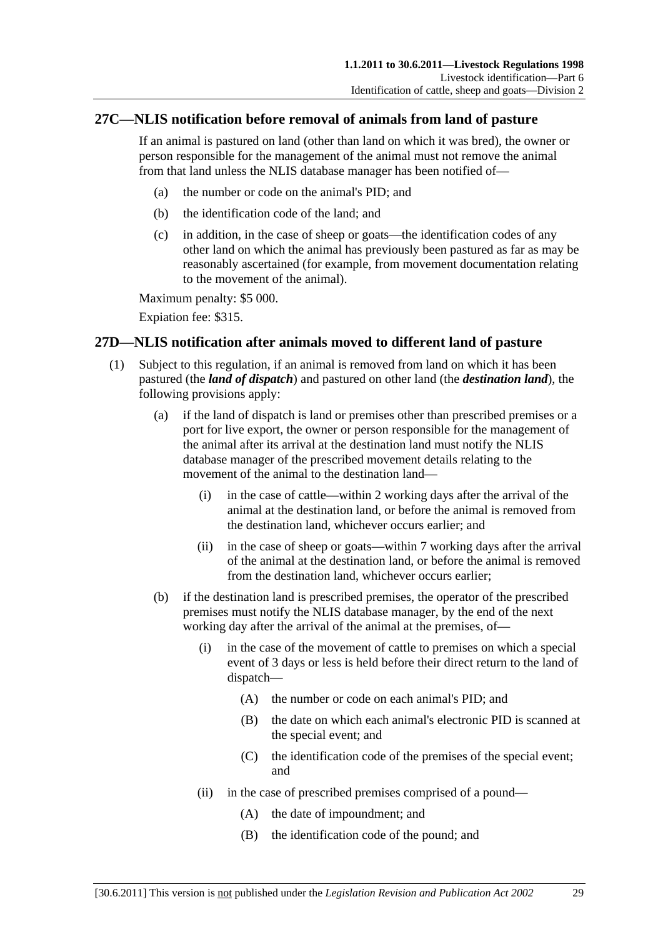## <span id="page-28-0"></span>**27C—NLIS notification before removal of animals from land of pasture**

If an animal is pastured on land (other than land on which it was bred), the owner or person responsible for the management of the animal must not remove the animal from that land unless the NLIS database manager has been notified of—

- (a) the number or code on the animal's PID; and
- (b) the identification code of the land; and
- (c) in addition, in the case of sheep or goats—the identification codes of any other land on which the animal has previously been pastured as far as may be reasonably ascertained (for example, from movement documentation relating to the movement of the animal).

Maximum penalty: \$5 000.

Expiation fee: \$315.

## **27D—NLIS notification after animals moved to different land of pasture**

- (1) Subject to this regulation, if an animal is removed from land on which it has been pastured (the *land of dispatch*) and pastured on other land (the *destination land*), the following provisions apply:
	- (a) if the land of dispatch is land or premises other than prescribed premises or a port for live export, the owner or person responsible for the management of the animal after its arrival at the destination land must notify the NLIS database manager of the prescribed movement details relating to the movement of the animal to the destination land—
		- (i) in the case of cattle—within 2 working days after the arrival of the animal at the destination land, or before the animal is removed from the destination land, whichever occurs earlier; and
		- (ii) in the case of sheep or goats—within 7 working days after the arrival of the animal at the destination land, or before the animal is removed from the destination land, whichever occurs earlier;
	- (b) if the destination land is prescribed premises, the operator of the prescribed premises must notify the NLIS database manager, by the end of the next working day after the arrival of the animal at the premises, of—
		- (i) in the case of the movement of cattle to premises on which a special event of 3 days or less is held before their direct return to the land of dispatch—
			- (A) the number or code on each animal's PID; and
			- (B) the date on which each animal's electronic PID is scanned at the special event; and
			- (C) the identification code of the premises of the special event; and
		- (ii) in the case of prescribed premises comprised of a pound—
			- (A) the date of impoundment; and
			- (B) the identification code of the pound; and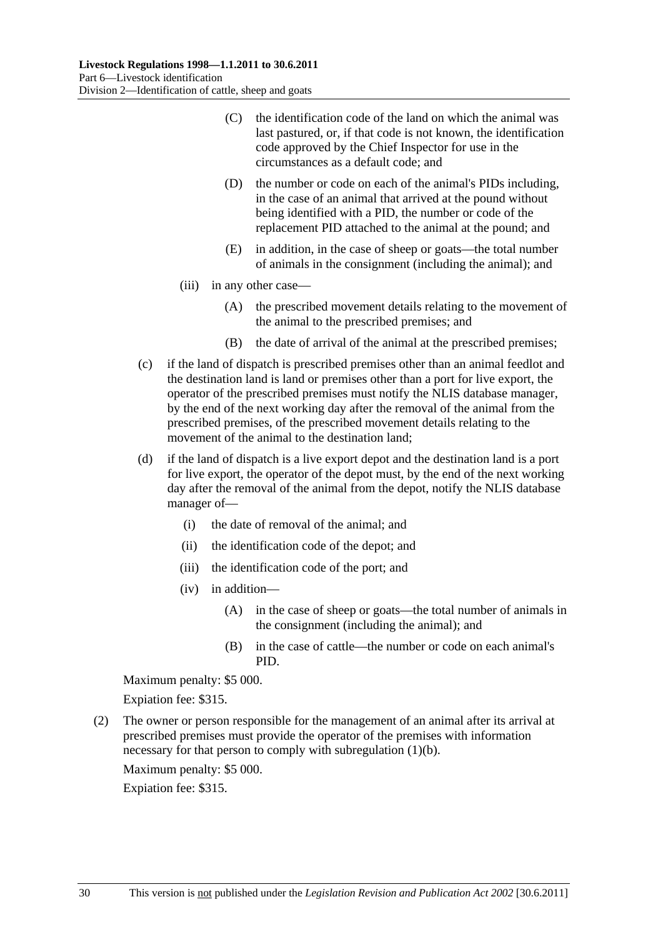- <span id="page-29-0"></span> (C) the identification code of the land on which the animal was last pastured, or, if that code is not known, the identification code approved by the Chief Inspector for use in the circumstances as a default code; and
- (D) the number or code on each of the animal's PIDs including, in the case of an animal that arrived at the pound without being identified with a PID, the number or code of the replacement PID attached to the animal at the pound; and
- (E) in addition, in the case of sheep or goats—the total number of animals in the consignment (including the animal); and
- (iii) in any other case—
	- (A) the prescribed movement details relating to the movement of the animal to the prescribed premises; and
	- (B) the date of arrival of the animal at the prescribed premises;
- (c) if the land of dispatch is prescribed premises other than an animal feedlot and the destination land is land or premises other than a port for live export, the operator of the prescribed premises must notify the NLIS database manager, by the end of the next working day after the removal of the animal from the prescribed premises, of the prescribed movement details relating to the movement of the animal to the destination land;
- (d) if the land of dispatch is a live export depot and the destination land is a port for live export, the operator of the depot must, by the end of the next working day after the removal of the animal from the depot, notify the NLIS database manager of—
	- (i) the date of removal of the animal; and
	- (ii) the identification code of the depot; and
	- (iii) the identification code of the port; and
	- (iv) in addition—
		- (A) in the case of sheep or goats—the total number of animals in the consignment (including the animal); and
		- (B) in the case of cattle—the number or code on each animal's PID.

Maximum penalty: \$5 000.

Expiation fee: \$315.

 (2) The owner or person responsible for the management of an animal after its arrival at prescribed premises must provide the operator of the premises with information necessary for that person to comply with [subregulation \(1\)\(b\).](#page-28-0)

Maximum penalty: \$5 000.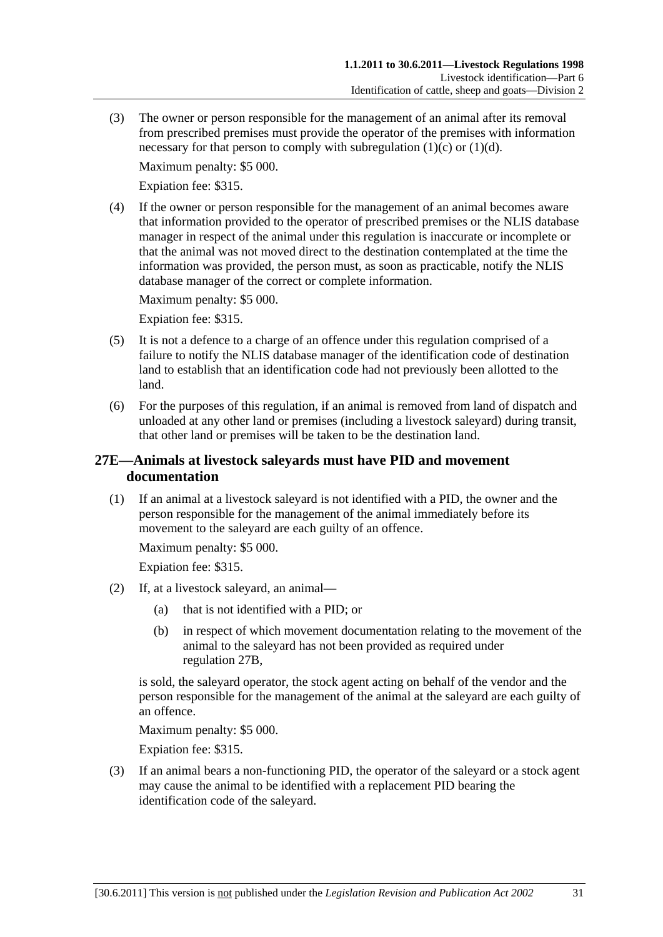<span id="page-30-0"></span> (3) The owner or person responsible for the management of an animal after its removal from prescribed premises must provide the operator of the premises with information necessary for that person to comply with subregulation  $(1)(c)$  or  $(1)(d)$ .

Maximum penalty: \$5 000.

Expiation fee: \$315.

 (4) If the owner or person responsible for the management of an animal becomes aware that information provided to the operator of prescribed premises or the NLIS database manager in respect of the animal under this regulation is inaccurate or incomplete or that the animal was not moved direct to the destination contemplated at the time the information was provided, the person must, as soon as practicable, notify the NLIS database manager of the correct or complete information.

Maximum penalty: \$5 000.

Expiation fee: \$315.

- (5) It is not a defence to a charge of an offence under this regulation comprised of a failure to notify the NLIS database manager of the identification code of destination land to establish that an identification code had not previously been allotted to the land.
- (6) For the purposes of this regulation, if an animal is removed from land of dispatch and unloaded at any other land or premises (including a livestock saleyard) during transit, that other land or premises will be taken to be the destination land.

## **27E—Animals at livestock saleyards must have PID and movement documentation**

 (1) If an animal at a livestock saleyard is not identified with a PID, the owner and the person responsible for the management of the animal immediately before its movement to the saleyard are each guilty of an offence.

Maximum penalty: \$5 000.

Expiation fee: \$315.

- (2) If, at a livestock saleyard, an animal—
	- (a) that is not identified with a PID; or
	- (b) in respect of which movement documentation relating to the movement of the animal to the saleyard has not been provided as required under [regulation 27B](#page-25-0),

is sold, the saleyard operator, the stock agent acting on behalf of the vendor and the person responsible for the management of the animal at the saleyard are each guilty of an offence.

Maximum penalty: \$5 000.

Expiation fee: \$315.

 (3) If an animal bears a non-functioning PID, the operator of the saleyard or a stock agent may cause the animal to be identified with a replacement PID bearing the identification code of the saleyard.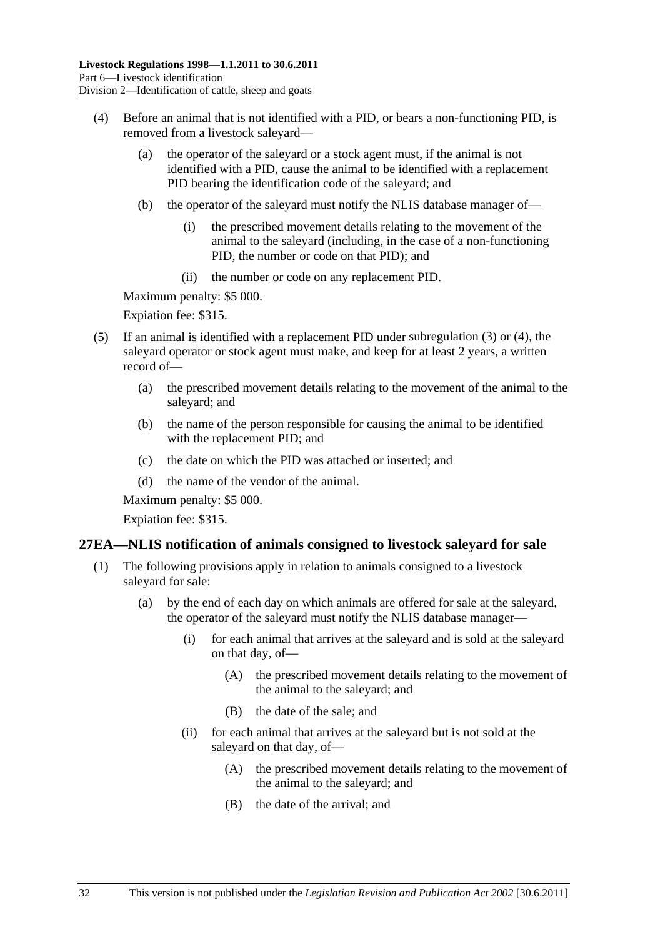- <span id="page-31-0"></span> (4) Before an animal that is not identified with a PID, or bears a non-functioning PID, is removed from a livestock saleyard—
	- (a) the operator of the saleyard or a stock agent must, if the animal is not identified with a PID, cause the animal to be identified with a replacement PID bearing the identification code of the saleyard; and
	- (b) the operator of the saleyard must notify the NLIS database manager of—
		- (i) the prescribed movement details relating to the movement of the animal to the saleyard (including, in the case of a non-functioning PID, the number or code on that PID); and
		- (ii) the number or code on any replacement PID.

Maximum penalty: \$5 000.

Expiation fee: \$315.

- (5) If an animal is identified with a replacement PID under [subregulation \(3\)](#page-30-0) or [\(4\),](#page-31-0) the saleyard operator or stock agent must make, and keep for at least 2 years, a written record of—
	- (a) the prescribed movement details relating to the movement of the animal to the saleyard; and
	- (b) the name of the person responsible for causing the animal to be identified with the replacement PID; and
	- (c) the date on which the PID was attached or inserted; and
	- (d) the name of the vendor of the animal.

Maximum penalty: \$5 000.

Expiation fee: \$315.

#### **27EA—NLIS notification of animals consigned to livestock saleyard for sale**

- (1) The following provisions apply in relation to animals consigned to a livestock saleyard for sale:
	- (a) by the end of each day on which animals are offered for sale at the saleyard, the operator of the saleyard must notify the NLIS database manager—
		- (i) for each animal that arrives at the saleyard and is sold at the saleyard on that day, of—
			- (A) the prescribed movement details relating to the movement of the animal to the saleyard; and
			- (B) the date of the sale; and
		- (ii) for each animal that arrives at the saleyard but is not sold at the saleyard on that day, of—
			- (A) the prescribed movement details relating to the movement of the animal to the saleyard; and
			- (B) the date of the arrival; and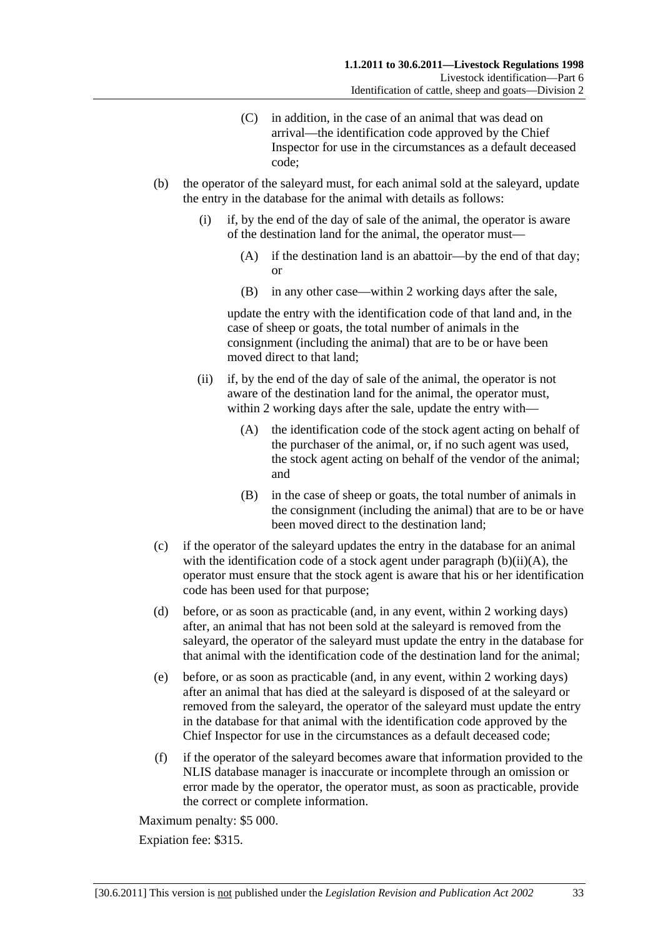- (C) in addition, in the case of an animal that was dead on arrival—the identification code approved by the Chief Inspector for use in the circumstances as a default deceased code;
- <span id="page-32-0"></span> (b) the operator of the saleyard must, for each animal sold at the saleyard, update the entry in the database for the animal with details as follows:
	- (i) if, by the end of the day of sale of the animal, the operator is aware of the destination land for the animal, the operator must—
		- (A) if the destination land is an abattoir—by the end of that day; or
		- (B) in any other case—within 2 working days after the sale,

update the entry with the identification code of that land and, in the case of sheep or goats, the total number of animals in the consignment (including the animal) that are to be or have been moved direct to that land;

- (ii) if, by the end of the day of sale of the animal, the operator is not aware of the destination land for the animal, the operator must, within 2 working days after the sale, update the entry with—
	- (A) the identification code of the stock agent acting on behalf of the purchaser of the animal, or, if no such agent was used, the stock agent acting on behalf of the vendor of the animal; and
	- (B) in the case of sheep or goats, the total number of animals in the consignment (including the animal) that are to be or have been moved direct to the destination land;
- (c) if the operator of the saleyard updates the entry in the database for an animal with the identification code of a stock agent under paragraph  $(b)(ii)(A)$ , the operator must ensure that the stock agent is aware that his or her identification code has been used for that purpose;
- (d) before, or as soon as practicable (and, in any event, within 2 working days) after, an animal that has not been sold at the saleyard is removed from the saleyard, the operator of the saleyard must update the entry in the database for that animal with the identification code of the destination land for the animal;
- (e) before, or as soon as practicable (and, in any event, within 2 working days) after an animal that has died at the saleyard is disposed of at the saleyard or removed from the saleyard, the operator of the saleyard must update the entry in the database for that animal with the identification code approved by the Chief Inspector for use in the circumstances as a default deceased code;
- (f) if the operator of the saleyard becomes aware that information provided to the NLIS database manager is inaccurate or incomplete through an omission or error made by the operator, the operator must, as soon as practicable, provide the correct or complete information.

Maximum penalty: \$5 000.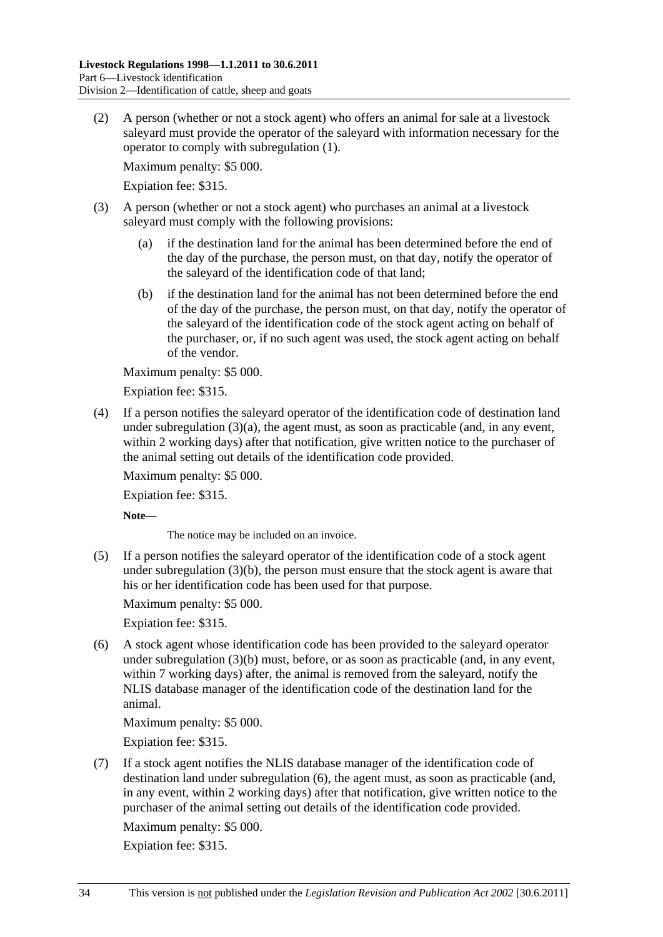<span id="page-33-0"></span> (2) A person (whether or not a stock agent) who offers an animal for sale at a livestock saleyard must provide the operator of the saleyard with information necessary for the operator to comply with [subregulation \(1\)](#page-31-0).

Maximum penalty: \$5 000.

Expiation fee: \$315.

- (3) A person (whether or not a stock agent) who purchases an animal at a livestock saleyard must comply with the following provisions:
	- (a) if the destination land for the animal has been determined before the end of the day of the purchase, the person must, on that day, notify the operator of the saleyard of the identification code of that land;
	- (b) if the destination land for the animal has not been determined before the end of the day of the purchase, the person must, on that day, notify the operator of the saleyard of the identification code of the stock agent acting on behalf of the purchaser, or, if no such agent was used, the stock agent acting on behalf of the vendor.

Maximum penalty: \$5 000.

Expiation fee: \$315.

 (4) If a person notifies the saleyard operator of the identification code of destination land under subregulation  $(3)(a)$ , the agent must, as soon as practicable (and, in any event, within 2 working days) after that notification, give written notice to the purchaser of the animal setting out details of the identification code provided.

Maximum penalty: \$5 000.

Expiation fee: \$315.

**Note—** 

The notice may be included on an invoice.

 (5) If a person notifies the saleyard operator of the identification code of a stock agent under [subregulation \(3\)\(b\),](#page-33-0) the person must ensure that the stock agent is aware that his or her identification code has been used for that purpose.

Maximum penalty: \$5 000.

Expiation fee: \$315.

 (6) A stock agent whose identification code has been provided to the saleyard operator under [subregulation \(3\)\(b\)](#page-33-0) must, before, or as soon as practicable (and, in any event, within 7 working days) after, the animal is removed from the saleyard, notify the NLIS database manager of the identification code of the destination land for the animal.

Maximum penalty: \$5 000.

Expiation fee: \$315.

 (7) If a stock agent notifies the NLIS database manager of the identification code of destination land under [subregulation \(6\),](#page-33-0) the agent must, as soon as practicable (and, in any event, within 2 working days) after that notification, give written notice to the purchaser of the animal setting out details of the identification code provided.

Maximum penalty: \$5 000.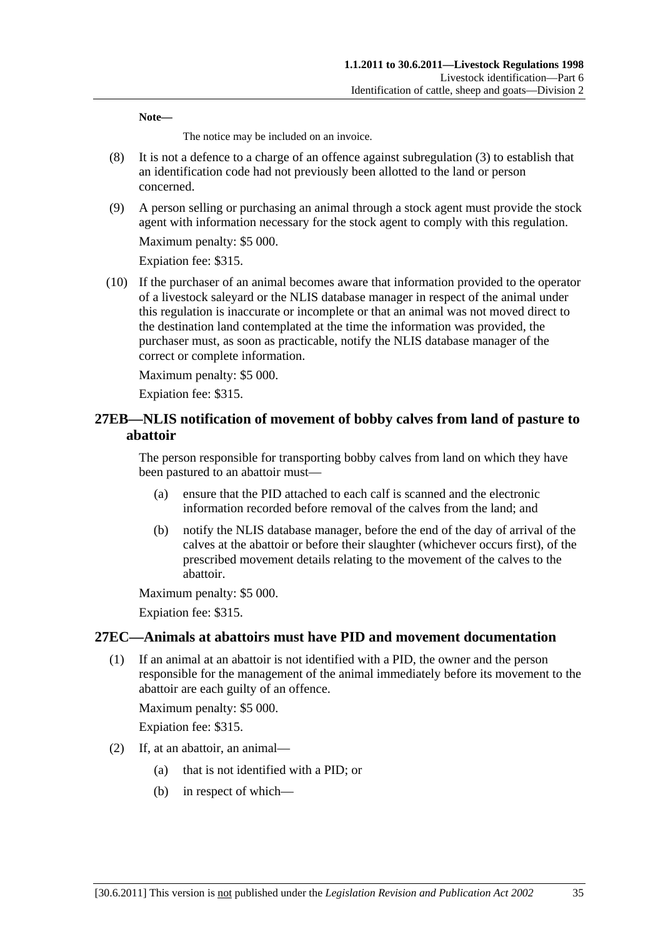<span id="page-34-0"></span>**Note—** 

The notice may be included on an invoice.

- (8) It is not a defence to a charge of an offence against [subregulation \(3\)](#page-33-0) to establish that an identification code had not previously been allotted to the land or person concerned.
- (9) A person selling or purchasing an animal through a stock agent must provide the stock agent with information necessary for the stock agent to comply with this regulation.

Maximum penalty: \$5 000.

Expiation fee: \$315.

 (10) If the purchaser of an animal becomes aware that information provided to the operator of a livestock saleyard or the NLIS database manager in respect of the animal under this regulation is inaccurate or incomplete or that an animal was not moved direct to the destination land contemplated at the time the information was provided, the purchaser must, as soon as practicable, notify the NLIS database manager of the correct or complete information.

Maximum penalty: \$5 000.

Expiation fee: \$315.

## **27EB—NLIS notification of movement of bobby calves from land of pasture to abattoir**

The person responsible for transporting bobby calves from land on which they have been pastured to an abattoir must—

- (a) ensure that the PID attached to each calf is scanned and the electronic information recorded before removal of the calves from the land; and
- (b) notify the NLIS database manager, before the end of the day of arrival of the calves at the abattoir or before their slaughter (whichever occurs first), of the prescribed movement details relating to the movement of the calves to the abattoir.

Maximum penalty: \$5 000.

Expiation fee: \$315.

## **27EC—Animals at abattoirs must have PID and movement documentation**

 (1) If an animal at an abattoir is not identified with a PID, the owner and the person responsible for the management of the animal immediately before its movement to the abattoir are each guilty of an offence.

Maximum penalty: \$5 000.

- (2) If, at an abattoir, an animal—
	- (a) that is not identified with a PID; or
	- (b) in respect of which—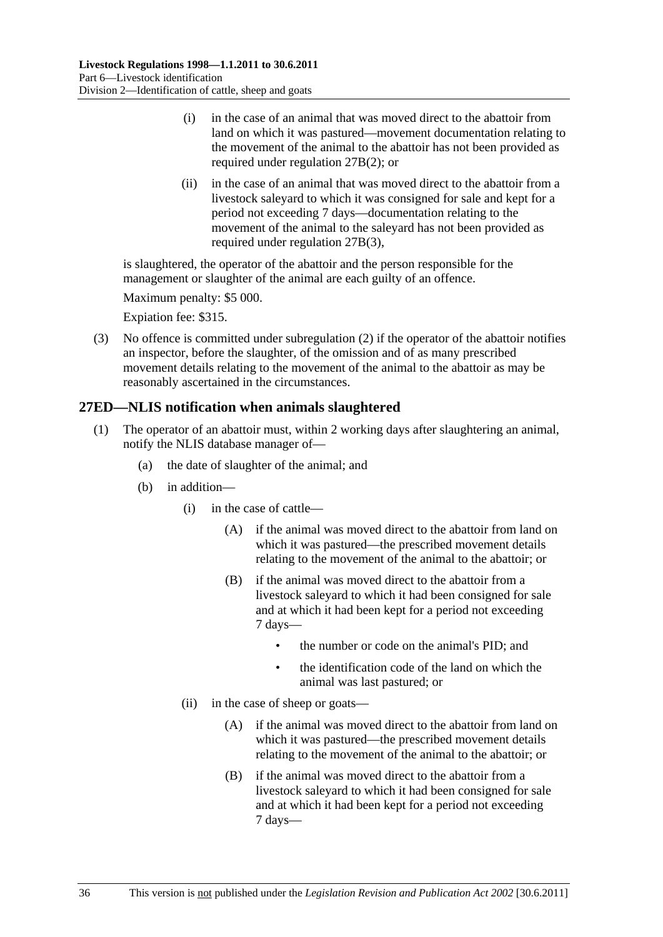- <span id="page-35-0"></span> (i) in the case of an animal that was moved direct to the abattoir from land on which it was pastured—movement documentation relating to the movement of the animal to the abattoir has not been provided as required under [regulation 27B\(2\)](#page-26-0); or
- (ii) in the case of an animal that was moved direct to the abattoir from a livestock saleyard to which it was consigned for sale and kept for a period not exceeding 7 days—documentation relating to the movement of the animal to the saleyard has not been provided as required under [regulation 27B\(3\)](#page-26-0),

is slaughtered, the operator of the abattoir and the person responsible for the management or slaughter of the animal are each guilty of an offence.

Maximum penalty: \$5 000.

Expiation fee: \$315.

 (3) No offence is committed under [subregulation \(2\)](#page-34-0) if the operator of the abattoir notifies an inspector, before the slaughter, of the omission and of as many prescribed movement details relating to the movement of the animal to the abattoir as may be reasonably ascertained in the circumstances.

## **27ED—NLIS notification when animals slaughtered**

- (1) The operator of an abattoir must, within 2 working days after slaughtering an animal, notify the NLIS database manager of—
	- (a) the date of slaughter of the animal; and
	- (b) in addition—
		- (i) in the case of cattle—
			- (A) if the animal was moved direct to the abattoir from land on which it was pastured—the prescribed movement details relating to the movement of the animal to the abattoir; or
			- (B) if the animal was moved direct to the abattoir from a livestock saleyard to which it had been consigned for sale and at which it had been kept for a period not exceeding 7 days—
				- the number or code on the animal's PID; and
				- the identification code of the land on which the animal was last pastured; or
		- (ii) in the case of sheep or goats—
			- (A) if the animal was moved direct to the abattoir from land on which it was pastured—the prescribed movement details relating to the movement of the animal to the abattoir; or
			- (B) if the animal was moved direct to the abattoir from a livestock saleyard to which it had been consigned for sale and at which it had been kept for a period not exceeding 7 days—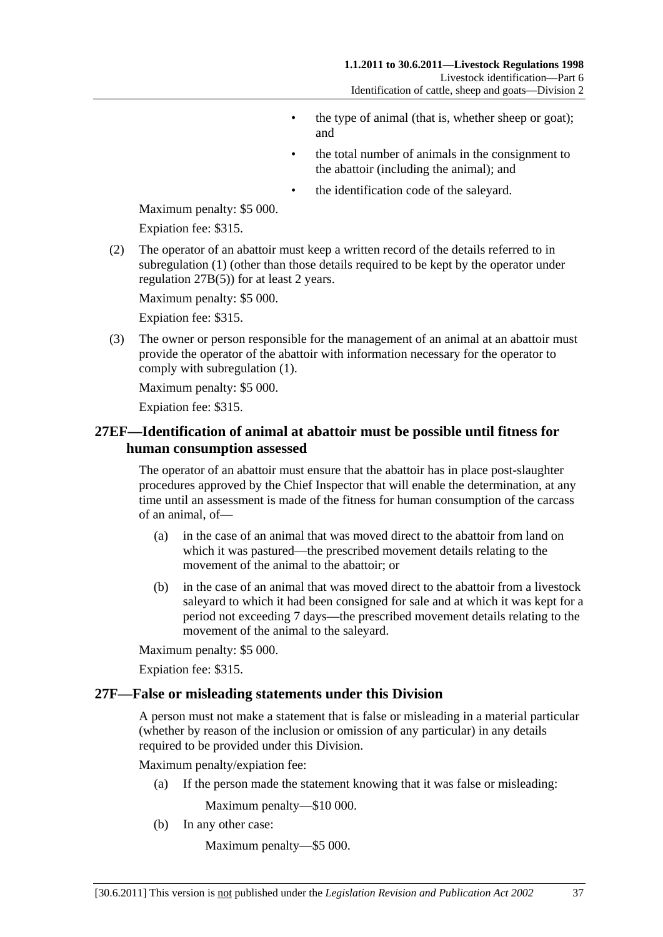- the type of animal (that is, whether sheep or goat); and
- the total number of animals in the consignment to the abattoir (including the animal); and
- the identification code of the saleyard.

<span id="page-36-0"></span>Maximum penalty: \$5 000.

Expiation fee: \$315.

 (2) The operator of an abattoir must keep a written record of the details referred to in [subregulation \(1\)](#page-35-0) (other than those details required to be kept by the operator under [regulation 27B\(5\)\)](#page-27-0) for at least 2 years.

Maximum penalty: \$5 000.

Expiation fee: \$315.

 (3) The owner or person responsible for the management of an animal at an abattoir must provide the operator of the abattoir with information necessary for the operator to comply with [subregulation \(1\)](#page-35-0).

Maximum penalty: \$5 000.

Expiation fee: \$315.

## **27EF—Identification of animal at abattoir must be possible until fitness for human consumption assessed**

The operator of an abattoir must ensure that the abattoir has in place post-slaughter procedures approved by the Chief Inspector that will enable the determination, at any time until an assessment is made of the fitness for human consumption of the carcass of an animal, of—

- (a) in the case of an animal that was moved direct to the abattoir from land on which it was pastured—the prescribed movement details relating to the movement of the animal to the abattoir; or
- (b) in the case of an animal that was moved direct to the abattoir from a livestock saleyard to which it had been consigned for sale and at which it was kept for a period not exceeding 7 days—the prescribed movement details relating to the movement of the animal to the saleyard.

Maximum penalty: \$5 000.

Expiation fee: \$315.

#### **27F—False or misleading statements under this Division**

A person must not make a statement that is false or misleading in a material particular (whether by reason of the inclusion or omission of any particular) in any details required to be provided under this Division.

Maximum penalty/expiation fee:

(a) If the person made the statement knowing that it was false or misleading:

Maximum penalty—\$10 000.

(b) In any other case:

Maximum penalty—\$5 000.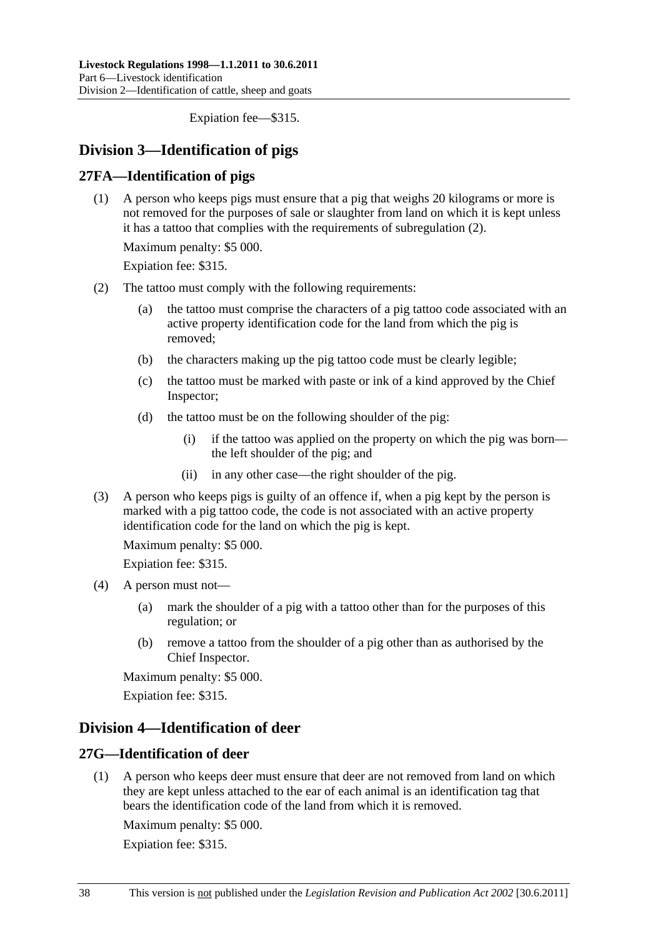Expiation fee—\$315.

## <span id="page-37-0"></span>**Division 3—Identification of pigs**

## **27FA—Identification of pigs**

 (1) A person who keeps pigs must ensure that a pig that weighs 20 kilograms or more is not removed for the purposes of sale or slaughter from land on which it is kept unless it has a tattoo that complies with the requirements of [subregulation \(2\)](#page-37-0).

Maximum penalty: \$5 000.

Expiation fee: \$315.

- (2) The tattoo must comply with the following requirements:
	- (a) the tattoo must comprise the characters of a pig tattoo code associated with an active property identification code for the land from which the pig is removed;
	- (b) the characters making up the pig tattoo code must be clearly legible;
	- (c) the tattoo must be marked with paste or ink of a kind approved by the Chief Inspector;
	- (d) the tattoo must be on the following shoulder of the pig:
		- (i) if the tattoo was applied on the property on which the pig was born the left shoulder of the pig; and
		- (ii) in any other case—the right shoulder of the pig.
- (3) A person who keeps pigs is guilty of an offence if, when a pig kept by the person is marked with a pig tattoo code, the code is not associated with an active property identification code for the land on which the pig is kept.

Maximum penalty: \$5 000.

Expiation fee: \$315.

- (4) A person must not—
	- (a) mark the shoulder of a pig with a tattoo other than for the purposes of this regulation; or
	- (b) remove a tattoo from the shoulder of a pig other than as authorised by the Chief Inspector.

Maximum penalty: \$5 000.

Expiation fee: \$315.

## **Division 4—Identification of deer**

## **27G—Identification of deer**

 (1) A person who keeps deer must ensure that deer are not removed from land on which they are kept unless attached to the ear of each animal is an identification tag that bears the identification code of the land from which it is removed.

Maximum penalty: \$5 000.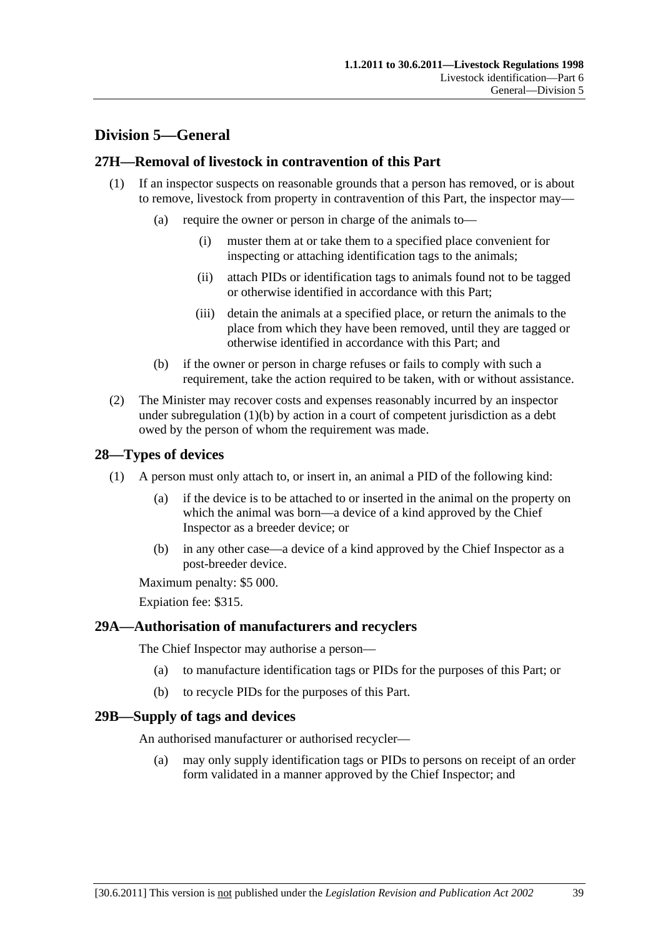# <span id="page-38-0"></span>**Division 5—General**

## **27H—Removal of livestock in contravention of this Part**

- (1) If an inspector suspects on reasonable grounds that a person has removed, or is about to remove, livestock from property in contravention of this Part, the inspector may—
	- (a) require the owner or person in charge of the animals to—
		- (i) muster them at or take them to a specified place convenient for inspecting or attaching identification tags to the animals;
		- (ii) attach PIDs or identification tags to animals found not to be tagged or otherwise identified in accordance with this Part;
		- (iii) detain the animals at a specified place, or return the animals to the place from which they have been removed, until they are tagged or otherwise identified in accordance with this Part; and
	- (b) if the owner or person in charge refuses or fails to comply with such a requirement, take the action required to be taken, with or without assistance.
- (2) The Minister may recover costs and expenses reasonably incurred by an inspector under subregulation  $(1)(b)$  by action in a court of competent jurisdiction as a debt owed by the person of whom the requirement was made.

## **28—Types of devices**

- (1) A person must only attach to, or insert in, an animal a PID of the following kind:
	- (a) if the device is to be attached to or inserted in the animal on the property on which the animal was born—a device of a kind approved by the Chief Inspector as a breeder device; or
	- (b) in any other case—a device of a kind approved by the Chief Inspector as a post-breeder device.

Maximum penalty: \$5 000.

Expiation fee: \$315.

## **29A—Authorisation of manufacturers and recyclers**

The Chief Inspector may authorise a person—

- (a) to manufacture identification tags or PIDs for the purposes of this Part; or
- (b) to recycle PIDs for the purposes of this Part.

## **29B—Supply of tags and devices**

An authorised manufacturer or authorised recycler—

 (a) may only supply identification tags or PIDs to persons on receipt of an order form validated in a manner approved by the Chief Inspector; and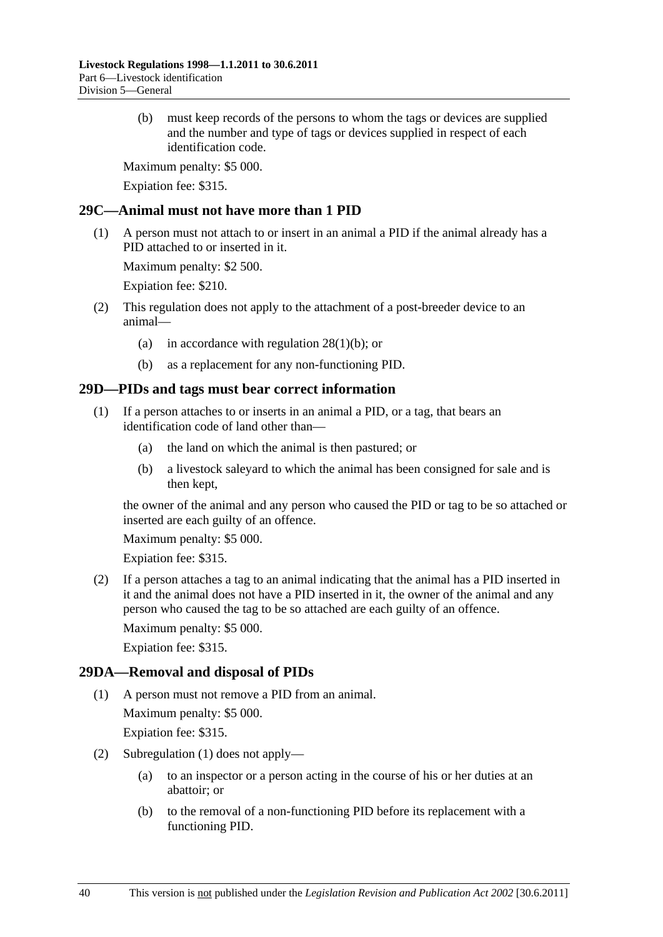<span id="page-39-0"></span> (b) must keep records of the persons to whom the tags or devices are supplied and the number and type of tags or devices supplied in respect of each identification code.

Maximum penalty: \$5 000.

Expiation fee: \$315.

## **29C—Animal must not have more than 1 PID**

 (1) A person must not attach to or insert in an animal a PID if the animal already has a PID attached to or inserted in it.

Maximum penalty: \$2 500.

Expiation fee: \$210.

- (2) This regulation does not apply to the attachment of a post-breeder device to an animal—
	- (a) in accordance with regulation  $28(1)(b)$ ; or
	- (b) as a replacement for any non-functioning PID.

## **29D—PIDs and tags must bear correct information**

- (1) If a person attaches to or inserts in an animal a PID, or a tag, that bears an identification code of land other than—
	- (a) the land on which the animal is then pastured; or
	- (b) a livestock saleyard to which the animal has been consigned for sale and is then kept,

the owner of the animal and any person who caused the PID or tag to be so attached or inserted are each guilty of an offence.

Maximum penalty: \$5 000.

Expiation fee: \$315.

 (2) If a person attaches a tag to an animal indicating that the animal has a PID inserted in it and the animal does not have a PID inserted in it, the owner of the animal and any person who caused the tag to be so attached are each guilty of an offence.

Maximum penalty: \$5 000.

Expiation fee: \$315.

## **29DA—Removal and disposal of PIDs**

(1) A person must not remove a PID from an animal.

Maximum penalty: \$5 000.

- (2) [Subregulation \(1\)](#page-39-0) does not apply—
	- (a) to an inspector or a person acting in the course of his or her duties at an abattoir; or
	- (b) to the removal of a non-functioning PID before its replacement with a functioning PID.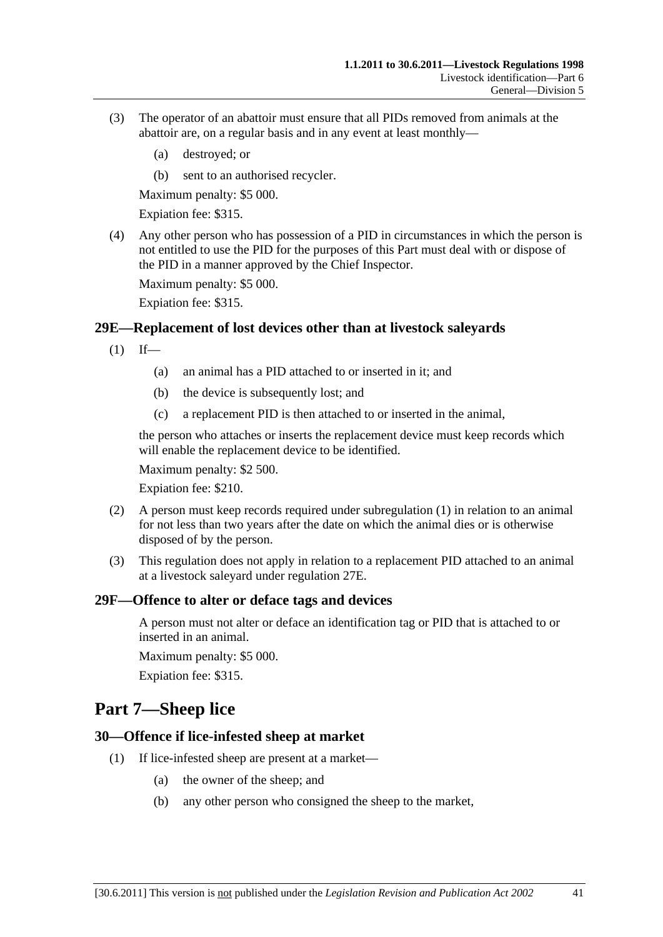- <span id="page-40-0"></span> (3) The operator of an abattoir must ensure that all PIDs removed from animals at the abattoir are, on a regular basis and in any event at least monthly—
	- (a) destroyed; or
	- (b) sent to an authorised recycler.

Maximum penalty: \$5 000.

Expiation fee: \$315.

 (4) Any other person who has possession of a PID in circumstances in which the person is not entitled to use the PID for the purposes of this Part must deal with or dispose of the PID in a manner approved by the Chief Inspector.

Maximum penalty: \$5 000.

Expiation fee: \$315.

#### **29E—Replacement of lost devices other than at livestock saleyards**

- $(1)$  If—
	- (a) an animal has a PID attached to or inserted in it; and
	- (b) the device is subsequently lost; and
	- (c) a replacement PID is then attached to or inserted in the animal,

the person who attaches or inserts the replacement device must keep records which will enable the replacement device to be identified.

Maximum penalty: \$2 500.

Expiation fee: \$210.

- (2) A person must keep records required under [subregulation \(1\)](#page-40-0) in relation to an animal for not less than two years after the date on which the animal dies or is otherwise disposed of by the person.
- (3) This regulation does not apply in relation to a replacement PID attached to an animal at a livestock saleyard under [regulation 27E.](#page-30-0)

#### **29F—Offence to alter or deface tags and devices**

A person must not alter or deface an identification tag or PID that is attached to or inserted in an animal.

Maximum penalty: \$5 000.

Expiation fee: \$315.

# **Part 7—Sheep lice**

#### **30—Offence if lice-infested sheep at market**

- (1) If lice-infested sheep are present at a market—
	- (a) the owner of the sheep; and
	- (b) any other person who consigned the sheep to the market,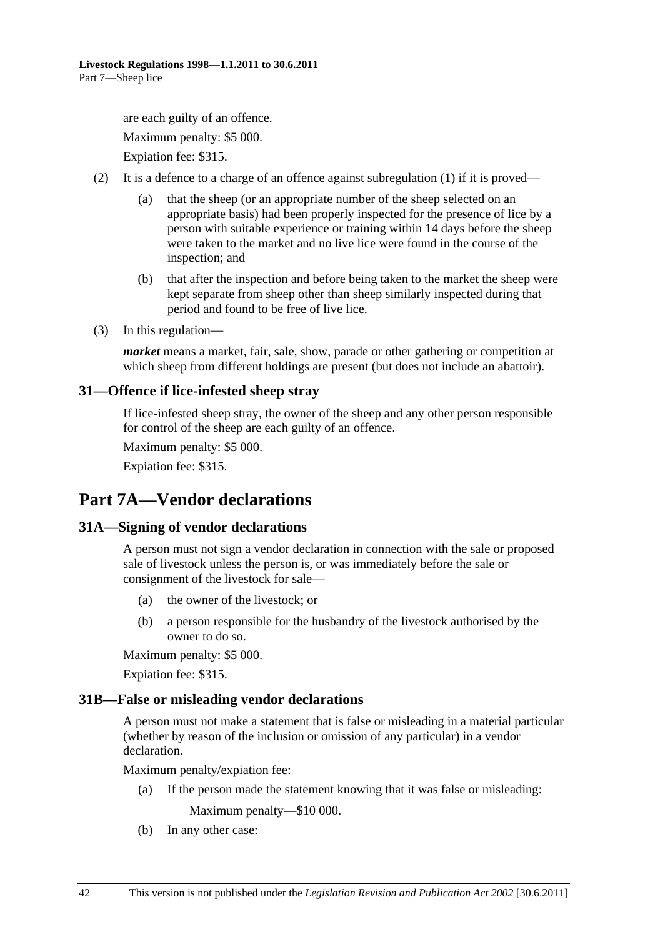<span id="page-41-0"></span>are each guilty of an offence. Maximum penalty: \$5 000. Expiation fee: \$315.

- (2) It is a defence to a charge of an offence against [subregulation \(1\)](#page-40-0) if it is proved—
	- (a) that the sheep (or an appropriate number of the sheep selected on an appropriate basis) had been properly inspected for the presence of lice by a person with suitable experience or training within 14 days before the sheep were taken to the market and no live lice were found in the course of the inspection; and
	- (b) that after the inspection and before being taken to the market the sheep were kept separate from sheep other than sheep similarly inspected during that period and found to be free of live lice.
- (3) In this regulation—

*market* means a market, fair, sale, show, parade or other gathering or competition at which sheep from different holdings are present (but does not include an abattoir).

## **31—Offence if lice-infested sheep stray**

If lice-infested sheep stray, the owner of the sheep and any other person responsible for control of the sheep are each guilty of an offence.

Maximum penalty: \$5 000.

Expiation fee: \$315.

# **Part 7A—Vendor declarations**

## **31A—Signing of vendor declarations**

A person must not sign a vendor declaration in connection with the sale or proposed sale of livestock unless the person is, or was immediately before the sale or consignment of the livestock for sale—

- (a) the owner of the livestock; or
- (b) a person responsible for the husbandry of the livestock authorised by the owner to do so.

Maximum penalty: \$5 000.

Expiation fee: \$315.

## **31B—False or misleading vendor declarations**

A person must not make a statement that is false or misleading in a material particular (whether by reason of the inclusion or omission of any particular) in a vendor declaration.

Maximum penalty/expiation fee:

(a) If the person made the statement knowing that it was false or misleading:

Maximum penalty—\$10 000.

(b) In any other case: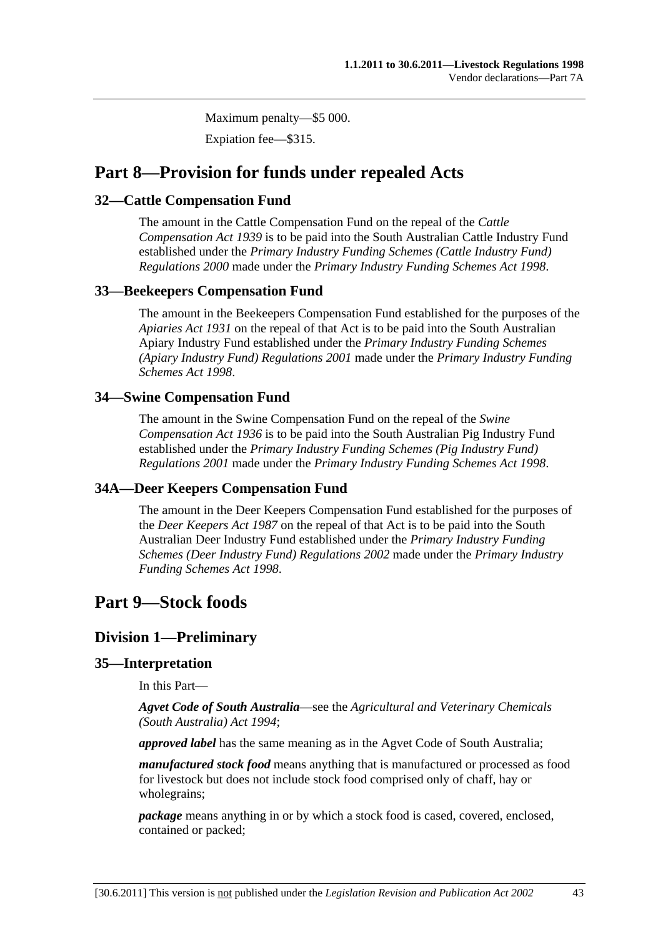Maximum penalty—\$5 000.

Expiation fee—\$315.

# <span id="page-42-0"></span>**Part 8—Provision for funds under repealed Acts**

## **32—Cattle Compensation Fund**

The amount in the Cattle Compensation Fund on the repeal of the *[Cattle](http://www.legislation.sa.gov.au/index.aspx?action=legref&type=act&legtitle=Cattle%20Compensation%20Act%201939)  [Compensation Act 1939](http://www.legislation.sa.gov.au/index.aspx?action=legref&type=act&legtitle=Cattle%20Compensation%20Act%201939)* is to be paid into the South Australian Cattle Industry Fund established under the *[Primary Industry Funding Schemes \(Cattle Industry Fund\)](http://www.legislation.sa.gov.au/index.aspx?action=legref&type=subordleg&legtitle=Primary%20Industry%20Funding%20Schemes%20(Cattle%20Industry%20Fund)%20Regulations%202000)  [Regulations 2000](http://www.legislation.sa.gov.au/index.aspx?action=legref&type=subordleg&legtitle=Primary%20Industry%20Funding%20Schemes%20(Cattle%20Industry%20Fund)%20Regulations%202000)* made under the *[Primary Industry Funding Schemes Act 1998](http://www.legislation.sa.gov.au/index.aspx?action=legref&type=act&legtitle=Primary%20Industry%20Funding%20Schemes%20Act%201998)*.

## **33—Beekeepers Compensation Fund**

The amount in the Beekeepers Compensation Fund established for the purposes of the *[Apiaries Act 1931](http://www.legislation.sa.gov.au/index.aspx?action=legref&type=act&legtitle=Apiaries%20Act%201931)* on the repeal of that Act is to be paid into the South Australian Apiary Industry Fund established under the *[Primary Industry Funding Schemes](http://www.legislation.sa.gov.au/index.aspx?action=legref&type=subordleg&legtitle=Primary%20Industry%20Funding%20Schemes%20(Apiary%20Industry%20Fund)%20Regulations%202001)  [\(Apiary Industry Fund\) Regulations 2001](http://www.legislation.sa.gov.au/index.aspx?action=legref&type=subordleg&legtitle=Primary%20Industry%20Funding%20Schemes%20(Apiary%20Industry%20Fund)%20Regulations%202001)* made under the *[Primary Industry Funding](http://www.legislation.sa.gov.au/index.aspx?action=legref&type=act&legtitle=Primary%20Industry%20Funding%20Schemes%20Act%201998)  [Schemes Act 1998](http://www.legislation.sa.gov.au/index.aspx?action=legref&type=act&legtitle=Primary%20Industry%20Funding%20Schemes%20Act%201998)*.

## **34—Swine Compensation Fund**

The amount in the Swine Compensation Fund on the repeal of the *[Swine](http://www.legislation.sa.gov.au/index.aspx?action=legref&type=act&legtitle=Swine%20Compensation%20Act%201936)  [Compensation Act 1936](http://www.legislation.sa.gov.au/index.aspx?action=legref&type=act&legtitle=Swine%20Compensation%20Act%201936)* is to be paid into the South Australian Pig Industry Fund established under the *[Primary Industry Funding Schemes \(Pig Industry Fund\)](http://www.legislation.sa.gov.au/index.aspx?action=legref&type=subordleg&legtitle=Primary%20Industry%20Funding%20Schemes%20(Pig%20Industry%20Fund)%20Regulations%202001)  [Regulations 2001](http://www.legislation.sa.gov.au/index.aspx?action=legref&type=subordleg&legtitle=Primary%20Industry%20Funding%20Schemes%20(Pig%20Industry%20Fund)%20Regulations%202001)* made under the *[Primary Industry Funding Schemes Act 1998](http://www.legislation.sa.gov.au/index.aspx?action=legref&type=act&legtitle=Primary%20Industry%20Funding%20Schemes%20Act%201998)*.

## **34A—Deer Keepers Compensation Fund**

The amount in the Deer Keepers Compensation Fund established for the purposes of the *[Deer Keepers Act 1987](http://www.legislation.sa.gov.au/index.aspx?action=legref&type=act&legtitle=Deer%20Keepers%20Act%201987)* on the repeal of that Act is to be paid into the South Australian Deer Industry Fund established under the *[Primary Industry Funding](http://www.legislation.sa.gov.au/index.aspx?action=legref&type=subordleg&legtitle=Primary%20Industry%20Funding%20Schemes%20(Deer%20Industry%20Fund)%20Regulations%202002)  [Schemes \(Deer Industry Fund\) Regulations 2002](http://www.legislation.sa.gov.au/index.aspx?action=legref&type=subordleg&legtitle=Primary%20Industry%20Funding%20Schemes%20(Deer%20Industry%20Fund)%20Regulations%202002)* made under the *[Primary Industry](http://www.legislation.sa.gov.au/index.aspx?action=legref&type=act&legtitle=Primary%20Industry%20Funding%20Schemes%20Act%201998)  [Funding Schemes Act 1998](http://www.legislation.sa.gov.au/index.aspx?action=legref&type=act&legtitle=Primary%20Industry%20Funding%20Schemes%20Act%201998)*.

# **Part 9—Stock foods**

## **Division 1—Preliminary**

## **35—Interpretation**

In this Part—

*Agvet Code of South Australia*—see the *[Agricultural and Veterinary Chemicals](http://www.legislation.sa.gov.au/index.aspx?action=legref&type=act&legtitle=Agricultural%20and%20Veterinary%20Chemicals%20(South%20Australia)%20Act%201994)  [\(South Australia\) Act 1994](http://www.legislation.sa.gov.au/index.aspx?action=legref&type=act&legtitle=Agricultural%20and%20Veterinary%20Chemicals%20(South%20Australia)%20Act%201994)*;

*approved label* has the same meaning as in the Agvet Code of South Australia;

*manufactured stock food* means anything that is manufactured or processed as food for livestock but does not include stock food comprised only of chaff, hay or wholegrains;

*package* means anything in or by which a stock food is cased, covered, enclosed, contained or packed;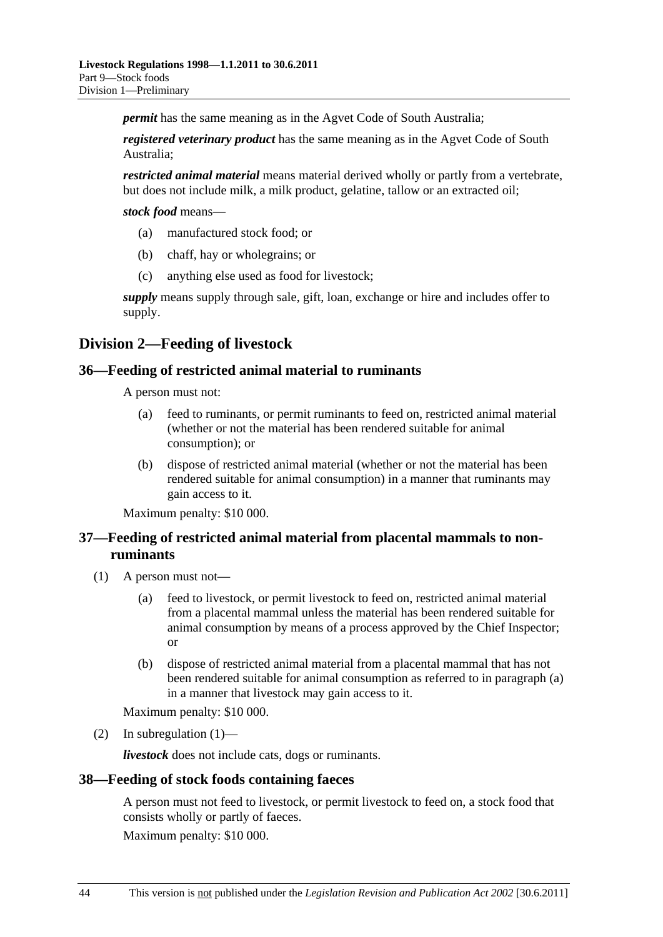<span id="page-43-0"></span>*permit* has the same meaning as in the Agvet Code of South Australia;

*registered veterinary product* has the same meaning as in the Agvet Code of South Australia;

*restricted animal material* means material derived wholly or partly from a vertebrate, but does not include milk, a milk product, gelatine, tallow or an extracted oil;

*stock food* means—

- (a) manufactured stock food; or
- (b) chaff, hay or wholegrains; or
- (c) anything else used as food for livestock;

*supply* means supply through sale, gift, loan, exchange or hire and includes offer to supply.

## **Division 2—Feeding of livestock**

#### **36—Feeding of restricted animal material to ruminants**

A person must not:

- (a) feed to ruminants, or permit ruminants to feed on, restricted animal material (whether or not the material has been rendered suitable for animal consumption); or
- (b) dispose of restricted animal material (whether or not the material has been rendered suitable for animal consumption) in a manner that ruminants may gain access to it.

Maximum penalty: \$10 000.

## **37—Feeding of restricted animal material from placental mammals to nonruminants**

- (1) A person must not—
	- (a) feed to livestock, or permit livestock to feed on, restricted animal material from a placental mammal unless the material has been rendered suitable for animal consumption by means of a process approved by the Chief Inspector; or
	- (b) dispose of restricted animal material from a placental mammal that has not been rendered suitable for animal consumption as referred to in [paragraph \(a\)](#page-43-0) in a manner that livestock may gain access to it.

Maximum penalty: \$10 000.

(2) In subregulation  $(1)$ —

*livestock* does not include cats, dogs or ruminants.

#### **38—Feeding of stock foods containing faeces**

A person must not feed to livestock, or permit livestock to feed on, a stock food that consists wholly or partly of faeces.

Maximum penalty: \$10 000.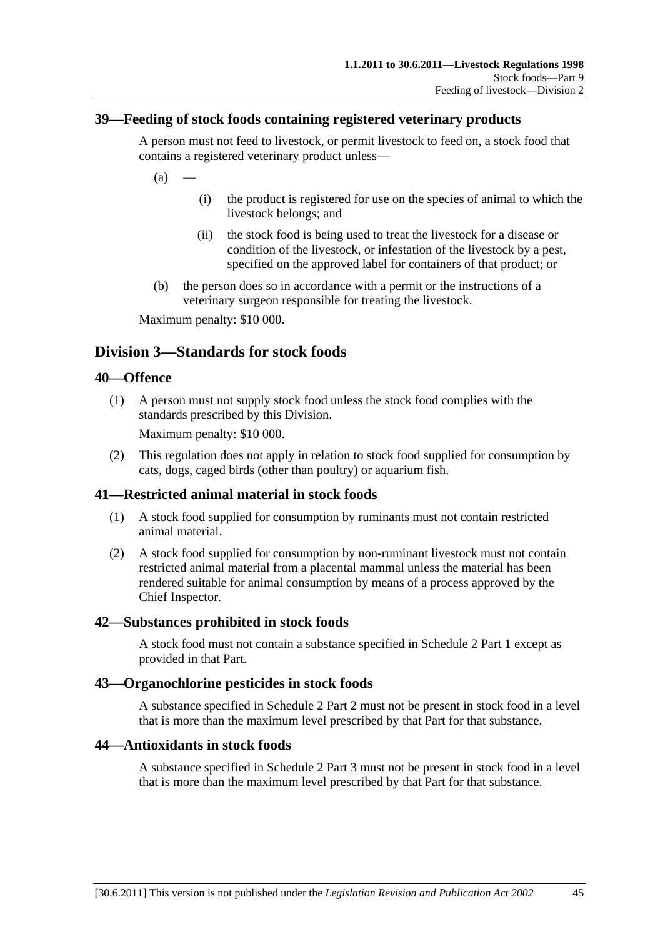## <span id="page-44-0"></span>**39—Feeding of stock foods containing registered veterinary products**

A person must not feed to livestock, or permit livestock to feed on, a stock food that contains a registered veterinary product unless—

 $(a)$ 

- (i) the product is registered for use on the species of animal to which the livestock belongs; and
- (ii) the stock food is being used to treat the livestock for a disease or condition of the livestock, or infestation of the livestock by a pest, specified on the approved label for containers of that product; or
- (b) the person does so in accordance with a permit or the instructions of a veterinary surgeon responsible for treating the livestock.

Maximum penalty: \$10 000.

# **Division 3—Standards for stock foods**

#### **40—Offence**

 (1) A person must not supply stock food unless the stock food complies with the standards prescribed by this Division.

Maximum penalty: \$10 000.

 (2) This regulation does not apply in relation to stock food supplied for consumption by cats, dogs, caged birds (other than poultry) or aquarium fish.

## **41—Restricted animal material in stock foods**

- (1) A stock food supplied for consumption by ruminants must not contain restricted animal material.
- (2) A stock food supplied for consumption by non-ruminant livestock must not contain restricted animal material from a placental mammal unless the material has been rendered suitable for animal consumption by means of a process approved by the Chief Inspector.

#### **42—Substances prohibited in stock foods**

A stock food must not contain a substance specified in [Schedule 2 Part 1](#page-0-0) except as provided in that Part.

#### **43—Organochlorine pesticides in stock foods**

A substance specified in [Schedule 2 Part 2](#page-0-0) must not be present in stock food in a level that is more than the maximum level prescribed by that Part for that substance.

#### **44—Antioxidants in stock foods**

A substance specified in [Schedule 2 Part 3](#page-0-0) must not be present in stock food in a level that is more than the maximum level prescribed by that Part for that substance.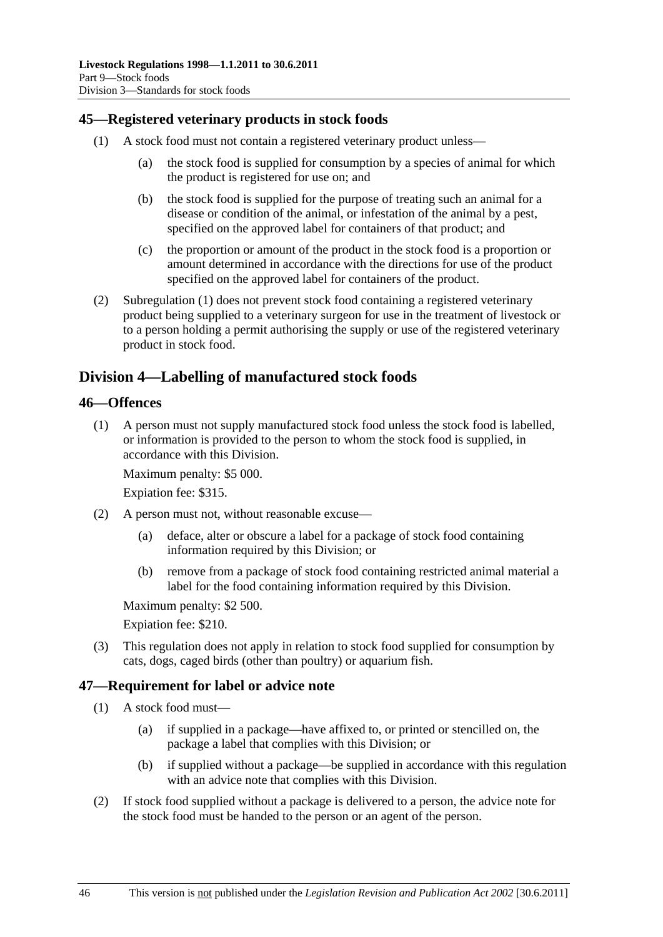## <span id="page-45-0"></span>**45—Registered veterinary products in stock foods**

- (1) A stock food must not contain a registered veterinary product unless—
	- (a) the stock food is supplied for consumption by a species of animal for which the product is registered for use on; and
	- (b) the stock food is supplied for the purpose of treating such an animal for a disease or condition of the animal, or infestation of the animal by a pest, specified on the approved label for containers of that product; and
	- (c) the proportion or amount of the product in the stock food is a proportion or amount determined in accordance with the directions for use of the product specified on the approved label for containers of the product.
- (2) [Subregulation \(1\)](#page-45-0) does not prevent stock food containing a registered veterinary product being supplied to a veterinary surgeon for use in the treatment of livestock or to a person holding a permit authorising the supply or use of the registered veterinary product in stock food.

## **Division 4—Labelling of manufactured stock foods**

#### **46—Offences**

 (1) A person must not supply manufactured stock food unless the stock food is labelled, or information is provided to the person to whom the stock food is supplied, in accordance with this Division.

Maximum penalty: \$5 000.

Expiation fee: \$315.

- (2) A person must not, without reasonable excuse—
	- (a) deface, alter or obscure a label for a package of stock food containing information required by this Division; or
	- (b) remove from a package of stock food containing restricted animal material a label for the food containing information required by this Division.

Maximum penalty: \$2 500.

Expiation fee: \$210.

 (3) This regulation does not apply in relation to stock food supplied for consumption by cats, dogs, caged birds (other than poultry) or aquarium fish.

## **47—Requirement for label or advice note**

- (1) A stock food must—
	- (a) if supplied in a package—have affixed to, or printed or stencilled on, the package a label that complies with this Division; or
	- (b) if supplied without a package—be supplied in accordance with this regulation with an advice note that complies with this Division.
- (2) If stock food supplied without a package is delivered to a person, the advice note for the stock food must be handed to the person or an agent of the person.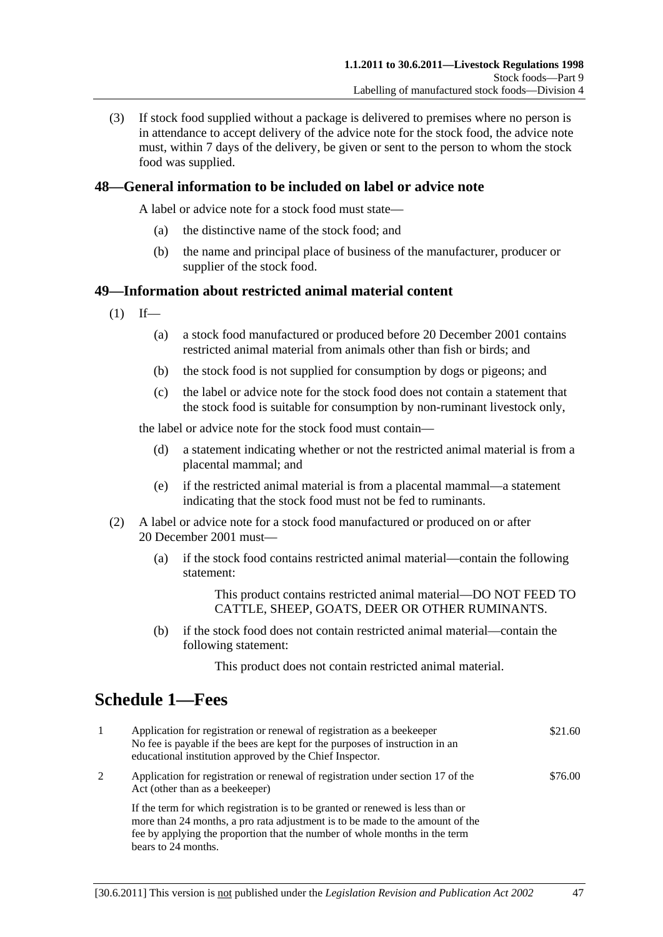<span id="page-46-0"></span> (3) If stock food supplied without a package is delivered to premises where no person is in attendance to accept delivery of the advice note for the stock food, the advice note must, within 7 days of the delivery, be given or sent to the person to whom the stock food was supplied.

## **48—General information to be included on label or advice note**

A label or advice note for a stock food must state—

- (a) the distinctive name of the stock food; and
- (b) the name and principal place of business of the manufacturer, producer or supplier of the stock food.

#### **49—Information about restricted animal material content**

- $(1)$  If—
	- (a) a stock food manufactured or produced before 20 December 2001 contains restricted animal material from animals other than fish or birds; and
	- (b) the stock food is not supplied for consumption by dogs or pigeons; and
	- (c) the label or advice note for the stock food does not contain a statement that the stock food is suitable for consumption by non-ruminant livestock only,

the label or advice note for the stock food must contain—

- (d) a statement indicating whether or not the restricted animal material is from a placental mammal; and
- (e) if the restricted animal material is from a placental mammal—a statement indicating that the stock food must not be fed to ruminants.
- (2) A label or advice note for a stock food manufactured or produced on or after 20 December 2001 must—
	- (a) if the stock food contains restricted animal material—contain the following statement:

This product contains restricted animal material—DO NOT FEED TO CATTLE, SHEEP, GOATS, DEER OR OTHER RUMINANTS.

 (b) if the stock food does not contain restricted animal material—contain the following statement:

This product does not contain restricted animal material.

# **Schedule 1—Fees**

| $\mathbf{1}$ | Application for registration or renewal of registration as a beekeeper<br>No fee is payable if the bees are kept for the purposes of instruction in an<br>educational institution approved by the Chief Inspector.                                                   | \$21.60 |
|--------------|----------------------------------------------------------------------------------------------------------------------------------------------------------------------------------------------------------------------------------------------------------------------|---------|
| 2            | Application for registration or renewal of registration under section 17 of the<br>Act (other than as a beekeeper)                                                                                                                                                   | \$76.00 |
|              | If the term for which registration is to be granted or renewed is less than or<br>more than 24 months, a pro rata adjustment is to be made to the amount of the<br>fee by applying the proportion that the number of whole months in the term<br>bears to 24 months. |         |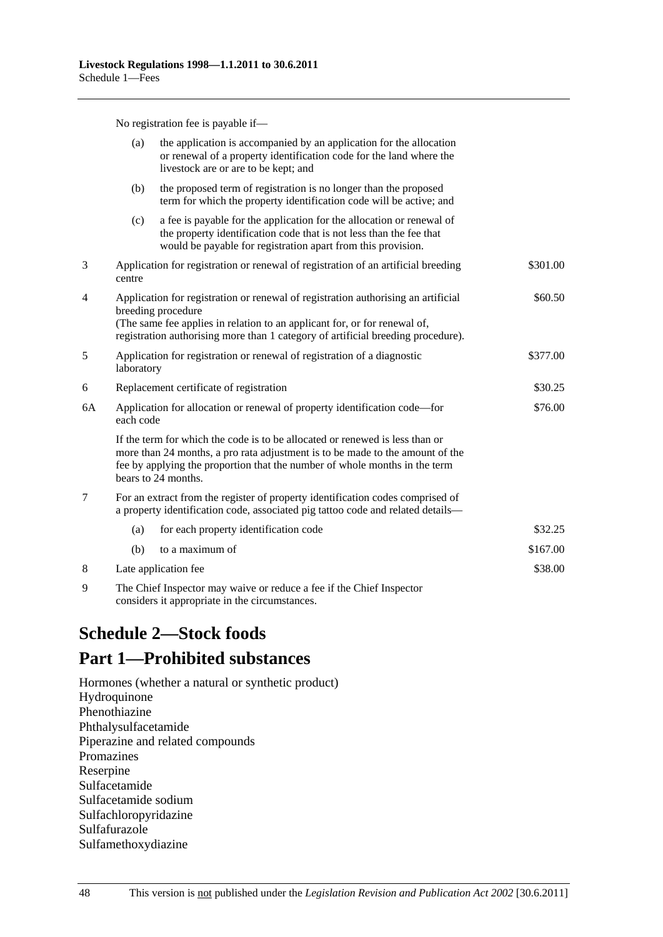No registration fee is payable if—

<span id="page-47-0"></span>

|                | (a)                                                                                                                                                                                  | the application is accompanied by an application for the allocation<br>or renewal of a property identification code for the land where the<br>livestock are or are to be kept; and                                                                                 |          |
|----------------|--------------------------------------------------------------------------------------------------------------------------------------------------------------------------------------|--------------------------------------------------------------------------------------------------------------------------------------------------------------------------------------------------------------------------------------------------------------------|----------|
|                | (b)                                                                                                                                                                                  | the proposed term of registration is no longer than the proposed<br>term for which the property identification code will be active; and                                                                                                                            |          |
|                | (c)                                                                                                                                                                                  | a fee is payable for the application for the allocation or renewal of<br>the property identification code that is not less than the fee that<br>would be payable for registration apart from this provision.                                                       |          |
| 3              | centre                                                                                                                                                                               | Application for registration or renewal of registration of an artificial breeding                                                                                                                                                                                  | \$301.00 |
| $\overline{4}$ | Application for registration or renewal of registration authorising an artificial<br>breeding procedure<br>(The same fee applies in relation to an applicant for, or for renewal of, |                                                                                                                                                                                                                                                                    | \$60.50  |
|                |                                                                                                                                                                                      | registration authorising more than 1 category of artificial breeding procedure).                                                                                                                                                                                   |          |
| $\mathfrak s$  | laboratory                                                                                                                                                                           | Application for registration or renewal of registration of a diagnostic                                                                                                                                                                                            | \$377.00 |
| 6              |                                                                                                                                                                                      | Replacement certificate of registration                                                                                                                                                                                                                            | \$30.25  |
| 6A             | Application for allocation or renewal of property identification code-for<br>each code                                                                                               |                                                                                                                                                                                                                                                                    | \$76.00  |
|                |                                                                                                                                                                                      | If the term for which the code is to be allocated or renewed is less than or<br>more than 24 months, a pro rata adjustment is to be made to the amount of the<br>fee by applying the proportion that the number of whole months in the term<br>bears to 24 months. |          |
| $\overline{7}$ |                                                                                                                                                                                      | For an extract from the register of property identification codes comprised of<br>a property identification code, associated pig tattoo code and related details-                                                                                                  |          |
|                | (a)                                                                                                                                                                                  | for each property identification code                                                                                                                                                                                                                              | \$32.25  |
|                | (b)                                                                                                                                                                                  | to a maximum of                                                                                                                                                                                                                                                    | \$167.00 |
| 8              |                                                                                                                                                                                      | Late application fee                                                                                                                                                                                                                                               | \$38.00  |
| 9              |                                                                                                                                                                                      | The Chief Inspector may waive or reduce a fee if the Chief Inspector                                                                                                                                                                                               |          |

considers it appropriate in the circumstances.

# **Schedule 2—Stock foods**

# **Part 1—Prohibited substances**

Hormones (whether a natural or synthetic product) Hydroquinone Phenothiazine Phthalysulfacetamide Piperazine and related compounds Promazines Reserpine Sulfacetamide Sulfacetamide sodium Sulfachloropyridazine Sulfafurazole Sulfamethoxydiazine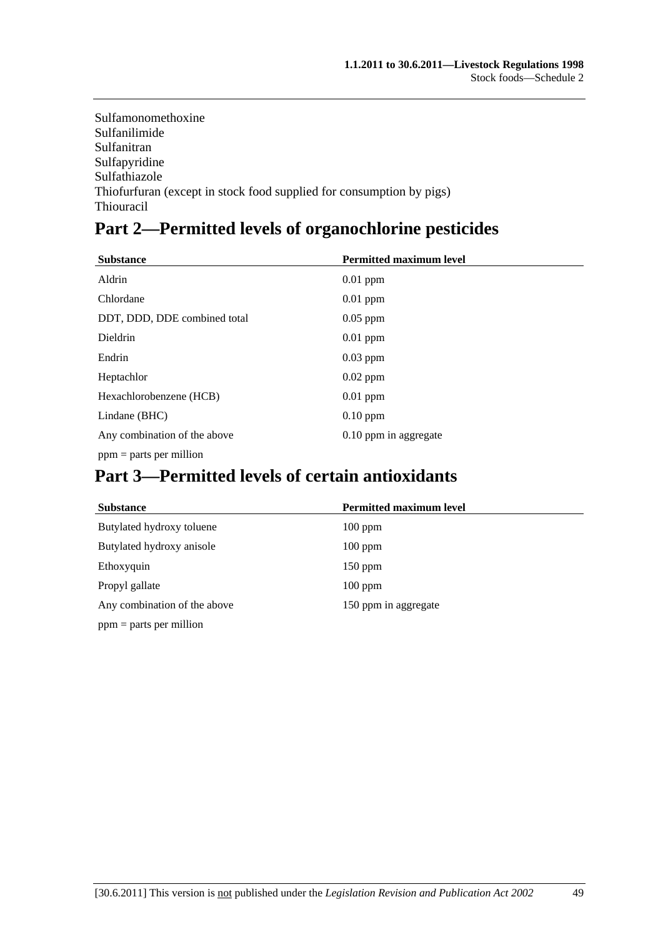Sulfamonomethoxine Sulfanilimide Sulfanitran Sulfapyridine Sulfathiazole Thiofurfuran (except in stock food supplied for consumption by pigs) Thiouracil

# **Part 2—Permitted levels of organochlorine pesticides**

| <b>Substance</b>             | <b>Permitted maximum level</b> |
|------------------------------|--------------------------------|
| Aldrin                       | $0.01$ ppm                     |
| Chlordane                    | $0.01$ ppm                     |
| DDT, DDD, DDE combined total | $0.05$ ppm                     |
| Dieldrin                     | $0.01$ ppm                     |
| Endrin                       | $0.03$ ppm                     |
| Heptachlor                   | $0.02$ ppm                     |
| Hexachlorobenzene (HCB)      | $0.01$ ppm                     |
| Lindane (BHC)                | $0.10$ ppm                     |
| Any combination of the above | 0.10 ppm in aggregate          |
| $ppm =$ parts per million    |                                |

# **Part 3—Permitted levels of certain antioxidants**

| <b>Substance</b>             | <b>Permitted maximum level</b> |
|------------------------------|--------------------------------|
| Butylated hydroxy toluene    | $100$ ppm                      |
| Butylated hydroxy anisole    | $100$ ppm                      |
| Ethoxyquin                   | $150$ ppm                      |
| Propyl gallate               | $100$ ppm                      |
| Any combination of the above | 150 ppm in aggregate           |
| $ppm =$ parts per million    |                                |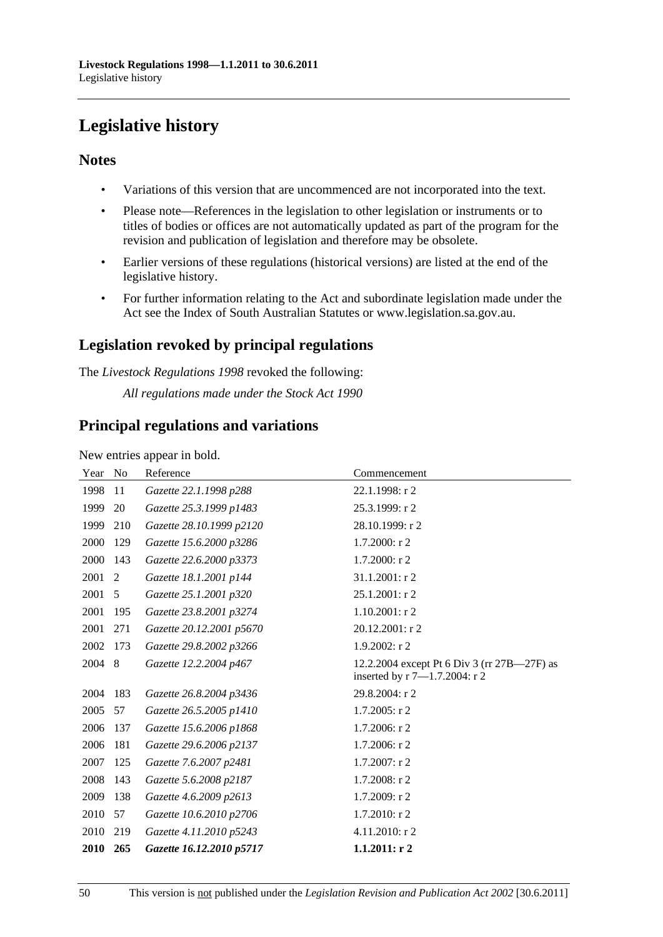# <span id="page-49-0"></span>**Legislative history**

## **Notes**

- Variations of this version that are uncommenced are not incorporated into the text.
- Please note—References in the legislation to other legislation or instruments or to titles of bodies or offices are not automatically updated as part of the program for the revision and publication of legislation and therefore may be obsolete.
- Earlier versions of these regulations (historical versions) are listed at the end of the legislative history.
- For further information relating to the Act and subordinate legislation made under the Act see the Index of South Australian Statutes or www.legislation.sa.gov.au.

## **Legislation revoked by principal regulations**

The *Livestock Regulations 1998* revoked the following:

*All regulations made under the Stock Act 1990*

## **Principal regulations and variations**

New entries appear in bold.

| Year | N <sub>0</sub> | Reference                | Commencement                                                                 |
|------|----------------|--------------------------|------------------------------------------------------------------------------|
| 1998 | 11             | Gazette 22.1.1998 p288   | 22.1.1998: r 2                                                               |
| 1999 | 20             | Gazette 25.3.1999 p1483  | 25.3.1999: r 2                                                               |
| 1999 | 210            | Gazette 28.10.1999 p2120 | 28.10.1999: r 2                                                              |
| 2000 | 129            | Gazette 15.6.2000 p3286  | $1.7.2000:$ r 2                                                              |
| 2000 | 143            | Gazette 22.6.2000 p3373  | $1.7.2000:$ r 2                                                              |
| 2001 | 2              | Gazette 18.1.2001 p144   | 31.1.2001: r 2                                                               |
| 2001 | 5              | Gazette 25.1.2001 p320   | 25.1.2001: r 2                                                               |
| 2001 | 195            | Gazette 23.8.2001 p3274  | $1.10.2001:$ r2                                                              |
| 2001 | 271            | Gazette 20.12.2001 p5670 | 20.12.2001: r 2                                                              |
| 2002 | 173            | Gazette 29.8.2002 p3266  | $1.9.2002:$ r2                                                               |
| 2004 | 8              | Gazette 12.2.2004 p467   | 12.2.2004 except Pt 6 Div 3 (rr 27B—27F) as<br>inserted by r 7-1.7.2004: r 2 |
| 2004 | 183            | Gazette 26.8.2004 p3436  | 29.8.2004: r 2                                                               |
| 2005 | 57             | Gazette 26.5.2005 p1410  | 1.7.2005: r 2                                                                |
| 2006 | 137            | Gazette 15.6.2006 p1868  | 1.7.2006: r 2                                                                |
| 2006 | 181            | Gazette 29.6.2006 p2137  | $1.7.2006$ : r 2                                                             |
| 2007 | 125            | Gazette 7.6.2007 p2481   | 1.7.2007: r 2                                                                |
| 2008 | 143            | Gazette 5.6.2008 p2187   | $1.7.2008:$ r 2                                                              |
| 2009 | 138            | Gazette 4.6.2009 p2613   | 1.7.2009: r 2                                                                |
| 2010 | 57             | Gazette 10.6.2010 p2706  | $1.7.2010$ : r 2                                                             |
| 2010 | 219            | Gazette 4.11.2010 p5243  | 4.11.2010: r 2                                                               |
| 2010 | 265            | Gazette 16.12.2010 p5717 | 1.1.2011: r2                                                                 |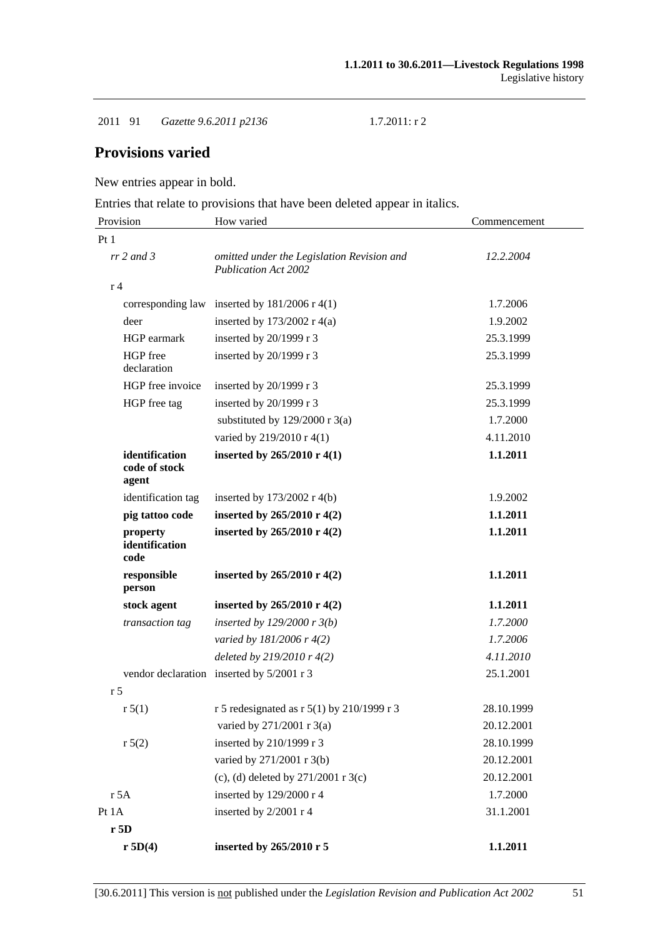2011 91 *Gazette 9.6.2011 p2136* 1.7.2011: r 2

## **Provisions varied**

New entries appear in bold.

Entries that relate to provisions that have been deleted appear in italics.

| Provision                                | How varied                                                                | Commencement |
|------------------------------------------|---------------------------------------------------------------------------|--------------|
| Pt1                                      |                                                                           |              |
| $rr$ 2 and 3                             | omitted under the Legislation Revision and<br><b>Publication Act 2002</b> | 12.2.2004    |
| r <sub>4</sub>                           |                                                                           |              |
|                                          | corresponding law inserted by $181/2006$ r 4(1)                           | 1.7.2006     |
| deer                                     | inserted by $173/2002$ r 4(a)                                             | 1.9.2002     |
| HGP earmark                              | inserted by 20/1999 r 3                                                   | 25.3.1999    |
| HGP free<br>declaration                  | inserted by 20/1999 r 3                                                   | 25.3.1999    |
| HGP free invoice                         | inserted by $20/1999$ r 3                                                 | 25.3.1999    |
| HGP free tag                             | inserted by 20/1999 r 3                                                   | 25.3.1999    |
|                                          | substituted by $129/2000$ r 3(a)                                          | 1.7.2000     |
|                                          | varied by 219/2010 r 4(1)                                                 | 4.11.2010    |
| identification<br>code of stock<br>agent | inserted by 265/2010 r 4(1)                                               | 1.1.2011     |
| identification tag                       | inserted by $173/2002$ r 4(b)                                             | 1.9.2002     |
| pig tattoo code                          | inserted by $265/2010$ r 4(2)                                             | 1.1.2011     |
| property<br>identification<br>code       | inserted by 265/2010 r 4(2)                                               | 1.1.2011     |
| responsible<br>person                    | inserted by $265/2010 \text{ r } 4(2)$                                    | 1.1.2011     |
| stock agent                              | inserted by $265/2010$ r 4(2)                                             | 1.1.2011     |
| transaction tag                          | inserted by $129/2000 r 3(b)$                                             | 1.7.2000     |
|                                          | varied by 181/2006 r 4(2)                                                 | 1.7.2006     |
|                                          | deleted by $219/2010r$ 4(2)                                               | 4.11.2010    |
|                                          | vendor declaration inserted by 5/2001 r 3                                 | 25.1.2001    |
| r <sub>5</sub>                           |                                                                           |              |
| r 5(1)                                   | r 5 redesignated as r 5(1) by 210/1999 r 3                                | 28.10.1999   |
|                                          | varied by 271/2001 r 3(a)                                                 | 20.12.2001   |
| r 5(2)                                   | inserted by 210/1999 r 3                                                  | 28.10.1999   |
|                                          | varied by 271/2001 r 3(b)                                                 | 20.12.2001   |
|                                          | (c), (d) deleted by $271/2001$ r 3(c)                                     | 20.12.2001   |
| r 5A                                     | inserted by 129/2000 r 4                                                  | 1.7.2000     |
| Pt 1A                                    | inserted by 2/2001 r 4                                                    | 31.1.2001    |
| r5D                                      |                                                                           |              |
| r 5D(4)                                  | inserted by 265/2010 r 5                                                  | 1.1.2011     |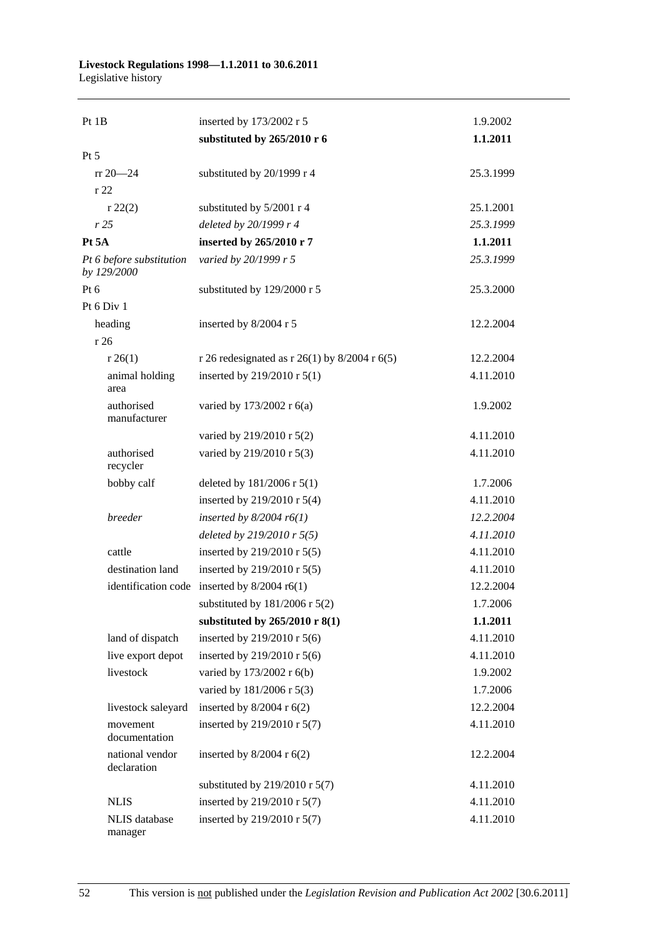#### **Livestock Regulations 1998—1.1.2011 to 30.6.2011**  Legislative history

| Pt 1B                                   | inserted by 173/2002 r 5                        | 1.9.2002  |
|-----------------------------------------|-------------------------------------------------|-----------|
|                                         | substituted by 265/2010 r 6                     | 1.1.2011  |
| $Pt\,5$                                 |                                                 |           |
| $rr 20 - 24$                            | substituted by 20/1999 r 4                      | 25.3.1999 |
| r 22                                    |                                                 |           |
| r 22(2)                                 | substituted by 5/2001 r 4                       | 25.1.2001 |
| r25                                     | deleted by 20/1999 r 4                          | 25.3.1999 |
| Pt <sub>5</sub> A                       | inserted by 265/2010 r 7                        | 1.1.2011  |
| Pt 6 before substitution<br>by 129/2000 | varied by 20/1999 r 5                           | 25.3.1999 |
| Pt $6$                                  | substituted by 129/2000 r 5                     | 25.3.2000 |
| Pt 6 Div 1                              |                                                 |           |
| heading                                 | inserted by 8/2004 r 5                          | 12.2.2004 |
| r 26                                    |                                                 |           |
| r 26(1)                                 | r 26 redesignated as r 26(1) by $8/2004$ r 6(5) | 12.2.2004 |
| animal holding<br>area                  | inserted by 219/2010 r 5(1)                     | 4.11.2010 |
| authorised<br>manufacturer              | varied by 173/2002 r 6(a)                       | 1.9.2002  |
|                                         | varied by 219/2010 r 5(2)                       | 4.11.2010 |
| authorised<br>recycler                  | varied by 219/2010 r 5(3)                       | 4.11.2010 |
| bobby calf                              | deleted by 181/2006 r 5(1)                      | 1.7.2006  |
|                                         | inserted by 219/2010 r 5(4)                     | 4.11.2010 |
| breeder                                 | inserted by $8/2004$ r6(1)                      | 12.2.2004 |
|                                         | deleted by 219/2010 r 5(5)                      | 4.11.2010 |
| cattle                                  | inserted by 219/2010 r 5(5)                     | 4.11.2010 |
| destination land                        | inserted by 219/2010 r 5(5)                     | 4.11.2010 |
|                                         | identification code inserted by $8/2004$ r6(1)  | 12.2.2004 |
|                                         | substituted by $181/2006$ r $5(2)$              | 1.7.2006  |
|                                         | substituted by 265/2010 r 8(1)                  | 1.1.2011  |
| land of dispatch                        | inserted by 219/2010 r 5(6)                     | 4.11.2010 |
| live export depot                       | inserted by 219/2010 r 5(6)                     | 4.11.2010 |
| livestock                               | varied by 173/2002 r 6(b)                       | 1.9.2002  |
|                                         | varied by 181/2006 r 5(3)                       | 1.7.2006  |
| livestock saleyard                      | inserted by $8/2004$ r $6(2)$                   | 12.2.2004 |
| movement<br>documentation               | inserted by 219/2010 r 5(7)                     | 4.11.2010 |
| national vendor<br>declaration          | inserted by $8/2004$ r $6(2)$                   | 12.2.2004 |
|                                         | substituted by $219/2010$ r $5(7)$              | 4.11.2010 |
| <b>NLIS</b>                             | inserted by 219/2010 r 5(7)                     | 4.11.2010 |
| NLIS database<br>manager                | inserted by 219/2010 r 5(7)                     | 4.11.2010 |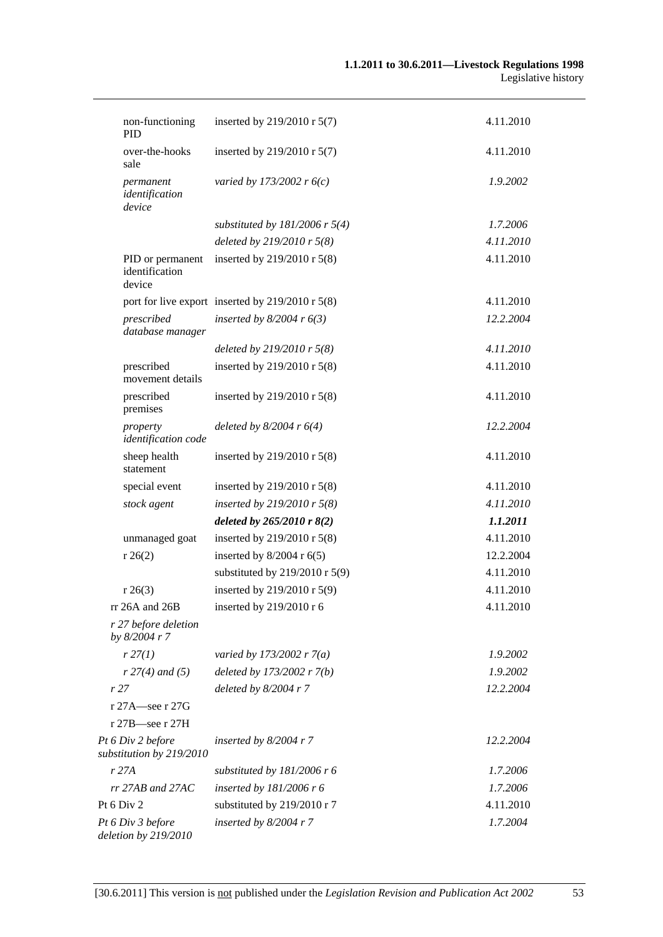| non-functioning<br><b>PID</b>                 | inserted by 219/2010 r 5(7)                          | 4.11.2010 |
|-----------------------------------------------|------------------------------------------------------|-----------|
| over-the-hooks<br>sale                        | inserted by 219/2010 r 5(7)                          | 4.11.2010 |
| permanent<br>identification<br>device         | varied by 173/2002 r $6(c)$                          | 1.9.2002  |
|                                               | substituted by $181/2006$ r 5(4)                     | 1.7.2006  |
|                                               | deleted by 219/2010 r 5(8)                           | 4.11.2010 |
| PID or permanent<br>identification<br>device  | inserted by 219/2010 r 5(8)                          | 4.11.2010 |
|                                               | port for live export inserted by $219/2010$ r $5(8)$ | 4.11.2010 |
| prescribed<br>database manager                | inserted by $8/2004$ r $6(3)$                        | 12.2.2004 |
|                                               | deleted by $219/2010$ r $5(8)$                       | 4.11.2010 |
| prescribed<br>movement details                | inserted by 219/2010 r 5(8)                          | 4.11.2010 |
| prescribed<br>premises                        | inserted by 219/2010 r 5(8)                          | 4.11.2010 |
| property<br>identification code               | deleted by $8/2004$ r $6(4)$                         | 12.2.2004 |
| sheep health<br>statement                     | inserted by 219/2010 r $5(8)$                        | 4.11.2010 |
| special event                                 | inserted by $219/2010$ r $5(8)$                      | 4.11.2010 |
| stock agent                                   | inserted by 219/2010 r $5(8)$                        | 4.11.2010 |
|                                               | deleted by $265/2010$ r $8(2)$                       | 1.1.2011  |
| unmanaged goat                                | inserted by 219/2010 r 5(8)                          | 4.11.2010 |
| r 26(2)                                       | inserted by $8/2004$ r $6(5)$                        | 12.2.2004 |
|                                               | substituted by $219/2010$ r 5(9)                     | 4.11.2010 |
| r 26(3)                                       | inserted by 219/2010 r 5(9)                          | 4.11.2010 |
| rr 26A and 26B                                | inserted by 219/2010 r 6                             | 4.11.2010 |
| r 27 before deletion<br>by 8/2004 r 7         |                                                      |           |
| r 27(1)                                       | varied by 173/2002 r $7(a)$                          | 1.9.2002  |
| $r 27(4)$ and (5)                             | deleted by $173/2002 r 7(b)$                         | 1.9.2002  |
| r 27                                          | deleted by $8/2004$ r $7$                            | 12.2.2004 |
| r 27A—see r 27G                               |                                                      |           |
| r 27B-see r 27H                               |                                                      |           |
| Pt 6 Div 2 before<br>substitution by 219/2010 | inserted by $8/2004$ r 7                             | 12.2.2004 |
| r 27A                                         | substituted by $181/2006$ r 6                        | 1.7.2006  |
| $rr$ 27AB and 27AC                            | inserted by $181/2006$ r 6                           | 1.7.2006  |
| Pt $6$ Div $2$                                | substituted by 219/2010 r 7                          | 4.11.2010 |
| Pt 6 Div 3 before<br>deletion by 219/2010     | inserted by $8/2004$ r 7                             | 1.7.2004  |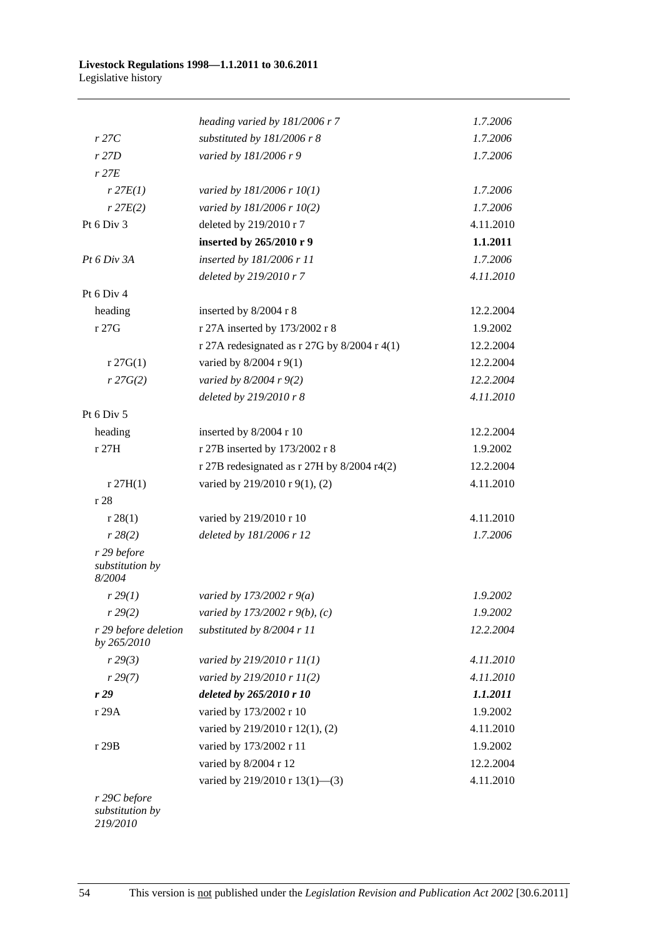|                                          | heading varied by 181/2006 r 7                 | 1.7.2006  |
|------------------------------------------|------------------------------------------------|-----------|
| r27C                                     | substituted by 181/2006 r 8                    | 1.7.2006  |
| r27D                                     | varied by 181/2006 r 9                         | 1.7.2006  |
| $r$ 27 $E$                               |                                                |           |
| $r$ 27 $E(1)$                            | varied by 181/2006 r 10(1)                     | 1.7.2006  |
| $r$ 27 $E(2)$                            | varied by 181/2006 r 10(2)                     | 1.7.2006  |
| Pt 6 Div 3                               | deleted by 219/2010 r 7                        | 4.11.2010 |
|                                          | inserted by 265/2010 r 9                       | 1.1.2011  |
| Pt 6 Div 3A                              | inserted by 181/2006 r 11                      | 1.7.2006  |
|                                          | deleted by 219/2010 r 7                        | 4.11.2010 |
| Pt 6 Div 4                               |                                                |           |
| heading                                  | inserted by 8/2004 r 8                         | 12.2.2004 |
| r 27G                                    | r 27A inserted by 173/2002 r 8                 | 1.9.2002  |
|                                          | r 27A redesignated as r 27G by $8/2004$ r 4(1) | 12.2.2004 |
| $r \, 27G(1)$                            | varied by 8/2004 r 9(1)                        | 12.2.2004 |
| r 27G(2)                                 | varied by $8/2004$ r $9(2)$                    | 12.2.2004 |
|                                          | deleted by 219/2010 r 8                        | 4.11.2010 |
| Pt 6 Div 5                               |                                                |           |
| heading                                  | inserted by 8/2004 r 10                        | 12.2.2004 |
| r 27H                                    | r 27B inserted by 173/2002 r 8                 | 1.9.2002  |
|                                          | r 27B redesignated as r 27H by 8/2004 r4(2)    | 12.2.2004 |
| r27H(1)                                  | varied by 219/2010 r 9(1), (2)                 | 4.11.2010 |
| r28                                      |                                                |           |
| r 28(1)                                  | varied by 219/2010 r 10                        | 4.11.2010 |
| r 28(2)                                  | deleted by 181/2006 r 12                       | 1.7.2006  |
| r 29 before<br>substitution by<br>8/2004 |                                                |           |
| r 29(1)                                  | varied by 173/2002 r $9(a)$                    | 1.9.2002  |
| r 29(2)                                  | varied by 173/2002 r 9(b), (c)                 | 1.9.2002  |
| r 29 before deletion<br>by 265/2010      | substituted by 8/2004 r 11                     | 12.2.2004 |
| r 29(3)                                  | varied by $219/2010$ r $11(1)$                 | 4.11.2010 |
| r 29(7)                                  | varied by 219/2010 r 11(2)                     | 4.11.2010 |
| r 29                                     | deleted by 265/2010 r 10                       | 1.1.2011  |
| r 29A                                    | varied by 173/2002 r 10                        | 1.9.2002  |
|                                          | varied by 219/2010 r 12(1), (2)                | 4.11.2010 |
| r 29B                                    | varied by 173/2002 r 11                        | 1.9.2002  |
|                                          | varied by 8/2004 r 12                          | 12.2.2004 |
|                                          | varied by 219/2010 r 13(1)-(3)                 | 4.11.2010 |
| r 29C before<br>substitution by          |                                                |           |

*219/2010*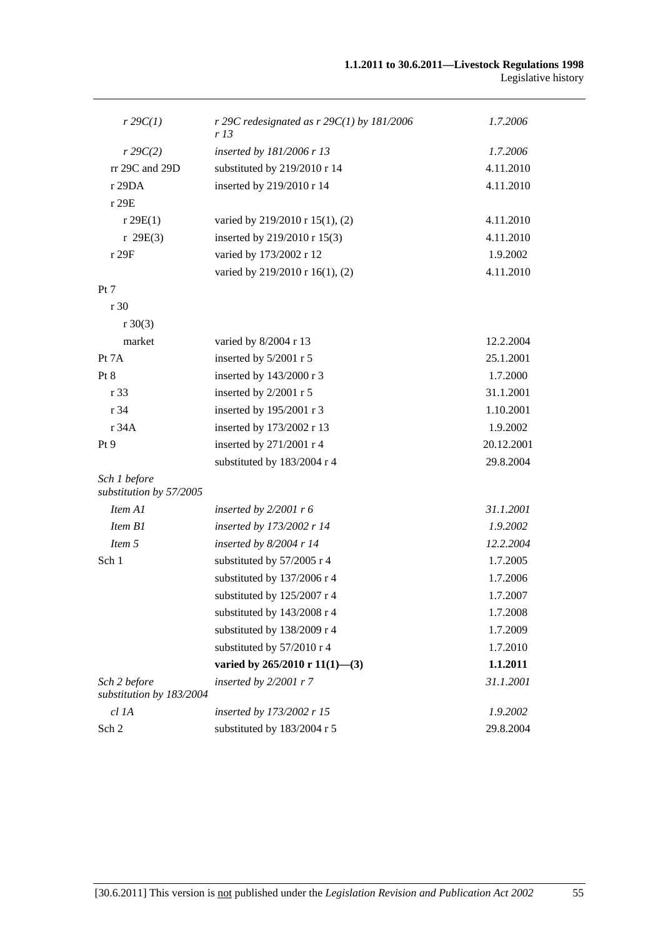| $r \, 29C(1)$                            | r 29C redesignated as $r$ 29C(1) by 181/2006<br>r 13 | 1.7.2006   |
|------------------------------------------|------------------------------------------------------|------------|
| $r \, 29C(2)$                            | inserted by 181/2006 r 13                            | 1.7.2006   |
| rr 29C and 29D                           | substituted by 219/2010 r 14                         | 4.11.2010  |
| r 29DA                                   | inserted by 219/2010 r 14                            | 4.11.2010  |
| r 29E                                    |                                                      |            |
| r 29E(1)                                 | varied by 219/2010 r 15(1), (2)                      | 4.11.2010  |
| r 29E(3)                                 | inserted by 219/2010 r 15(3)                         | 4.11.2010  |
| r 29F                                    | varied by 173/2002 r 12                              | 1.9.2002   |
|                                          | varied by 219/2010 r 16(1), (2)                      | 4.11.2010  |
| Pt 7                                     |                                                      |            |
| r 30                                     |                                                      |            |
| $r \ 30(3)$                              |                                                      |            |
| market                                   | varied by 8/2004 r 13                                | 12.2.2004  |
| Pt 7A                                    | inserted by 5/2001 r 5                               | 25.1.2001  |
| Pt 8                                     | inserted by 143/2000 r 3                             | 1.7.2000   |
| r 33                                     | inserted by 2/2001 r 5                               | 31.1.2001  |
| r 34                                     | inserted by 195/2001 r 3                             | 1.10.2001  |
| r 34A                                    | inserted by 173/2002 r 13                            | 1.9.2002   |
| Pt 9                                     | inserted by 271/2001 r 4                             | 20.12.2001 |
|                                          | substituted by 183/2004 r 4                          | 29.8.2004  |
| Sch 1 before<br>substitution by 57/2005  |                                                      |            |
| Item A1                                  | inserted by $2/2001$ r 6                             | 31.1.2001  |
| Item B1                                  | inserted by 173/2002 r 14                            | 1.9.2002   |
| Item 5                                   | inserted by $8/2004$ r 14                            | 12.2.2004  |
| Sch 1                                    | substituted by 57/2005 r 4                           | 1.7.2005   |
|                                          | substituted by 137/2006 r 4                          | 1.7.2006   |
|                                          | substituted by 125/2007 r 4                          | 1.7.2007   |
|                                          | substituted by 143/2008 r 4                          | 1.7.2008   |
|                                          | substituted by 138/2009 r 4                          | 1.7.2009   |
|                                          | substituted by 57/2010 r 4                           | 1.7.2010   |
|                                          | varied by $265/2010 \text{ r } 11(1)$ —(3)           | 1.1.2011   |
| Sch 2 before<br>substitution by 183/2004 | inserted by $2/2001$ r 7                             | 31.1.2001  |
| cl 1A                                    | inserted by 173/2002 r 15                            | 1.9.2002   |
| Sch 2                                    | substituted by 183/2004 r 5                          | 29.8.2004  |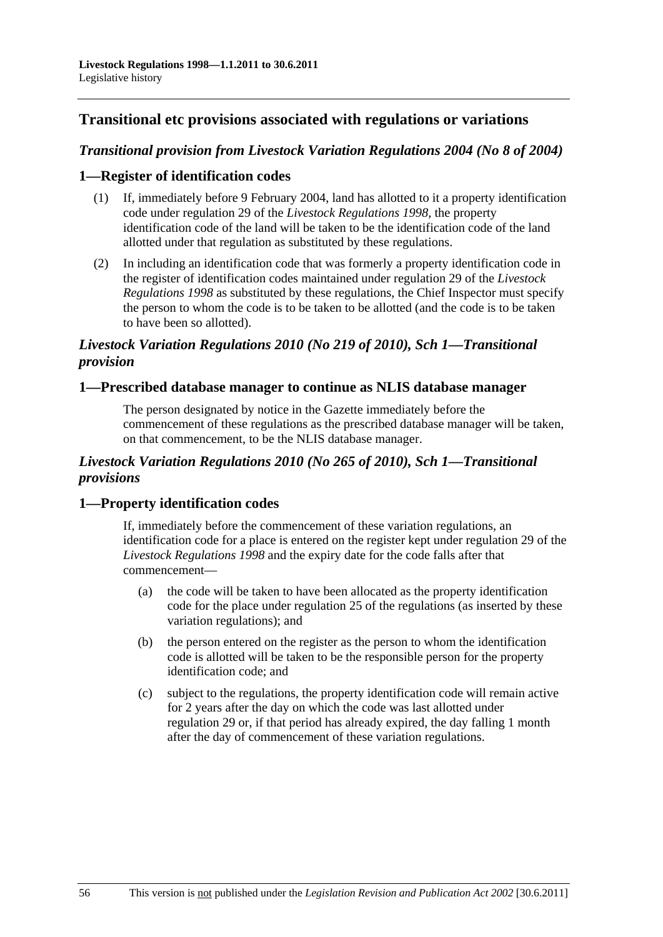## **Transitional etc provisions associated with regulations or variations**

## *Transitional provision from Livestock Variation Regulations 2004 (No 8 of 2004)*

## **1—Register of identification codes**

- (1) If, immediately before 9 February 2004, land has allotted to it a property identification code under regulation 29 of the *[Livestock Regulations 1998](http://www.legislation.sa.gov.au/index.aspx?action=legref&type=act&legtitle=Livestock%20Regulations%201998)*, the property identification code of the land will be taken to be the identification code of the land allotted under that regulation as substituted by these regulations.
- (2) In including an identification code that was formerly a property identification code in the register of identification codes maintained under regulation 29 of the *[Livestock](http://www.legislation.sa.gov.au/index.aspx?action=legref&type=act&legtitle=Livestock%20Regulations%201998)  [Regulations 1998](http://www.legislation.sa.gov.au/index.aspx?action=legref&type=act&legtitle=Livestock%20Regulations%201998)* as substituted by these regulations, the Chief Inspector must specify the person to whom the code is to be taken to be allotted (and the code is to be taken to have been so allotted).

## *Livestock Variation Regulations 2010 (No 219 of 2010), Sch 1—Transitional provision*

## **1—Prescribed database manager to continue as NLIS database manager**

The person designated by notice in the Gazette immediately before the commencement of these regulations as the prescribed database manager will be taken, on that commencement, to be the NLIS database manager.

## *Livestock Variation Regulations 2010 (No 265 of 2010), Sch 1—Transitional provisions*

## **1—Property identification codes**

If, immediately before the commencement of these variation regulations, an identification code for a place is entered on the register kept under regulation 29 of the *[Livestock Regulations 1998](http://www.legislation.sa.gov.au/index.aspx?action=legref&type=subordleg&legtitle=Livestock%20Regulations%201998)* and the expiry date for the code falls after that commencement—

- (a) the code will be taken to have been allocated as the property identification code for the place under regulation 25 of the regulations (as inserted by these variation regulations); and
- (b) the person entered on the register as the person to whom the identification code is allotted will be taken to be the responsible person for the property identification code; and
- (c) subject to the regulations, the property identification code will remain active for 2 years after the day on which the code was last allotted under regulation 29 or, if that period has already expired, the day falling 1 month after the day of commencement of these variation regulations.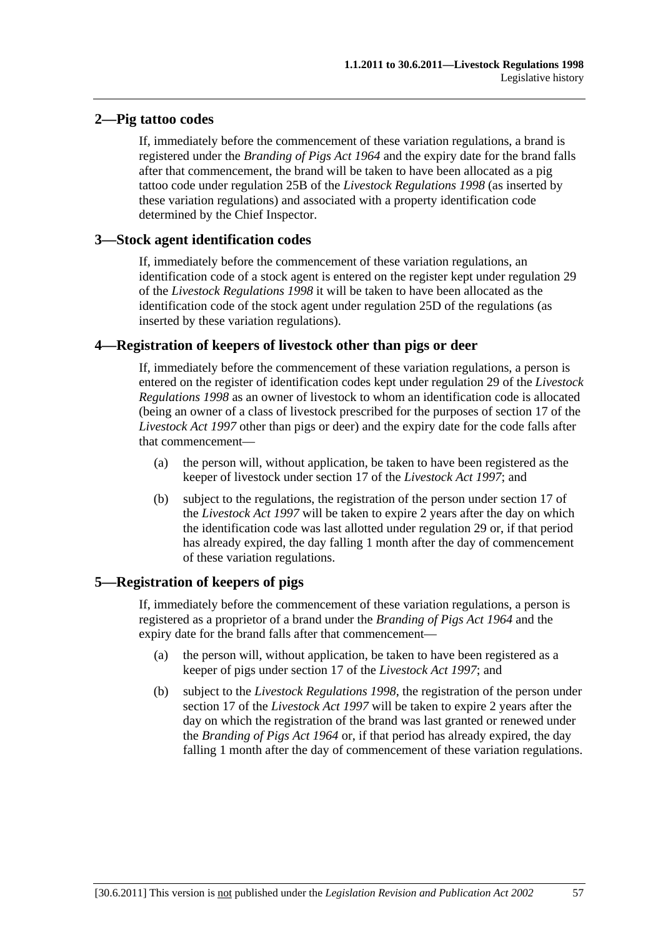## **2—Pig tattoo codes**

If, immediately before the commencement of these variation regulations, a brand is registered under the *[Branding of Pigs Act 1964](http://www.legislation.sa.gov.au/index.aspx?action=legref&type=act&legtitle=Branding%20of%20Pigs%20Act%201964)* and the expiry date for the brand falls after that commencement, the brand will be taken to have been allocated as a pig tattoo code under regulation 25B of the *[Livestock Regulations 1998](http://www.legislation.sa.gov.au/index.aspx?action=legref&type=subordleg&legtitle=Livestock%20Regulations%201998)* (as inserted by these variation regulations) and associated with a property identification code determined by the Chief Inspector.

## **3—Stock agent identification codes**

If, immediately before the commencement of these variation regulations, an identification code of a stock agent is entered on the register kept under regulation 29 of the *[Livestock Regulations 1998](http://www.legislation.sa.gov.au/index.aspx?action=legref&type=subordleg&legtitle=Livestock%20Regulations%201998)* it will be taken to have been allocated as the identification code of the stock agent under regulation 25D of the regulations (as inserted by these variation regulations).

## **4—Registration of keepers of livestock other than pigs or deer**

If, immediately before the commencement of these variation regulations, a person is entered on the register of identification codes kept under regulation 29 of the *[Livestock](http://www.legislation.sa.gov.au/index.aspx?action=legref&type=subordleg&legtitle=Livestock%20Regulations%201998)  [Regulations 1998](http://www.legislation.sa.gov.au/index.aspx?action=legref&type=subordleg&legtitle=Livestock%20Regulations%201998)* as an owner of livestock to whom an identification code is allocated (being an owner of a class of livestock prescribed for the purposes of section 17 of the *[Livestock Act 1997](http://www.legislation.sa.gov.au/index.aspx?action=legref&type=act&legtitle=Livestock%20Act%201997)* other than pigs or deer) and the expiry date for the code falls after that commencement—

- (a) the person will, without application, be taken to have been registered as the keeper of livestock under section 17 of the *[Livestock Act 1997](http://www.legislation.sa.gov.au/index.aspx?action=legref&type=act&legtitle=Livestock%20Act%201997)*; and
- (b) subject to the regulations, the registration of the person under section 17 of the *[Livestock Act 1997](http://www.legislation.sa.gov.au/index.aspx?action=legref&type=act&legtitle=Livestock%20Act%201997)* will be taken to expire 2 years after the day on which the identification code was last allotted under regulation 29 or, if that period has already expired, the day falling 1 month after the day of commencement of these variation regulations.

## **5—Registration of keepers of pigs**

If, immediately before the commencement of these variation regulations, a person is registered as a proprietor of a brand under the *[Branding of Pigs Act 1964](http://www.legislation.sa.gov.au/index.aspx?action=legref&type=act&legtitle=Branding%20of%20Pigs%20Act%201964)* and the expiry date for the brand falls after that commencement—

- (a) the person will, without application, be taken to have been registered as a keeper of pigs under section 17 of the *[Livestock Act 1997](http://www.legislation.sa.gov.au/index.aspx?action=legref&type=act&legtitle=Livestock%20Act%201997)*; and
- (b) subject to the *[Livestock Regulations 1998](http://www.legislation.sa.gov.au/index.aspx?action=legref&type=subordleg&legtitle=Livestock%20Regulations%201998)*, the registration of the person under section 17 of the *[Livestock Act 1997](http://www.legislation.sa.gov.au/index.aspx?action=legref&type=act&legtitle=Livestock%20Act%201997)* will be taken to expire 2 years after the day on which the registration of the brand was last granted or renewed under the *[Branding of Pigs Act 1964](http://www.legislation.sa.gov.au/index.aspx?action=legref&type=act&legtitle=Branding%20of%20Pigs%20Act%201964)* or, if that period has already expired, the day falling 1 month after the day of commencement of these variation regulations.